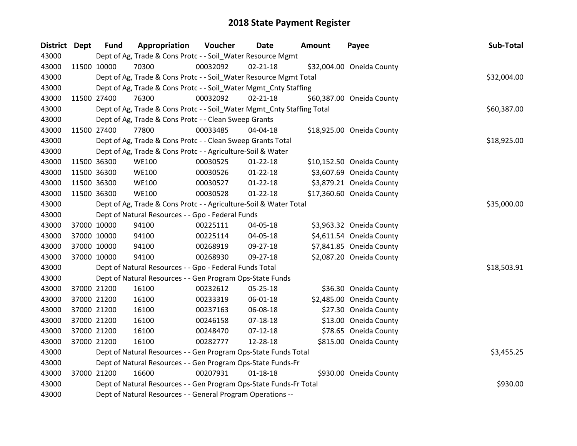| District Dept | <b>Fund</b> | Appropriation                                                          | Voucher  | Date           | <b>Amount</b> | Payee                     | Sub-Total   |
|---------------|-------------|------------------------------------------------------------------------|----------|----------------|---------------|---------------------------|-------------|
| 43000         |             | Dept of Ag, Trade & Cons Protc - - Soil_Water Resource Mgmt            |          |                |               |                           |             |
| 43000         | 11500 10000 | 70300                                                                  | 00032092 | $02 - 21 - 18$ |               | \$32,004.00 Oneida County |             |
| 43000         |             | Dept of Ag, Trade & Cons Protc - - Soil_Water Resource Mgmt Total      |          |                |               |                           | \$32,004.00 |
| 43000         |             | Dept of Ag, Trade & Cons Protc - - Soil_Water Mgmt_Cnty Staffing       |          |                |               |                           |             |
| 43000         | 11500 27400 | 76300                                                                  | 00032092 | $02 - 21 - 18$ |               | \$60,387.00 Oneida County |             |
| 43000         |             | Dept of Ag, Trade & Cons Protc - - Soil_Water Mgmt_Cnty Staffing Total |          |                |               |                           | \$60,387.00 |
| 43000         |             | Dept of Ag, Trade & Cons Protc - - Clean Sweep Grants                  |          |                |               |                           |             |
| 43000         | 11500 27400 | 77800                                                                  | 00033485 | 04-04-18       |               | \$18,925.00 Oneida County |             |
| 43000         |             | Dept of Ag, Trade & Cons Protc - - Clean Sweep Grants Total            |          |                |               |                           | \$18,925.00 |
| 43000         |             | Dept of Ag, Trade & Cons Protc - - Agriculture-Soil & Water            |          |                |               |                           |             |
| 43000         | 11500 36300 | <b>WE100</b>                                                           | 00030525 | $01 - 22 - 18$ |               | \$10,152.50 Oneida County |             |
| 43000         | 11500 36300 | <b>WE100</b>                                                           | 00030526 | $01 - 22 - 18$ |               | \$3,607.69 Oneida County  |             |
| 43000         | 11500 36300 | <b>WE100</b>                                                           | 00030527 | $01 - 22 - 18$ |               | \$3,879.21 Oneida County  |             |
| 43000         | 11500 36300 | <b>WE100</b>                                                           | 00030528 | $01 - 22 - 18$ |               | \$17,360.60 Oneida County |             |
| 43000         |             | Dept of Ag, Trade & Cons Protc - - Agriculture-Soil & Water Total      |          |                |               |                           | \$35,000.00 |
| 43000         |             | Dept of Natural Resources - - Gpo - Federal Funds                      |          |                |               |                           |             |
| 43000         | 37000 10000 | 94100                                                                  | 00225111 | 04-05-18       |               | \$3,963.32 Oneida County  |             |
| 43000         | 37000 10000 | 94100                                                                  | 00225114 | 04-05-18       |               | \$4,611.54 Oneida County  |             |
| 43000         | 37000 10000 | 94100                                                                  | 00268919 | 09-27-18       |               | \$7,841.85 Oneida County  |             |
| 43000         | 37000 10000 | 94100                                                                  | 00268930 | 09-27-18       |               | \$2,087.20 Oneida County  |             |
| 43000         |             | Dept of Natural Resources - - Gpo - Federal Funds Total                |          |                |               |                           | \$18,503.91 |
| 43000         |             | Dept of Natural Resources - - Gen Program Ops-State Funds              |          |                |               |                           |             |
| 43000         | 37000 21200 | 16100                                                                  | 00232612 | 05-25-18       |               | \$36.30 Oneida County     |             |
| 43000         | 37000 21200 | 16100                                                                  | 00233319 | 06-01-18       |               | \$2,485.00 Oneida County  |             |
| 43000         | 37000 21200 | 16100                                                                  | 00237163 | 06-08-18       |               | \$27.30 Oneida County     |             |
| 43000         | 37000 21200 | 16100                                                                  | 00246158 | $07 - 18 - 18$ |               | \$13.00 Oneida County     |             |
| 43000         | 37000 21200 | 16100                                                                  | 00248470 | $07 - 12 - 18$ |               | \$78.65 Oneida County     |             |
| 43000         | 37000 21200 | 16100                                                                  | 00282777 | 12-28-18       |               | \$815.00 Oneida County    |             |
| 43000         |             | Dept of Natural Resources - - Gen Program Ops-State Funds Total        |          |                |               |                           | \$3,455.25  |
| 43000         |             | Dept of Natural Resources - - Gen Program Ops-State Funds-Fr           |          |                |               |                           |             |
| 43000         | 37000 21200 | 16600                                                                  | 00207931 | $01 - 18 - 18$ |               | \$930.00 Oneida County    |             |
| 43000         |             | Dept of Natural Resources - - Gen Program Ops-State Funds-Fr Total     |          |                |               |                           | \$930.00    |
| 43000         |             | Dept of Natural Resources - - General Program Operations --            |          |                |               |                           |             |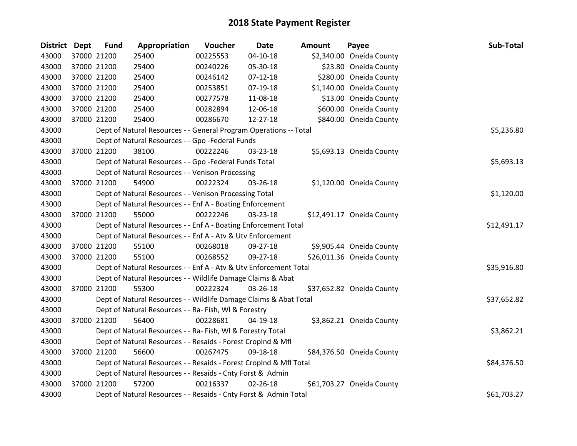| <b>District</b> | <b>Dept</b> | <b>Fund</b> | Appropriation                                                      | Voucher  | <b>Date</b>    | <b>Amount</b> | Payee                     | Sub-Total   |
|-----------------|-------------|-------------|--------------------------------------------------------------------|----------|----------------|---------------|---------------------------|-------------|
| 43000           |             | 37000 21200 | 25400                                                              | 00225553 | 04-10-18       |               | \$2,340.00 Oneida County  |             |
| 43000           |             | 37000 21200 | 25400                                                              | 00240226 | 05-30-18       |               | \$23.80 Oneida County     |             |
| 43000           |             | 37000 21200 | 25400                                                              | 00246142 | $07-12-18$     |               | \$280.00 Oneida County    |             |
| 43000           |             | 37000 21200 | 25400                                                              | 00253851 | 07-19-18       |               | \$1,140.00 Oneida County  |             |
| 43000           |             | 37000 21200 | 25400                                                              | 00277578 | 11-08-18       |               | \$13.00 Oneida County     |             |
| 43000           |             | 37000 21200 | 25400                                                              | 00282894 | 12-06-18       |               | \$600.00 Oneida County    |             |
| 43000           |             | 37000 21200 | 25400                                                              | 00286670 | $12 - 27 - 18$ |               | \$840.00 Oneida County    |             |
| 43000           |             |             | Dept of Natural Resources - - General Program Operations -- Total  |          |                |               |                           | \$5,236.80  |
| 43000           |             |             | Dept of Natural Resources - - Gpo -Federal Funds                   |          |                |               |                           |             |
| 43000           |             | 37000 21200 | 38100                                                              | 00222246 | 03-23-18       |               | \$5,693.13 Oneida County  |             |
| 43000           |             |             | Dept of Natural Resources - - Gpo -Federal Funds Total             |          |                |               |                           | \$5,693.13  |
| 43000           |             |             | Dept of Natural Resources - - Venison Processing                   |          |                |               |                           |             |
| 43000           |             | 37000 21200 | 54900                                                              | 00222324 | 03-26-18       |               | \$1,120.00 Oneida County  |             |
| 43000           |             |             | Dept of Natural Resources - - Venison Processing Total             |          |                |               |                           | \$1,120.00  |
| 43000           |             |             | Dept of Natural Resources - - Enf A - Boating Enforcement          |          |                |               |                           |             |
| 43000           |             | 37000 21200 | 55000                                                              | 00222246 | 03-23-18       |               | \$12,491.17 Oneida County |             |
| 43000           |             |             | Dept of Natural Resources - - Enf A - Boating Enforcement Total    |          |                |               |                           | \$12,491.17 |
| 43000           |             |             | Dept of Natural Resources - - Enf A - Atv & Utv Enforcement        |          |                |               |                           |             |
| 43000           |             | 37000 21200 | 55100                                                              | 00268018 | 09-27-18       |               | \$9,905.44 Oneida County  |             |
| 43000           |             | 37000 21200 | 55100                                                              | 00268552 | 09-27-18       |               | \$26,011.36 Oneida County |             |
| 43000           |             |             | Dept of Natural Resources - - Enf A - Atv & Utv Enforcement Total  |          |                |               |                           | \$35,916.80 |
| 43000           |             |             | Dept of Natural Resources - - Wildlife Damage Claims & Abat        |          |                |               |                           |             |
| 43000           |             | 37000 21200 | 55300                                                              | 00222324 | 03-26-18       |               | \$37,652.82 Oneida County |             |
| 43000           |             |             | Dept of Natural Resources - - Wildlife Damage Claims & Abat Total  |          |                |               |                           | \$37,652.82 |
| 43000           |             |             | Dept of Natural Resources - - Ra- Fish, WI & Forestry              |          |                |               |                           |             |
| 43000           |             | 37000 21200 | 56400                                                              | 00228681 | $04-19-18$     |               | \$3,862.21 Oneida County  |             |
| 43000           |             |             | Dept of Natural Resources - - Ra- Fish, WI & Forestry Total        |          |                |               |                           | \$3,862.21  |
| 43000           |             |             | Dept of Natural Resources - - Resaids - Forest CropInd & Mfl       |          |                |               |                           |             |
| 43000           |             | 37000 21200 | 56600                                                              | 00267475 | 09-18-18       |               | \$84,376.50 Oneida County |             |
| 43000           |             |             | Dept of Natural Resources - - Resaids - Forest CropInd & Mfl Total |          |                |               |                           | \$84,376.50 |
| 43000           |             |             | Dept of Natural Resources - - Resaids - Cnty Forst & Admin         |          |                |               |                           |             |
| 43000           |             | 37000 21200 | 57200                                                              | 00216337 | $02 - 26 - 18$ |               | \$61,703.27 Oneida County |             |
| 43000           |             |             | Dept of Natural Resources - - Resaids - Cnty Forst & Admin Total   |          |                |               |                           | \$61,703.27 |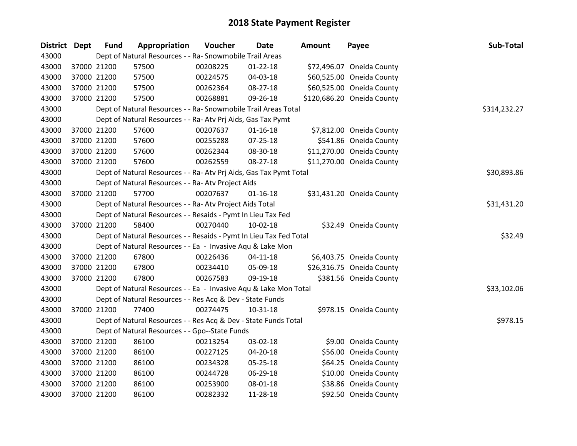| District Dept | <b>Fund</b> | Appropriation                                                      | Voucher  | Date           | Amount | Payee                      | Sub-Total    |
|---------------|-------------|--------------------------------------------------------------------|----------|----------------|--------|----------------------------|--------------|
| 43000         |             | Dept of Natural Resources - - Ra- Snowmobile Trail Areas           |          |                |        |                            |              |
| 43000         | 37000 21200 | 57500                                                              | 00208225 | $01 - 22 - 18$ |        | \$72,496.07 Oneida County  |              |
| 43000         | 37000 21200 | 57500                                                              | 00224575 | 04-03-18       |        | \$60,525.00 Oneida County  |              |
| 43000         | 37000 21200 | 57500                                                              | 00262364 | 08-27-18       |        | \$60,525.00 Oneida County  |              |
| 43000         | 37000 21200 | 57500                                                              | 00268881 | 09-26-18       |        | \$120,686.20 Oneida County |              |
| 43000         |             | Dept of Natural Resources - - Ra- Snowmobile Trail Areas Total     |          |                |        |                            | \$314,232.27 |
| 43000         |             | Dept of Natural Resources - - Ra- Atv Prj Aids, Gas Tax Pymt       |          |                |        |                            |              |
| 43000         | 37000 21200 | 57600                                                              | 00207637 | $01 - 16 - 18$ |        | \$7,812.00 Oneida County   |              |
| 43000         | 37000 21200 | 57600                                                              | 00255288 | $07 - 25 - 18$ |        | \$541.86 Oneida County     |              |
| 43000         | 37000 21200 | 57600                                                              | 00262344 | 08-30-18       |        | \$11,270.00 Oneida County  |              |
| 43000         | 37000 21200 | 57600                                                              | 00262559 | 08-27-18       |        | \$11,270.00 Oneida County  |              |
| 43000         |             | Dept of Natural Resources - - Ra- Atv Prj Aids, Gas Tax Pymt Total |          |                |        |                            | \$30,893.86  |
| 43000         |             | Dept of Natural Resources - - Ra- Atv Project Aids                 |          |                |        |                            |              |
| 43000         | 37000 21200 | 57700                                                              | 00207637 | $01 - 16 - 18$ |        | \$31,431.20 Oneida County  |              |
| 43000         |             | Dept of Natural Resources - - Ra- Atv Project Aids Total           |          |                |        |                            | \$31,431.20  |
| 43000         |             | Dept of Natural Resources - - Resaids - Pymt In Lieu Tax Fed       |          |                |        |                            |              |
| 43000         | 37000 21200 | 58400                                                              | 00270440 | $10-02-18$     |        | \$32.49 Oneida County      |              |
| 43000         |             | Dept of Natural Resources - - Resaids - Pymt In Lieu Tax Fed Total |          |                |        |                            | \$32.49      |
| 43000         |             | Dept of Natural Resources - - Ea - Invasive Aqu & Lake Mon         |          |                |        |                            |              |
| 43000         | 37000 21200 | 67800                                                              | 00226436 | $04 - 11 - 18$ |        | \$6,403.75 Oneida County   |              |
| 43000         | 37000 21200 | 67800                                                              | 00234410 | 05-09-18       |        | \$26,316.75 Oneida County  |              |
| 43000         | 37000 21200 | 67800                                                              | 00267583 | 09-19-18       |        | \$381.56 Oneida County     |              |
| 43000         |             | Dept of Natural Resources - - Ea - Invasive Aqu & Lake Mon Total   |          |                |        |                            | \$33,102.06  |
| 43000         |             | Dept of Natural Resources - - Res Acq & Dev - State Funds          |          |                |        |                            |              |
| 43000         | 37000 21200 | 77400                                                              | 00274475 | $10-31-18$     |        | \$978.15 Oneida County     |              |
| 43000         |             | Dept of Natural Resources - - Res Acq & Dev - State Funds Total    |          |                |        |                            | \$978.15     |
| 43000         |             | Dept of Natural Resources - - Gpo--State Funds                     |          |                |        |                            |              |
| 43000         | 37000 21200 | 86100                                                              | 00213254 | 03-02-18       |        | \$9.00 Oneida County       |              |
| 43000         | 37000 21200 | 86100                                                              | 00227125 | 04-20-18       |        | \$56.00 Oneida County      |              |
| 43000         | 37000 21200 | 86100                                                              | 00234328 | 05-25-18       |        | \$64.25 Oneida County      |              |
| 43000         | 37000 21200 | 86100                                                              | 00244728 | 06-29-18       |        | \$10.00 Oneida County      |              |
| 43000         | 37000 21200 | 86100                                                              | 00253900 | 08-01-18       |        | \$38.86 Oneida County      |              |
| 43000         | 37000 21200 | 86100                                                              | 00282332 | 11-28-18       |        | \$92.50 Oneida County      |              |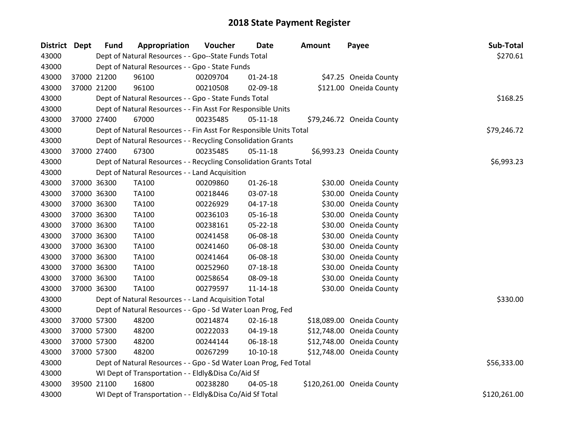| <b>District Dept</b> | <b>Fund</b> | Appropriation                                                      | Voucher  | Date           | <b>Amount</b> | Payee                      | Sub-Total    |  |  |  |
|----------------------|-------------|--------------------------------------------------------------------|----------|----------------|---------------|----------------------------|--------------|--|--|--|
| 43000                |             | Dept of Natural Resources - - Gpo--State Funds Total               |          |                |               |                            | \$270.61     |  |  |  |
| 43000                |             | Dept of Natural Resources - - Gpo - State Funds                    |          |                |               |                            |              |  |  |  |
| 43000                | 37000 21200 | 96100                                                              | 00209704 | $01 - 24 - 18$ |               | \$47.25 Oneida County      |              |  |  |  |
| 43000                | 37000 21200 | 96100                                                              | 00210508 | 02-09-18       |               | \$121.00 Oneida County     |              |  |  |  |
| 43000                |             | Dept of Natural Resources - - Gpo - State Funds Total              |          |                |               |                            | \$168.25     |  |  |  |
| 43000                |             | Dept of Natural Resources - - Fin Asst For Responsible Units       |          |                |               |                            |              |  |  |  |
| 43000                | 37000 27400 | 67000                                                              | 00235485 | $05-11-18$     |               | \$79,246.72 Oneida County  |              |  |  |  |
| 43000                |             | Dept of Natural Resources - - Fin Asst For Responsible Units Total |          |                |               |                            | \$79,246.72  |  |  |  |
| 43000                |             | Dept of Natural Resources - - Recycling Consolidation Grants       |          |                |               |                            |              |  |  |  |
| 43000                | 37000 27400 | 67300                                                              | 00235485 | $05-11-18$     |               | \$6,993.23 Oneida County   |              |  |  |  |
| 43000                |             | Dept of Natural Resources - - Recycling Consolidation Grants Total |          |                |               |                            | \$6,993.23   |  |  |  |
| 43000                |             | Dept of Natural Resources - - Land Acquisition                     |          |                |               |                            |              |  |  |  |
| 43000                | 37000 36300 | <b>TA100</b>                                                       | 00209860 | $01 - 26 - 18$ |               | \$30.00 Oneida County      |              |  |  |  |
| 43000                | 37000 36300 | TA100                                                              | 00218446 | 03-07-18       |               | \$30.00 Oneida County      |              |  |  |  |
| 43000                | 37000 36300 | <b>TA100</b>                                                       | 00226929 | $04 - 17 - 18$ |               | \$30.00 Oneida County      |              |  |  |  |
| 43000                | 37000 36300 | TA100                                                              | 00236103 | 05-16-18       |               | \$30.00 Oneida County      |              |  |  |  |
| 43000                | 37000 36300 | TA100                                                              | 00238161 | 05-22-18       |               | \$30.00 Oneida County      |              |  |  |  |
| 43000                | 37000 36300 | TA100                                                              | 00241458 | 06-08-18       |               | \$30.00 Oneida County      |              |  |  |  |
| 43000                | 37000 36300 | TA100                                                              | 00241460 | 06-08-18       |               | \$30.00 Oneida County      |              |  |  |  |
| 43000                | 37000 36300 | <b>TA100</b>                                                       | 00241464 | 06-08-18       |               | \$30.00 Oneida County      |              |  |  |  |
| 43000                | 37000 36300 | TA100                                                              | 00252960 | $07 - 18 - 18$ |               | \$30.00 Oneida County      |              |  |  |  |
| 43000                | 37000 36300 | TA100                                                              | 00258654 | 08-09-18       |               | \$30.00 Oneida County      |              |  |  |  |
| 43000                | 37000 36300 | <b>TA100</b>                                                       | 00279597 | $11 - 14 - 18$ |               | \$30.00 Oneida County      |              |  |  |  |
| 43000                |             | Dept of Natural Resources - - Land Acquisition Total               |          |                |               |                            | \$330.00     |  |  |  |
| 43000                |             | Dept of Natural Resources - - Gpo - Sd Water Loan Prog, Fed        |          |                |               |                            |              |  |  |  |
| 43000                | 37000 57300 | 48200                                                              | 00214874 | $02 - 16 - 18$ |               | \$18,089.00 Oneida County  |              |  |  |  |
| 43000                | 37000 57300 | 48200                                                              | 00222033 | 04-19-18       |               | \$12,748.00 Oneida County  |              |  |  |  |
| 43000                | 37000 57300 | 48200                                                              | 00244144 | 06-18-18       |               | \$12,748.00 Oneida County  |              |  |  |  |
| 43000                | 37000 57300 | 48200                                                              | 00267299 | $10-10-18$     |               | \$12,748.00 Oneida County  |              |  |  |  |
| 43000                |             | Dept of Natural Resources - - Gpo - Sd Water Loan Prog, Fed Total  |          |                |               |                            | \$56,333.00  |  |  |  |
| 43000                |             | WI Dept of Transportation - - Eldly&Disa Co/Aid Sf                 |          |                |               |                            |              |  |  |  |
| 43000                | 39500 21100 | 16800                                                              | 00238280 | 04-05-18       |               | \$120,261.00 Oneida County |              |  |  |  |
| 43000                |             | WI Dept of Transportation - - Eldly&Disa Co/Aid Sf Total           |          |                |               |                            | \$120,261.00 |  |  |  |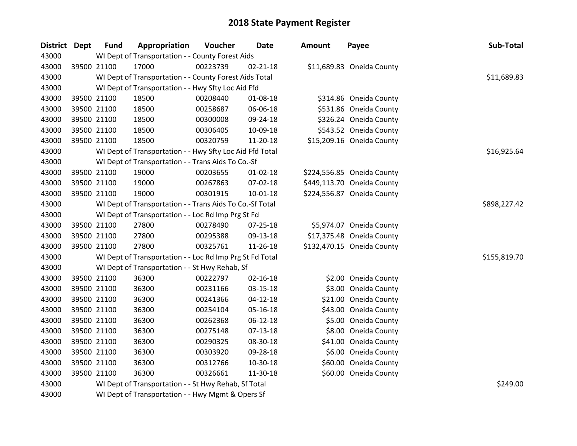| District Dept | <b>Fund</b> | Appropriation                                            | Voucher  | <b>Date</b>    | <b>Amount</b> | Payee                      | Sub-Total    |
|---------------|-------------|----------------------------------------------------------|----------|----------------|---------------|----------------------------|--------------|
| 43000         |             | WI Dept of Transportation - - County Forest Aids         |          |                |               |                            |              |
| 43000         | 39500 21100 | 17000                                                    | 00223739 | $02 - 21 - 18$ |               | \$11,689.83 Oneida County  |              |
| 43000         |             | WI Dept of Transportation - - County Forest Aids Total   |          |                |               |                            | \$11,689.83  |
| 43000         |             | WI Dept of Transportation - - Hwy Sfty Loc Aid Ffd       |          |                |               |                            |              |
| 43000         | 39500 21100 | 18500                                                    | 00208440 | 01-08-18       |               | \$314.86 Oneida County     |              |
| 43000         | 39500 21100 | 18500                                                    | 00258687 | 06-06-18       |               | \$531.86 Oneida County     |              |
| 43000         | 39500 21100 | 18500                                                    | 00300008 | 09-24-18       |               | \$326.24 Oneida County     |              |
| 43000         | 39500 21100 | 18500                                                    | 00306405 | 10-09-18       |               | \$543.52 Oneida County     |              |
| 43000         | 39500 21100 | 18500                                                    | 00320759 | 11-20-18       |               | \$15,209.16 Oneida County  |              |
| 43000         |             | WI Dept of Transportation - - Hwy Sfty Loc Aid Ffd Total |          |                |               |                            | \$16,925.64  |
| 43000         |             | WI Dept of Transportation - - Trans Aids To Co.-Sf       |          |                |               |                            |              |
| 43000         | 39500 21100 | 19000                                                    | 00203655 | 01-02-18       |               | \$224,556.85 Oneida County |              |
| 43000         | 39500 21100 | 19000                                                    | 00267863 | 07-02-18       |               | \$449,113.70 Oneida County |              |
| 43000         | 39500 21100 | 19000                                                    | 00301915 | 10-01-18       |               | \$224,556.87 Oneida County |              |
| 43000         |             | WI Dept of Transportation - - Trans Aids To Co.-Sf Total |          |                |               |                            | \$898,227.42 |
| 43000         |             | WI Dept of Transportation - - Loc Rd Imp Prg St Fd       |          |                |               |                            |              |
| 43000         | 39500 21100 | 27800                                                    | 00278490 | 07-25-18       |               | \$5,974.07 Oneida County   |              |
| 43000         | 39500 21100 | 27800                                                    | 00295388 | 09-13-18       |               | \$17,375.48 Oneida County  |              |
| 43000         | 39500 21100 | 27800                                                    | 00325761 | 11-26-18       |               | \$132,470.15 Oneida County |              |
| 43000         |             | WI Dept of Transportation - - Loc Rd Imp Prg St Fd Total |          |                |               |                            | \$155,819.70 |
| 43000         |             | WI Dept of Transportation - - St Hwy Rehab, Sf           |          |                |               |                            |              |
| 43000         | 39500 21100 | 36300                                                    | 00222797 | $02 - 16 - 18$ |               | \$2.00 Oneida County       |              |
| 43000         | 39500 21100 | 36300                                                    | 00231166 | 03-15-18       |               | \$3.00 Oneida County       |              |
| 43000         | 39500 21100 | 36300                                                    | 00241366 | $04 - 12 - 18$ |               | \$21.00 Oneida County      |              |
| 43000         | 39500 21100 | 36300                                                    | 00254104 | $05 - 16 - 18$ |               | \$43.00 Oneida County      |              |
| 43000         | 39500 21100 | 36300                                                    | 00262368 | 06-12-18       |               | \$5.00 Oneida County       |              |
| 43000         | 39500 21100 | 36300                                                    | 00275148 | $07 - 13 - 18$ |               | \$8.00 Oneida County       |              |
| 43000         | 39500 21100 | 36300                                                    | 00290325 | 08-30-18       |               | \$41.00 Oneida County      |              |
| 43000         | 39500 21100 | 36300                                                    | 00303920 | 09-28-18       |               | \$6.00 Oneida County       |              |
| 43000         | 39500 21100 | 36300                                                    | 00312766 | 10-30-18       |               | \$60.00 Oneida County      |              |
| 43000         | 39500 21100 | 36300                                                    | 00326661 | 11-30-18       |               | \$60.00 Oneida County      |              |
| 43000         |             | WI Dept of Transportation - - St Hwy Rehab, Sf Total     |          |                |               |                            | \$249.00     |
| 43000         |             | WI Dept of Transportation - - Hwy Mgmt & Opers Sf        |          |                |               |                            |              |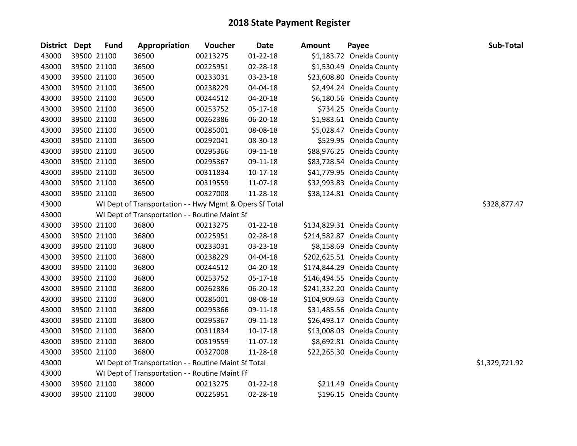| District Dept | <b>Fund</b> | Appropriation                                           | Voucher  | <b>Date</b>    | <b>Amount</b> | Payee                      | Sub-Total      |
|---------------|-------------|---------------------------------------------------------|----------|----------------|---------------|----------------------------|----------------|
| 43000         | 39500 21100 | 36500                                                   | 00213275 | $01 - 22 - 18$ |               | \$1,183.72 Oneida County   |                |
| 43000         | 39500 21100 | 36500                                                   | 00225951 | 02-28-18       |               | \$1,530.49 Oneida County   |                |
| 43000         | 39500 21100 | 36500                                                   | 00233031 | 03-23-18       |               | \$23,608.80 Oneida County  |                |
| 43000         | 39500 21100 | 36500                                                   | 00238229 | 04-04-18       |               | \$2,494.24 Oneida County   |                |
| 43000         | 39500 21100 | 36500                                                   | 00244512 | 04-20-18       |               | \$6,180.56 Oneida County   |                |
| 43000         | 39500 21100 | 36500                                                   | 00253752 | $05 - 17 - 18$ |               | \$734.25 Oneida County     |                |
| 43000         | 39500 21100 | 36500                                                   | 00262386 | 06-20-18       |               | \$1,983.61 Oneida County   |                |
| 43000         | 39500 21100 | 36500                                                   | 00285001 | 08-08-18       |               | \$5,028.47 Oneida County   |                |
| 43000         | 39500 21100 | 36500                                                   | 00292041 | 08-30-18       |               | \$529.95 Oneida County     |                |
| 43000         | 39500 21100 | 36500                                                   | 00295366 | 09-11-18       |               | \$88,976.25 Oneida County  |                |
| 43000         | 39500 21100 | 36500                                                   | 00295367 | 09-11-18       |               | \$83,728.54 Oneida County  |                |
| 43000         | 39500 21100 | 36500                                                   | 00311834 | 10-17-18       |               | \$41,779.95 Oneida County  |                |
| 43000         | 39500 21100 | 36500                                                   | 00319559 | 11-07-18       |               | \$32,993.83 Oneida County  |                |
| 43000         | 39500 21100 | 36500                                                   | 00327008 | 11-28-18       |               | \$38,124.81 Oneida County  |                |
| 43000         |             | WI Dept of Transportation - - Hwy Mgmt & Opers Sf Total |          |                |               |                            | \$328,877.47   |
| 43000         |             | WI Dept of Transportation - - Routine Maint Sf          |          |                |               |                            |                |
| 43000         | 39500 21100 | 36800                                                   | 00213275 | $01 - 22 - 18$ |               | \$134,829.31 Oneida County |                |
| 43000         | 39500 21100 | 36800                                                   | 00225951 | 02-28-18       |               | \$214,582.87 Oneida County |                |
| 43000         | 39500 21100 | 36800                                                   | 00233031 | 03-23-18       |               | \$8,158.69 Oneida County   |                |
| 43000         | 39500 21100 | 36800                                                   | 00238229 | 04-04-18       |               | \$202,625.51 Oneida County |                |
| 43000         | 39500 21100 | 36800                                                   | 00244512 | 04-20-18       |               | \$174,844.29 Oneida County |                |
| 43000         | 39500 21100 | 36800                                                   | 00253752 | 05-17-18       |               | \$146,494.55 Oneida County |                |
| 43000         | 39500 21100 | 36800                                                   | 00262386 | 06-20-18       |               | \$241,332.20 Oneida County |                |
| 43000         | 39500 21100 | 36800                                                   | 00285001 | 08-08-18       |               | \$104,909.63 Oneida County |                |
| 43000         | 39500 21100 | 36800                                                   | 00295366 | 09-11-18       |               | \$31,485.56 Oneida County  |                |
| 43000         | 39500 21100 | 36800                                                   | 00295367 | 09-11-18       |               | \$26,493.17 Oneida County  |                |
| 43000         | 39500 21100 | 36800                                                   | 00311834 | $10-17-18$     |               | \$13,008.03 Oneida County  |                |
| 43000         | 39500 21100 | 36800                                                   | 00319559 | 11-07-18       |               | \$8,692.81 Oneida County   |                |
| 43000         | 39500 21100 | 36800                                                   | 00327008 | 11-28-18       |               | \$22,265.30 Oneida County  |                |
| 43000         |             | WI Dept of Transportation - - Routine Maint Sf Total    |          |                |               |                            | \$1,329,721.92 |
| 43000         |             | WI Dept of Transportation - - Routine Maint Ff          |          |                |               |                            |                |
| 43000         | 39500 21100 | 38000                                                   | 00213275 | $01 - 22 - 18$ |               | \$211.49 Oneida County     |                |
| 43000         | 39500 21100 | 38000                                                   | 00225951 | 02-28-18       |               | \$196.15 Oneida County     |                |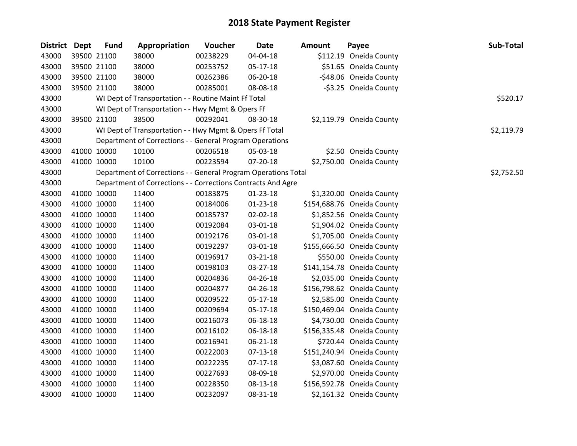| District Dept |             | <b>Fund</b> | Appropriation                                                  | Voucher  | <b>Date</b>    | <b>Amount</b> | Payee                      | Sub-Total  |
|---------------|-------------|-------------|----------------------------------------------------------------|----------|----------------|---------------|----------------------------|------------|
| 43000         |             | 39500 21100 | 38000                                                          | 00238229 | 04-04-18       |               | \$112.19 Oneida County     |            |
| 43000         |             | 39500 21100 | 38000                                                          | 00253752 | 05-17-18       |               | \$51.65 Oneida County      |            |
| 43000         |             | 39500 21100 | 38000                                                          | 00262386 | 06-20-18       |               | -\$48.06 Oneida County     |            |
| 43000         |             | 39500 21100 | 38000                                                          | 00285001 | 08-08-18       |               | -\$3.25 Oneida County      |            |
| 43000         |             |             | WI Dept of Transportation - - Routine Maint Ff Total           |          |                |               |                            | \$520.17   |
| 43000         |             |             | WI Dept of Transportation - - Hwy Mgmt & Opers Ff              |          |                |               |                            |            |
| 43000         |             | 39500 21100 | 38500                                                          | 00292041 | 08-30-18       |               | \$2,119.79 Oneida County   |            |
| 43000         |             |             | WI Dept of Transportation - - Hwy Mgmt & Opers Ff Total        |          |                |               |                            | \$2,119.79 |
| 43000         |             |             | Department of Corrections - - General Program Operations       |          |                |               |                            |            |
| 43000         |             | 41000 10000 | 10100                                                          | 00206518 | 05-03-18       |               | \$2.50 Oneida County       |            |
| 43000         |             | 41000 10000 | 10100                                                          | 00223594 | 07-20-18       |               | \$2,750.00 Oneida County   |            |
| 43000         |             |             | Department of Corrections - - General Program Operations Total |          |                |               |                            | \$2,752.50 |
| 43000         |             |             | Department of Corrections - - Corrections Contracts And Agre   |          |                |               |                            |            |
| 43000         |             | 41000 10000 | 11400                                                          | 00183875 | 01-23-18       |               | \$1,320.00 Oneida County   |            |
| 43000         |             | 41000 10000 | 11400                                                          | 00184006 | $01 - 23 - 18$ |               | \$154,688.76 Oneida County |            |
| 43000         |             | 41000 10000 | 11400                                                          | 00185737 | 02-02-18       |               | \$1,852.56 Oneida County   |            |
| 43000         |             | 41000 10000 | 11400                                                          | 00192084 | 03-01-18       |               | \$1,904.02 Oneida County   |            |
| 43000         | 41000 10000 |             | 11400                                                          | 00192176 | 03-01-18       |               | \$1,705.00 Oneida County   |            |
| 43000         |             | 41000 10000 | 11400                                                          | 00192297 | 03-01-18       |               | \$155,666.50 Oneida County |            |
| 43000         |             | 41000 10000 | 11400                                                          | 00196917 | 03-21-18       |               | \$550.00 Oneida County     |            |
| 43000         |             | 41000 10000 | 11400                                                          | 00198103 | 03-27-18       |               | \$141,154.78 Oneida County |            |
| 43000         |             | 41000 10000 | 11400                                                          | 00204836 | 04-26-18       |               | \$2,035.00 Oneida County   |            |
| 43000         |             | 41000 10000 | 11400                                                          | 00204877 | 04-26-18       |               | \$156,798.62 Oneida County |            |
| 43000         |             | 41000 10000 | 11400                                                          | 00209522 | 05-17-18       |               | \$2,585.00 Oneida County   |            |
| 43000         |             | 41000 10000 | 11400                                                          | 00209694 | 05-17-18       |               | \$150,469.04 Oneida County |            |
| 43000         |             | 41000 10000 | 11400                                                          | 00216073 | 06-18-18       |               | \$4,730.00 Oneida County   |            |
| 43000         |             | 41000 10000 | 11400                                                          | 00216102 | 06-18-18       |               | \$156,335.48 Oneida County |            |
| 43000         |             | 41000 10000 | 11400                                                          | 00216941 | 06-21-18       |               | \$720.44 Oneida County     |            |
| 43000         | 41000 10000 |             | 11400                                                          | 00222003 | 07-13-18       |               | \$151,240.94 Oneida County |            |
| 43000         |             | 41000 10000 | 11400                                                          | 00222235 | 07-17-18       |               | \$3,087.60 Oneida County   |            |
| 43000         |             | 41000 10000 | 11400                                                          | 00227693 | 08-09-18       |               | \$2,970.00 Oneida County   |            |
| 43000         |             | 41000 10000 | 11400                                                          | 00228350 | 08-13-18       |               | \$156,592.78 Oneida County |            |
| 43000         | 41000 10000 |             | 11400                                                          | 00232097 | 08-31-18       |               | \$2,161.32 Oneida County   |            |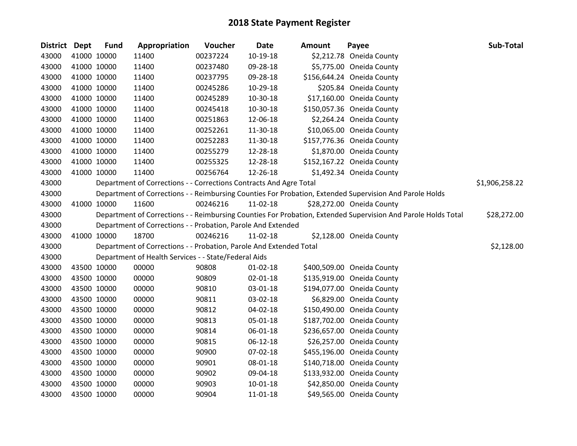| District Dept | <b>Fund</b> | Appropriation                                                      | Voucher  | <b>Date</b>    | <b>Amount</b> | Payee                                                                                                         | Sub-Total      |
|---------------|-------------|--------------------------------------------------------------------|----------|----------------|---------------|---------------------------------------------------------------------------------------------------------------|----------------|
| 43000         | 41000 10000 | 11400                                                              | 00237224 | 10-19-18       |               | \$2,212.78 Oneida County                                                                                      |                |
| 43000         | 41000 10000 | 11400                                                              | 00237480 | 09-28-18       |               | \$5,775.00 Oneida County                                                                                      |                |
| 43000         | 41000 10000 | 11400                                                              | 00237795 | 09-28-18       |               | \$156,644.24 Oneida County                                                                                    |                |
| 43000         | 41000 10000 | 11400                                                              | 00245286 | 10-29-18       |               | \$205.84 Oneida County                                                                                        |                |
| 43000         | 41000 10000 | 11400                                                              | 00245289 | 10-30-18       |               | \$17,160.00 Oneida County                                                                                     |                |
| 43000         | 41000 10000 | 11400                                                              | 00245418 | 10-30-18       |               | \$150,057.36 Oneida County                                                                                    |                |
| 43000         | 41000 10000 | 11400                                                              | 00251863 | 12-06-18       |               | \$2,264.24 Oneida County                                                                                      |                |
| 43000         | 41000 10000 | 11400                                                              | 00252261 | 11-30-18       |               | \$10,065.00 Oneida County                                                                                     |                |
| 43000         | 41000 10000 | 11400                                                              | 00252283 | 11-30-18       |               | \$157,776.36 Oneida County                                                                                    |                |
| 43000         | 41000 10000 | 11400                                                              | 00255279 | 12-28-18       |               | \$1,870.00 Oneida County                                                                                      |                |
| 43000         | 41000 10000 | 11400                                                              | 00255325 | 12-28-18       |               | \$152,167.22 Oneida County                                                                                    |                |
| 43000         | 41000 10000 | 11400                                                              | 00256764 | 12-26-18       |               | \$1,492.34 Oneida County                                                                                      |                |
| 43000         |             | Department of Corrections - - Corrections Contracts And Agre Total |          |                |               |                                                                                                               | \$1,906,258.22 |
| 43000         |             |                                                                    |          |                |               | Department of Corrections - - Reimbursing Counties For Probation, Extended Supervision And Parole Holds       |                |
| 43000         | 41000 10000 | 11600                                                              | 00246216 | 11-02-18       |               | \$28,272.00 Oneida County                                                                                     |                |
| 43000         |             |                                                                    |          |                |               | Department of Corrections - - Reimbursing Counties For Probation, Extended Supervision And Parole Holds Total | \$28,272.00    |
| 43000         |             | Department of Corrections - - Probation, Parole And Extended       |          |                |               |                                                                                                               |                |
| 43000         | 41000 10000 | 18700                                                              | 00246216 | $11-02-18$     |               | \$2,128.00 Oneida County                                                                                      |                |
| 43000         |             | Department of Corrections - - Probation, Parole And Extended Total |          |                |               |                                                                                                               | \$2,128.00     |
| 43000         |             | Department of Health Services - - State/Federal Aids               |          |                |               |                                                                                                               |                |
| 43000         | 43500 10000 | 00000                                                              | 90808    | $01 - 02 - 18$ |               | \$400,509.00 Oneida County                                                                                    |                |
| 43000         | 43500 10000 | 00000                                                              | 90809    | $02 - 01 - 18$ |               | \$135,919.00 Oneida County                                                                                    |                |
| 43000         | 43500 10000 | 00000                                                              | 90810    | 03-01-18       |               | \$194,077.00 Oneida County                                                                                    |                |
| 43000         | 43500 10000 | 00000                                                              | 90811    | 03-02-18       |               | \$6,829.00 Oneida County                                                                                      |                |
| 43000         | 43500 10000 | 00000                                                              | 90812    | 04-02-18       |               | \$150,490.00 Oneida County                                                                                    |                |
| 43000         | 43500 10000 | 00000                                                              | 90813    | 05-01-18       |               | \$187,702.00 Oneida County                                                                                    |                |
| 43000         | 43500 10000 | 00000                                                              | 90814    | 06-01-18       |               | \$236,657.00 Oneida County                                                                                    |                |
| 43000         | 43500 10000 | 00000                                                              | 90815    | $06 - 12 - 18$ |               | \$26,257.00 Oneida County                                                                                     |                |
| 43000         | 43500 10000 | 00000                                                              | 90900    | 07-02-18       |               | \$455,196.00 Oneida County                                                                                    |                |
| 43000         | 43500 10000 | 00000                                                              | 90901    | 08-01-18       |               | \$140,718.00 Oneida County                                                                                    |                |
| 43000         | 43500 10000 | 00000                                                              | 90902    | 09-04-18       |               | \$133,932.00 Oneida County                                                                                    |                |
| 43000         | 43500 10000 | 00000                                                              | 90903    | $10 - 01 - 18$ |               | \$42,850.00 Oneida County                                                                                     |                |
| 43000         | 43500 10000 | 00000                                                              | 90904    | 11-01-18       |               | \$49,565.00 Oneida County                                                                                     |                |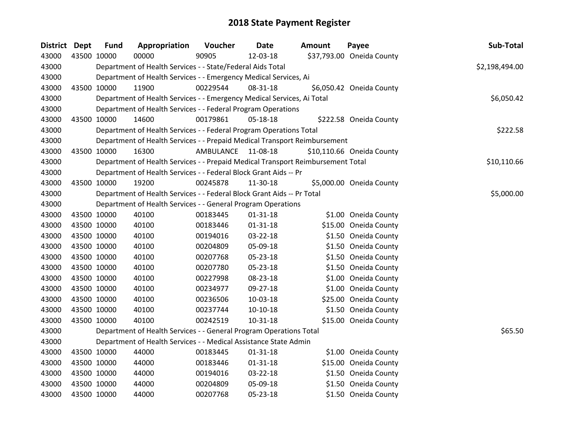| <b>District</b> | <b>Dept</b> | <b>Fund</b> | Appropriation                                                                   | Voucher          | <b>Date</b>    | <b>Amount</b> | Payee                     | Sub-Total      |
|-----------------|-------------|-------------|---------------------------------------------------------------------------------|------------------|----------------|---------------|---------------------------|----------------|
| 43000           | 43500 10000 |             | 00000                                                                           | 90905            | 12-03-18       |               | \$37,793.00 Oneida County |                |
| 43000           |             |             | Department of Health Services - - State/Federal Aids Total                      |                  |                |               |                           | \$2,198,494.00 |
| 43000           |             |             | Department of Health Services - - Emergency Medical Services, Ai                |                  |                |               |                           |                |
| 43000           | 43500 10000 |             | 11900                                                                           | 00229544         | 08-31-18       |               | \$6,050.42 Oneida County  |                |
| 43000           |             |             | Department of Health Services - - Emergency Medical Services, Ai Total          |                  |                |               |                           | \$6,050.42     |
| 43000           |             |             | Department of Health Services - - Federal Program Operations                    |                  |                |               |                           |                |
| 43000           |             | 43500 10000 | 14600                                                                           | 00179861         | 05-18-18       |               | \$222.58 Oneida County    |                |
| 43000           |             |             | Department of Health Services - - Federal Program Operations Total              |                  |                |               |                           | \$222.58       |
| 43000           |             |             | Department of Health Services - - Prepaid Medical Transport Reimbursement       |                  |                |               |                           |                |
| 43000           |             | 43500 10000 | 16300                                                                           | <b>AMBULANCE</b> | 11-08-18       |               | \$10,110.66 Oneida County |                |
| 43000           |             |             | Department of Health Services - - Prepaid Medical Transport Reimbursement Total |                  |                |               |                           | \$10,110.66    |
| 43000           |             |             | Department of Health Services - - Federal Block Grant Aids -- Pr                |                  |                |               |                           |                |
| 43000           |             | 43500 10000 | 19200                                                                           | 00245878         | 11-30-18       |               | \$5,000.00 Oneida County  |                |
| 43000           |             |             | Department of Health Services - - Federal Block Grant Aids -- Pr Total          |                  |                |               |                           | \$5,000.00     |
| 43000           |             |             | Department of Health Services - - General Program Operations                    |                  |                |               |                           |                |
| 43000           |             | 43500 10000 | 40100                                                                           | 00183445         | $01 - 31 - 18$ |               | \$1.00 Oneida County      |                |
| 43000           |             | 43500 10000 | 40100                                                                           | 00183446         | $01 - 31 - 18$ |               | \$15.00 Oneida County     |                |
| 43000           | 43500 10000 |             | 40100                                                                           | 00194016         | 03-22-18       |               | \$1.50 Oneida County      |                |
| 43000           | 43500 10000 |             | 40100                                                                           | 00204809         | 05-09-18       |               | \$1.50 Oneida County      |                |
| 43000           | 43500 10000 |             | 40100                                                                           | 00207768         | 05-23-18       |               | \$1.50 Oneida County      |                |
| 43000           |             | 43500 10000 | 40100                                                                           | 00207780         | 05-23-18       |               | \$1.50 Oneida County      |                |
| 43000           |             | 43500 10000 | 40100                                                                           | 00227998         | 08-23-18       |               | \$1.00 Oneida County      |                |
| 43000           | 43500 10000 |             | 40100                                                                           | 00234977         | 09-27-18       |               | \$1.00 Oneida County      |                |
| 43000           |             | 43500 10000 | 40100                                                                           | 00236506         | 10-03-18       |               | \$25.00 Oneida County     |                |
| 43000           |             | 43500 10000 | 40100                                                                           | 00237744         | $10-10-18$     |               | \$1.50 Oneida County      |                |
| 43000           |             | 43500 10000 | 40100                                                                           | 00242519         | 10-31-18       |               | \$15.00 Oneida County     |                |
| 43000           |             |             | Department of Health Services - - General Program Operations Total              |                  |                |               |                           | \$65.50        |
| 43000           |             |             | Department of Health Services - - Medical Assistance State Admin                |                  |                |               |                           |                |
| 43000           | 43500 10000 |             | 44000                                                                           | 00183445         | $01 - 31 - 18$ |               | \$1.00 Oneida County      |                |
| 43000           | 43500 10000 |             | 44000                                                                           | 00183446         | $01 - 31 - 18$ |               | \$15.00 Oneida County     |                |
| 43000           | 43500 10000 |             | 44000                                                                           | 00194016         | 03-22-18       |               | \$1.50 Oneida County      |                |
| 43000           |             | 43500 10000 | 44000                                                                           | 00204809         | 05-09-18       |               | \$1.50 Oneida County      |                |
| 43000           | 43500 10000 |             | 44000                                                                           | 00207768         | 05-23-18       |               | \$1.50 Oneida County      |                |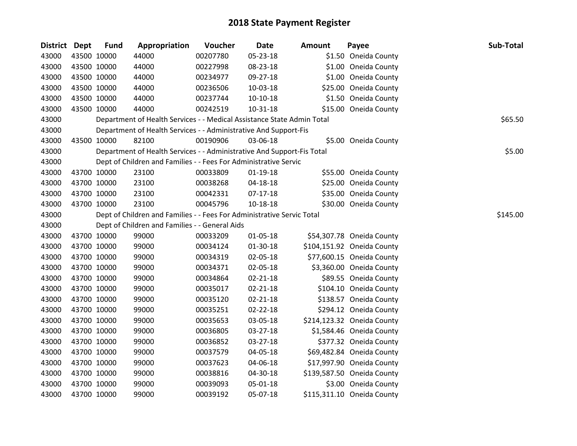| <b>District Dept</b> |             | <b>Fund</b> | Appropriation                                                          | Voucher  | <b>Date</b>    | <b>Amount</b> | Payee                      | Sub-Total |
|----------------------|-------------|-------------|------------------------------------------------------------------------|----------|----------------|---------------|----------------------------|-----------|
| 43000                |             | 43500 10000 | 44000                                                                  | 00207780 | 05-23-18       |               | \$1.50 Oneida County       |           |
| 43000                |             | 43500 10000 | 44000                                                                  | 00227998 | 08-23-18       |               | \$1.00 Oneida County       |           |
| 43000                |             | 43500 10000 | 44000                                                                  | 00234977 | 09-27-18       |               | \$1.00 Oneida County       |           |
| 43000                |             | 43500 10000 | 44000                                                                  | 00236506 | 10-03-18       |               | \$25.00 Oneida County      |           |
| 43000                | 43500 10000 |             | 44000                                                                  | 00237744 | $10-10-18$     |               | \$1.50 Oneida County       |           |
| 43000                |             | 43500 10000 | 44000                                                                  | 00242519 | $10 - 31 - 18$ |               | \$15.00 Oneida County      |           |
| 43000                |             |             | Department of Health Services - - Medical Assistance State Admin Total |          |                |               |                            | \$65.50   |
| 43000                |             |             | Department of Health Services - - Administrative And Support-Fis       |          |                |               |                            |           |
| 43000                |             | 43500 10000 | 82100                                                                  | 00190906 | 03-06-18       |               | \$5.00 Oneida County       |           |
| 43000                |             |             | Department of Health Services - - Administrative And Support-Fis Total |          |                |               |                            | \$5.00    |
| 43000                |             |             | Dept of Children and Families - - Fees For Administrative Servic       |          |                |               |                            |           |
| 43000                |             | 43700 10000 | 23100                                                                  | 00033809 | $01 - 19 - 18$ |               | \$55.00 Oneida County      |           |
| 43000                |             | 43700 10000 | 23100                                                                  | 00038268 | 04-18-18       |               | \$25.00 Oneida County      |           |
| 43000                |             | 43700 10000 | 23100                                                                  | 00042331 | $07-17-18$     |               | \$35.00 Oneida County      |           |
| 43000                | 43700 10000 |             | 23100                                                                  | 00045796 | $10 - 18 - 18$ |               | \$30.00 Oneida County      |           |
| 43000                |             |             | Dept of Children and Families - - Fees For Administrative Servic Total |          |                |               |                            | \$145.00  |
| 43000                |             |             | Dept of Children and Families - - General Aids                         |          |                |               |                            |           |
| 43000                |             | 43700 10000 | 99000                                                                  | 00033209 | 01-05-18       |               | \$54,307.78 Oneida County  |           |
| 43000                |             | 43700 10000 | 99000                                                                  | 00034124 | 01-30-18       |               | \$104,151.92 Oneida County |           |
| 43000                |             | 43700 10000 | 99000                                                                  | 00034319 | 02-05-18       |               | \$77,600.15 Oneida County  |           |
| 43000                | 43700 10000 |             | 99000                                                                  | 00034371 | 02-05-18       |               | \$3,360.00 Oneida County   |           |
| 43000                |             | 43700 10000 | 99000                                                                  | 00034864 | $02 - 21 - 18$ |               | \$89.55 Oneida County      |           |
| 43000                |             | 43700 10000 | 99000                                                                  | 00035017 | $02 - 21 - 18$ |               | \$104.10 Oneida County     |           |
| 43000                | 43700 10000 |             | 99000                                                                  | 00035120 | $02 - 21 - 18$ |               | \$138.57 Oneida County     |           |
| 43000                |             | 43700 10000 | 99000                                                                  | 00035251 | 02-22-18       |               | \$294.12 Oneida County     |           |
| 43000                |             | 43700 10000 | 99000                                                                  | 00035653 | 03-05-18       |               | \$214,123.32 Oneida County |           |
| 43000                |             | 43700 10000 | 99000                                                                  | 00036805 | 03-27-18       |               | \$1,584.46 Oneida County   |           |
| 43000                | 43700 10000 |             | 99000                                                                  | 00036852 | 03-27-18       |               | \$377.32 Oneida County     |           |
| 43000                | 43700 10000 |             | 99000                                                                  | 00037579 | 04-05-18       |               | \$69,482.84 Oneida County  |           |
| 43000                |             | 43700 10000 | 99000                                                                  | 00037623 | 04-06-18       |               | \$17,997.90 Oneida County  |           |
| 43000                |             | 43700 10000 | 99000                                                                  | 00038816 | 04-30-18       |               | \$139,587.50 Oneida County |           |
| 43000                |             | 43700 10000 | 99000                                                                  | 00039093 | 05-01-18       |               | \$3.00 Oneida County       |           |
| 43000                | 43700 10000 |             | 99000                                                                  | 00039192 | 05-07-18       |               | \$115,311.10 Oneida County |           |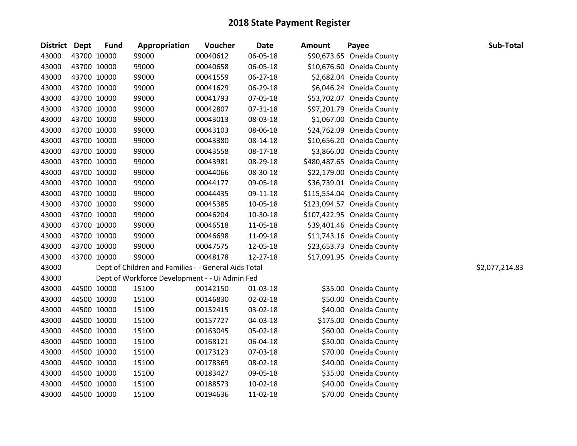| District Dept | <b>Fund</b> | Appropriation                                        | Voucher  | <b>Date</b> | <b>Amount</b> | Payee                      | Sub-Total      |
|---------------|-------------|------------------------------------------------------|----------|-------------|---------------|----------------------------|----------------|
| 43000         | 43700 10000 | 99000                                                | 00040612 | 06-05-18    |               | \$90,673.65 Oneida County  |                |
| 43000         | 43700 10000 | 99000                                                | 00040658 | 06-05-18    |               | \$10,676.60 Oneida County  |                |
| 43000         | 43700 10000 | 99000                                                | 00041559 | 06-27-18    |               | \$2,682.04 Oneida County   |                |
| 43000         | 43700 10000 | 99000                                                | 00041629 | 06-29-18    |               | \$6,046.24 Oneida County   |                |
| 43000         | 43700 10000 | 99000                                                | 00041793 | 07-05-18    |               | \$53,702.07 Oneida County  |                |
| 43000         | 43700 10000 | 99000                                                | 00042807 | 07-31-18    |               | \$97,201.79 Oneida County  |                |
| 43000         | 43700 10000 | 99000                                                | 00043013 | 08-03-18    |               | \$1,067.00 Oneida County   |                |
| 43000         | 43700 10000 | 99000                                                | 00043103 | 08-06-18    |               | \$24,762.09 Oneida County  |                |
| 43000         | 43700 10000 | 99000                                                | 00043380 | 08-14-18    |               | \$10,656.20 Oneida County  |                |
| 43000         | 43700 10000 | 99000                                                | 00043558 | 08-17-18    |               | \$3,866.00 Oneida County   |                |
| 43000         | 43700 10000 | 99000                                                | 00043981 | 08-29-18    |               | \$480,487.65 Oneida County |                |
| 43000         | 43700 10000 | 99000                                                | 00044066 | 08-30-18    |               | \$22,179.00 Oneida County  |                |
| 43000         | 43700 10000 | 99000                                                | 00044177 | 09-05-18    |               | \$36,739.01 Oneida County  |                |
| 43000         | 43700 10000 | 99000                                                | 00044435 | 09-11-18    |               | \$115,554.04 Oneida County |                |
| 43000         | 43700 10000 | 99000                                                | 00045385 | 10-05-18    |               | \$123,094.57 Oneida County |                |
| 43000         | 43700 10000 | 99000                                                | 00046204 | 10-30-18    |               | \$107,422.95 Oneida County |                |
| 43000         | 43700 10000 | 99000                                                | 00046518 | 11-05-18    |               | \$39,401.46 Oneida County  |                |
| 43000         | 43700 10000 | 99000                                                | 00046698 | 11-09-18    |               | \$11,743.16 Oneida County  |                |
| 43000         | 43700 10000 | 99000                                                | 00047575 | 12-05-18    |               | \$23,653.73 Oneida County  |                |
| 43000         | 43700 10000 | 99000                                                | 00048178 | 12-27-18    |               | \$17,091.95 Oneida County  |                |
| 43000         |             | Dept of Children and Families - - General Aids Total |          |             |               |                            | \$2,077,214.83 |
| 43000         |             | Dept of Workforce Development - - Ui Admin Fed       |          |             |               |                            |                |
| 43000         | 44500 10000 | 15100                                                | 00142150 | 01-03-18    |               | \$35.00 Oneida County      |                |
| 43000         | 44500 10000 | 15100                                                | 00146830 | 02-02-18    |               | \$50.00 Oneida County      |                |
| 43000         | 44500 10000 | 15100                                                | 00152415 | 03-02-18    |               | \$40.00 Oneida County      |                |
| 43000         | 44500 10000 | 15100                                                | 00157727 | 04-03-18    |               | \$175.00 Oneida County     |                |
| 43000         | 44500 10000 | 15100                                                | 00163045 | 05-02-18    |               | \$60.00 Oneida County      |                |
| 43000         | 44500 10000 | 15100                                                | 00168121 | 06-04-18    |               | \$30.00 Oneida County      |                |
| 43000         | 44500 10000 | 15100                                                | 00173123 | 07-03-18    |               | \$70.00 Oneida County      |                |
| 43000         | 44500 10000 | 15100                                                | 00178369 | 08-02-18    |               | \$40.00 Oneida County      |                |
| 43000         | 44500 10000 | 15100                                                | 00183427 | 09-05-18    |               | \$35.00 Oneida County      |                |
| 43000         | 44500 10000 | 15100                                                | 00188573 | 10-02-18    |               | \$40.00 Oneida County      |                |
| 43000         | 44500 10000 | 15100                                                | 00194636 | 11-02-18    |               | \$70.00 Oneida County      |                |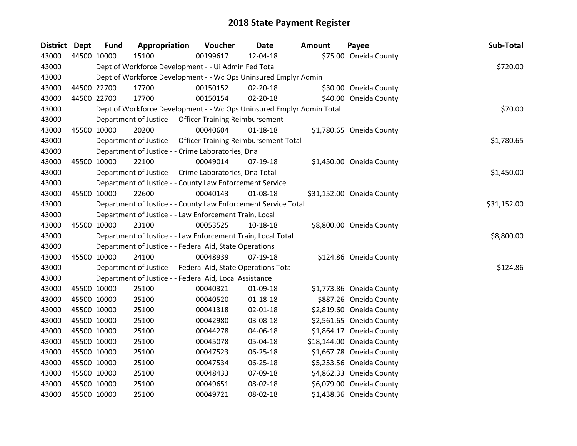| District Dept |             | <b>Fund</b> | Appropriation                                                         | Voucher  | <b>Date</b>    | <b>Amount</b> | Payee                     | Sub-Total   |
|---------------|-------------|-------------|-----------------------------------------------------------------------|----------|----------------|---------------|---------------------------|-------------|
| 43000         | 44500 10000 |             | 15100                                                                 | 00199617 | 12-04-18       |               | \$75.00 Oneida County     |             |
| 43000         |             |             | Dept of Workforce Development - - Ui Admin Fed Total                  |          |                |               |                           | \$720.00    |
| 43000         |             |             | Dept of Workforce Development - - Wc Ops Uninsured Emplyr Admin       |          |                |               |                           |             |
| 43000         |             | 44500 22700 | 17700                                                                 | 00150152 | 02-20-18       |               | \$30.00 Oneida County     |             |
| 43000         |             | 44500 22700 | 17700                                                                 | 00150154 | 02-20-18       |               | \$40.00 Oneida County     |             |
| 43000         |             |             | Dept of Workforce Development - - Wc Ops Uninsured Emplyr Admin Total |          |                |               |                           | \$70.00     |
| 43000         |             |             | Department of Justice - - Officer Training Reimbursement              |          |                |               |                           |             |
| 43000         |             | 45500 10000 | 20200                                                                 | 00040604 | $01 - 18 - 18$ |               | \$1,780.65 Oneida County  |             |
| 43000         |             |             | Department of Justice - - Officer Training Reimbursement Total        |          |                |               |                           | \$1,780.65  |
| 43000         |             |             | Department of Justice - - Crime Laboratories, Dna                     |          |                |               |                           |             |
| 43000         |             | 45500 10000 | 22100                                                                 | 00049014 | 07-19-18       |               | \$1,450.00 Oneida County  |             |
| 43000         |             |             | Department of Justice - - Crime Laboratories, Dna Total               |          |                |               |                           | \$1,450.00  |
| 43000         |             |             | Department of Justice - - County Law Enforcement Service              |          |                |               |                           |             |
| 43000         |             | 45500 10000 | 22600                                                                 | 00040143 | 01-08-18       |               | \$31,152.00 Oneida County |             |
| 43000         |             |             | Department of Justice - - County Law Enforcement Service Total        |          |                |               |                           | \$31,152.00 |
| 43000         |             |             | Department of Justice - - Law Enforcement Train, Local                |          |                |               |                           |             |
| 43000         |             | 45500 10000 | 23100                                                                 | 00053525 | 10-18-18       |               | \$8,800.00 Oneida County  |             |
| 43000         |             |             | Department of Justice - - Law Enforcement Train, Local Total          |          |                |               |                           | \$8,800.00  |
| 43000         |             |             | Department of Justice - - Federal Aid, State Operations               |          |                |               |                           |             |
| 43000         | 45500 10000 |             | 24100                                                                 | 00048939 | 07-19-18       |               | \$124.86 Oneida County    |             |
| 43000         |             |             | Department of Justice - - Federal Aid, State Operations Total         |          |                |               |                           | \$124.86    |
| 43000         |             |             | Department of Justice - - Federal Aid, Local Assistance               |          |                |               |                           |             |
| 43000         |             | 45500 10000 | 25100                                                                 | 00040321 | 01-09-18       |               | \$1,773.86 Oneida County  |             |
| 43000         |             | 45500 10000 | 25100                                                                 | 00040520 | $01 - 18 - 18$ |               | \$887.26 Oneida County    |             |
| 43000         |             | 45500 10000 | 25100                                                                 | 00041318 | 02-01-18       |               | \$2,819.60 Oneida County  |             |
| 43000         |             | 45500 10000 | 25100                                                                 | 00042980 | 03-08-18       |               | \$2,561.65 Oneida County  |             |
| 43000         |             | 45500 10000 | 25100                                                                 | 00044278 | 04-06-18       |               | \$1,864.17 Oneida County  |             |
| 43000         | 45500 10000 |             | 25100                                                                 | 00045078 | 05-04-18       |               | \$18,144.00 Oneida County |             |
| 43000         |             | 45500 10000 | 25100                                                                 | 00047523 | 06-25-18       |               | \$1,667.78 Oneida County  |             |
| 43000         |             | 45500 10000 | 25100                                                                 | 00047534 | 06-25-18       |               | \$5,253.56 Oneida County  |             |
| 43000         |             | 45500 10000 | 25100                                                                 | 00048433 | 07-09-18       |               | \$4,862.33 Oneida County  |             |
| 43000         | 45500 10000 |             | 25100                                                                 | 00049651 | 08-02-18       |               | \$6,079.00 Oneida County  |             |
| 43000         | 45500 10000 |             | 25100                                                                 | 00049721 | 08-02-18       |               | \$1,438.36 Oneida County  |             |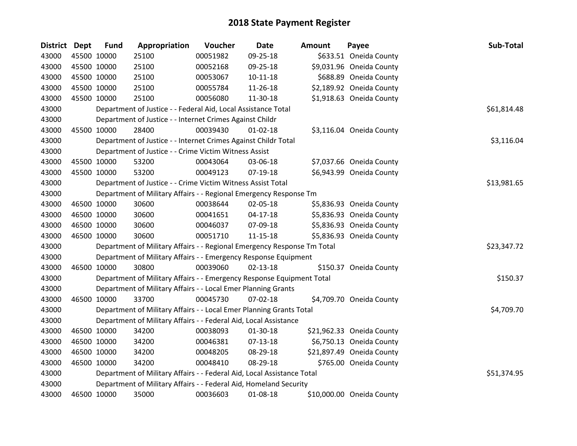| District Dept | <b>Fund</b> | Appropriation                                                           | Voucher  | <b>Date</b>    | <b>Amount</b> | Payee                     | Sub-Total   |
|---------------|-------------|-------------------------------------------------------------------------|----------|----------------|---------------|---------------------------|-------------|
| 43000         | 45500 10000 | 25100                                                                   | 00051982 | 09-25-18       |               | \$633.51 Oneida County    |             |
| 43000         | 45500 10000 | 25100                                                                   | 00052168 | 09-25-18       |               | \$9,031.96 Oneida County  |             |
| 43000         | 45500 10000 | 25100                                                                   | 00053067 | $10-11-18$     |               | \$688.89 Oneida County    |             |
| 43000         | 45500 10000 | 25100                                                                   | 00055784 | 11-26-18       |               | \$2,189.92 Oneida County  |             |
| 43000         | 45500 10000 | 25100                                                                   | 00056080 | 11-30-18       |               | \$1,918.63 Oneida County  |             |
| 43000         |             | Department of Justice - - Federal Aid, Local Assistance Total           |          |                |               |                           | \$61,814.48 |
| 43000         |             | Department of Justice - - Internet Crimes Against Childr                |          |                |               |                           |             |
| 43000         | 45500 10000 | 28400                                                                   | 00039430 | $01 - 02 - 18$ |               | \$3,116.04 Oneida County  |             |
| 43000         |             | Department of Justice - - Internet Crimes Against Childr Total          |          |                |               |                           | \$3,116.04  |
| 43000         |             | Department of Justice - - Crime Victim Witness Assist                   |          |                |               |                           |             |
| 43000         | 45500 10000 | 53200                                                                   | 00043064 | 03-06-18       |               | \$7,037.66 Oneida County  |             |
| 43000         | 45500 10000 | 53200                                                                   | 00049123 | $07-19-18$     |               | \$6,943.99 Oneida County  |             |
| 43000         |             | Department of Justice - - Crime Victim Witness Assist Total             |          |                |               |                           | \$13,981.65 |
| 43000         |             | Department of Military Affairs - - Regional Emergency Response Tm       |          |                |               |                           |             |
| 43000         | 46500 10000 | 30600                                                                   | 00038644 | 02-05-18       |               | \$5,836.93 Oneida County  |             |
| 43000         | 46500 10000 | 30600                                                                   | 00041651 | $04-17-18$     |               | \$5,836.93 Oneida County  |             |
| 43000         | 46500 10000 | 30600                                                                   | 00046037 | 07-09-18       |               | \$5,836.93 Oneida County  |             |
| 43000         | 46500 10000 | 30600                                                                   | 00051710 | $11 - 15 - 18$ |               | \$5,836.93 Oneida County  |             |
| 43000         |             | Department of Military Affairs - - Regional Emergency Response Tm Total |          |                |               |                           | \$23,347.72 |
| 43000         |             | Department of Military Affairs - - Emergency Response Equipment         |          |                |               |                           |             |
| 43000         | 46500 10000 | 30800                                                                   | 00039060 | $02 - 13 - 18$ |               | \$150.37 Oneida County    |             |
| 43000         |             | Department of Military Affairs - - Emergency Response Equipment Total   |          |                |               |                           | \$150.37    |
| 43000         |             | Department of Military Affairs - - Local Emer Planning Grants           |          |                |               |                           |             |
| 43000         | 46500 10000 | 33700                                                                   | 00045730 | $07 - 02 - 18$ |               | \$4,709.70 Oneida County  |             |
| 43000         |             | Department of Military Affairs - - Local Emer Planning Grants Total     |          |                |               |                           | \$4,709.70  |
| 43000         |             | Department of Military Affairs - - Federal Aid, Local Assistance        |          |                |               |                           |             |
| 43000         | 46500 10000 | 34200                                                                   | 00038093 | $01 - 30 - 18$ |               | \$21,962.33 Oneida County |             |
| 43000         | 46500 10000 | 34200                                                                   | 00046381 | $07 - 13 - 18$ |               | \$6,750.13 Oneida County  |             |
| 43000         | 46500 10000 | 34200                                                                   | 00048205 | 08-29-18       |               | \$21,897.49 Oneida County |             |
| 43000         | 46500 10000 | 34200                                                                   | 00048410 | 08-29-18       |               | \$765.00 Oneida County    |             |
| 43000         |             | Department of Military Affairs - - Federal Aid, Local Assistance Total  |          |                |               |                           | \$51,374.95 |
| 43000         |             | Department of Military Affairs - - Federal Aid, Homeland Security       |          |                |               |                           |             |
| 43000         | 46500 10000 | 35000                                                                   | 00036603 | 01-08-18       |               | \$10,000.00 Oneida County |             |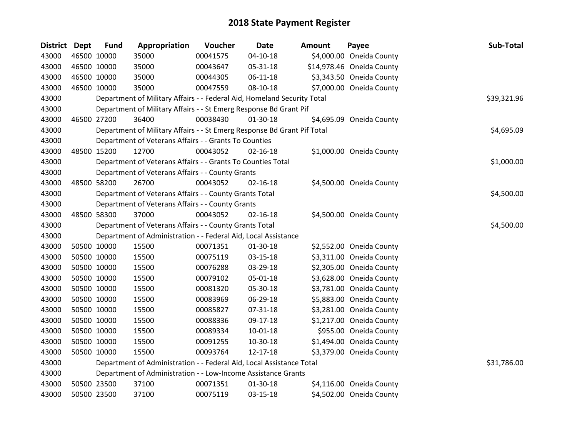| <b>District</b> | <b>Dept</b> | <b>Fund</b> | Appropriation                                                           | Voucher  | <b>Date</b>    | Amount | Payee                     | Sub-Total   |
|-----------------|-------------|-------------|-------------------------------------------------------------------------|----------|----------------|--------|---------------------------|-------------|
| 43000           |             | 46500 10000 | 35000                                                                   | 00041575 | $04 - 10 - 18$ |        | \$4,000.00 Oneida County  |             |
| 43000           |             | 46500 10000 | 35000                                                                   | 00043647 | 05-31-18       |        | \$14,978.46 Oneida County |             |
| 43000           | 46500 10000 |             | 35000                                                                   | 00044305 | 06-11-18       |        | \$3,343.50 Oneida County  |             |
| 43000           |             | 46500 10000 | 35000                                                                   | 00047559 | 08-10-18       |        | \$7,000.00 Oneida County  |             |
| 43000           |             |             | Department of Military Affairs - - Federal Aid, Homeland Security Total |          |                |        |                           | \$39,321.96 |
| 43000           |             |             | Department of Military Affairs - - St Emerg Response Bd Grant Pif       |          |                |        |                           |             |
| 43000           |             | 46500 27200 | 36400                                                                   | 00038430 | $01-30-18$     |        | \$4,695.09 Oneida County  |             |
| 43000           |             |             | Department of Military Affairs - - St Emerg Response Bd Grant Pif Total |          |                |        |                           | \$4,695.09  |
| 43000           |             |             | Department of Veterans Affairs - - Grants To Counties                   |          |                |        |                           |             |
| 43000           |             | 48500 15200 | 12700                                                                   | 00043052 | $02 - 16 - 18$ |        | \$1,000.00 Oneida County  |             |
| 43000           |             |             | Department of Veterans Affairs - - Grants To Counties Total             |          |                |        |                           | \$1,000.00  |
| 43000           |             |             | Department of Veterans Affairs - - County Grants                        |          |                |        |                           |             |
| 43000           |             | 48500 58200 | 26700                                                                   | 00043052 | $02 - 16 - 18$ |        | \$4,500.00 Oneida County  |             |
| 43000           |             |             | Department of Veterans Affairs - - County Grants Total                  |          |                |        |                           | \$4,500.00  |
| 43000           |             |             | Department of Veterans Affairs - - County Grants                        |          |                |        |                           |             |
| 43000           |             | 48500 58300 | 37000                                                                   | 00043052 | $02 - 16 - 18$ |        | \$4,500.00 Oneida County  |             |
| 43000           |             |             | Department of Veterans Affairs - - County Grants Total                  |          |                |        |                           | \$4,500.00  |
| 43000           |             |             | Department of Administration - - Federal Aid, Local Assistance          |          |                |        |                           |             |
| 43000           |             | 50500 10000 | 15500                                                                   | 00071351 | 01-30-18       |        | \$2,552.00 Oneida County  |             |
| 43000           |             | 50500 10000 | 15500                                                                   | 00075119 | 03-15-18       |        | \$3,311.00 Oneida County  |             |
| 43000           |             | 50500 10000 | 15500                                                                   | 00076288 | 03-29-18       |        | \$2,305.00 Oneida County  |             |
| 43000           |             | 50500 10000 | 15500                                                                   | 00079102 | 05-01-18       |        | \$3,628.00 Oneida County  |             |
| 43000           |             | 50500 10000 | 15500                                                                   | 00081320 | 05-30-18       |        | \$3,781.00 Oneida County  |             |
| 43000           |             | 50500 10000 | 15500                                                                   | 00083969 | 06-29-18       |        | \$5,883.00 Oneida County  |             |
| 43000           |             | 50500 10000 | 15500                                                                   | 00085827 | 07-31-18       |        | \$3,281.00 Oneida County  |             |
| 43000           |             | 50500 10000 | 15500                                                                   | 00088336 | 09-17-18       |        | \$1,217.00 Oneida County  |             |
| 43000           |             | 50500 10000 | 15500                                                                   | 00089334 | $10 - 01 - 18$ |        | \$955.00 Oneida County    |             |
| 43000           |             | 50500 10000 | 15500                                                                   | 00091255 | 10-30-18       |        | \$1,494.00 Oneida County  |             |
| 43000           |             | 50500 10000 | 15500                                                                   | 00093764 | 12-17-18       |        | \$3,379.00 Oneida County  |             |
| 43000           |             |             | Department of Administration - - Federal Aid, Local Assistance Total    |          |                |        |                           | \$31,786.00 |
| 43000           |             |             | Department of Administration - - Low-Income Assistance Grants           |          |                |        |                           |             |
| 43000           |             | 50500 23500 | 37100                                                                   | 00071351 | 01-30-18       |        | \$4,116.00 Oneida County  |             |
| 43000           |             | 50500 23500 | 37100                                                                   | 00075119 | 03-15-18       |        | \$4,502.00 Oneida County  |             |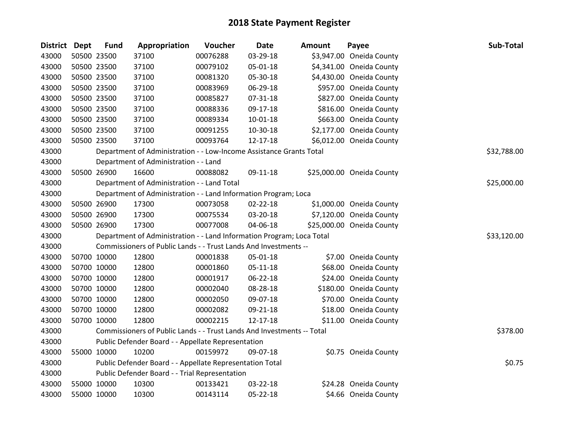| <b>District Dept</b> | <b>Fund</b> | Appropriation                                                          | Voucher  | <b>Date</b>    | <b>Amount</b> | Payee                     | Sub-Total   |
|----------------------|-------------|------------------------------------------------------------------------|----------|----------------|---------------|---------------------------|-------------|
| 43000                | 50500 23500 | 37100                                                                  | 00076288 | 03-29-18       |               | \$3,947.00 Oneida County  |             |
| 43000                | 50500 23500 | 37100                                                                  | 00079102 | 05-01-18       |               | \$4,341.00 Oneida County  |             |
| 43000                | 50500 23500 | 37100                                                                  | 00081320 | 05-30-18       |               | \$4,430.00 Oneida County  |             |
| 43000                | 50500 23500 | 37100                                                                  | 00083969 | 06-29-18       |               | \$957.00 Oneida County    |             |
| 43000                | 50500 23500 | 37100                                                                  | 00085827 | 07-31-18       |               | \$827.00 Oneida County    |             |
| 43000                | 50500 23500 | 37100                                                                  | 00088336 | 09-17-18       |               | \$816.00 Oneida County    |             |
| 43000                | 50500 23500 | 37100                                                                  | 00089334 | 10-01-18       |               | \$663.00 Oneida County    |             |
| 43000                | 50500 23500 | 37100                                                                  | 00091255 | 10-30-18       |               | \$2,177.00 Oneida County  |             |
| 43000                | 50500 23500 | 37100                                                                  | 00093764 | 12-17-18       |               | \$6,012.00 Oneida County  |             |
| 43000                |             | Department of Administration - - Low-Income Assistance Grants Total    |          |                |               |                           | \$32,788.00 |
| 43000                |             | Department of Administration - - Land                                  |          |                |               |                           |             |
| 43000                | 50500 26900 | 16600                                                                  | 00088082 | 09-11-18       |               | \$25,000.00 Oneida County |             |
| 43000                |             | Department of Administration - - Land Total                            |          |                |               |                           | \$25,000.00 |
| 43000                |             | Department of Administration - - Land Information Program; Loca        |          |                |               |                           |             |
| 43000                | 50500 26900 | 17300                                                                  | 00073058 | $02 - 22 - 18$ |               | \$1,000.00 Oneida County  |             |
| 43000                | 50500 26900 | 17300                                                                  | 00075534 | 03-20-18       |               | \$7,120.00 Oneida County  |             |
| 43000                | 50500 26900 | 17300                                                                  | 00077008 | 04-06-18       |               | \$25,000.00 Oneida County |             |
| 43000                |             | Department of Administration - - Land Information Program; Loca Total  |          |                |               |                           | \$33,120.00 |
| 43000                |             | Commissioners of Public Lands - - Trust Lands And Investments --       |          |                |               |                           |             |
| 43000                | 50700 10000 | 12800                                                                  | 00001838 | 05-01-18       |               | \$7.00 Oneida County      |             |
| 43000                | 50700 10000 | 12800                                                                  | 00001860 | 05-11-18       |               | \$68.00 Oneida County     |             |
| 43000                | 50700 10000 | 12800                                                                  | 00001917 | 06-22-18       |               | \$24.00 Oneida County     |             |
| 43000                | 50700 10000 | 12800                                                                  | 00002040 | 08-28-18       |               | \$180.00 Oneida County    |             |
| 43000                | 50700 10000 | 12800                                                                  | 00002050 | 09-07-18       |               | \$70.00 Oneida County     |             |
| 43000                | 50700 10000 | 12800                                                                  | 00002082 | 09-21-18       |               | \$18.00 Oneida County     |             |
| 43000                | 50700 10000 | 12800                                                                  | 00002215 | 12-17-18       |               | \$11.00 Oneida County     |             |
| 43000                |             | Commissioners of Public Lands - - Trust Lands And Investments -- Total |          |                |               |                           | \$378.00    |
| 43000                |             | Public Defender Board - - Appellate Representation                     |          |                |               |                           |             |
| 43000                | 55000 10000 | 10200                                                                  | 00159972 | 09-07-18       |               | \$0.75 Oneida County      |             |
| 43000                |             | Public Defender Board - - Appellate Representation Total               |          |                |               |                           | \$0.75      |
| 43000                |             | Public Defender Board - - Trial Representation                         |          |                |               |                           |             |
| 43000                | 55000 10000 | 10300                                                                  | 00133421 | 03-22-18       |               | \$24.28 Oneida County     |             |
| 43000                | 55000 10000 | 10300                                                                  | 00143114 | 05-22-18       |               | \$4.66 Oneida County      |             |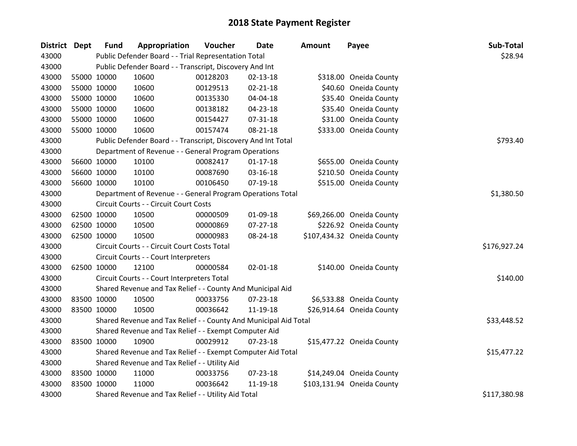| <b>District Dept</b> |             | <b>Fund</b> | Appropriation                                                    | Voucher  | <b>Date</b>    | Amount       | Payee                      | Sub-Total    |
|----------------------|-------------|-------------|------------------------------------------------------------------|----------|----------------|--------------|----------------------------|--------------|
| 43000                |             |             | Public Defender Board - - Trial Representation Total             |          |                |              |                            | \$28.94      |
| 43000                |             |             | Public Defender Board - - Transcript, Discovery And Int          |          |                |              |                            |              |
| 43000                |             | 55000 10000 | 10600                                                            | 00128203 | $02 - 13 - 18$ |              | \$318.00 Oneida County     |              |
| 43000                |             | 55000 10000 | 10600                                                            | 00129513 | 02-21-18       |              | \$40.60 Oneida County      |              |
| 43000                |             | 55000 10000 | 10600                                                            | 00135330 | 04-04-18       |              | \$35.40 Oneida County      |              |
| 43000                |             | 55000 10000 | 10600                                                            | 00138182 | 04-23-18       |              | \$35.40 Oneida County      |              |
| 43000                |             | 55000 10000 | 10600                                                            | 00154427 | 07-31-18       |              | \$31.00 Oneida County      |              |
| 43000                |             | 55000 10000 | 10600                                                            | 00157474 | 08-21-18       |              | \$333.00 Oneida County     |              |
| 43000                |             |             | Public Defender Board - - Transcript, Discovery And Int Total    |          | \$793.40       |              |                            |              |
| 43000                |             |             | Department of Revenue - - General Program Operations             |          |                |              |                            |              |
| 43000                |             | 56600 10000 | 10100                                                            | 00082417 | $01 - 17 - 18$ |              | \$655.00 Oneida County     |              |
| 43000                |             | 56600 10000 | 10100                                                            | 00087690 | 03-16-18       |              | \$210.50 Oneida County     |              |
| 43000                |             | 56600 10000 | 10100                                                            | 00106450 | 07-19-18       |              | \$515.00 Oneida County     |              |
| 43000                |             |             | Department of Revenue - - General Program Operations Total       |          |                |              |                            | \$1,380.50   |
| 43000                |             |             | Circuit Courts - - Circuit Court Costs                           |          |                |              |                            |              |
| 43000                |             | 62500 10000 | 10500                                                            | 00000509 | 01-09-18       |              | \$69,266.00 Oneida County  |              |
| 43000                |             | 62500 10000 | 10500                                                            | 00000869 | 07-27-18       |              | \$226.92 Oneida County     |              |
| 43000                |             | 62500 10000 | 10500                                                            | 00000983 | 08-24-18       |              | \$107,434.32 Oneida County |              |
| 43000                |             |             | Circuit Courts - - Circuit Court Costs Total                     |          |                |              |                            | \$176,927.24 |
| 43000                |             |             | Circuit Courts - - Court Interpreters                            |          |                |              |                            |              |
| 43000                | 62500 10000 |             | 12100                                                            | 00000584 | 02-01-18       |              | \$140.00 Oneida County     |              |
| 43000                |             |             | Circuit Courts - - Court Interpreters Total                      |          |                |              |                            | \$140.00     |
| 43000                |             |             | Shared Revenue and Tax Relief - - County And Municipal Aid       |          |                |              |                            |              |
| 43000                | 83500 10000 |             | 10500                                                            | 00033756 | 07-23-18       |              | \$6,533.88 Oneida County   |              |
| 43000                |             | 83500 10000 | 10500                                                            | 00036642 | 11-19-18       |              | \$26,914.64 Oneida County  |              |
| 43000                |             |             | Shared Revenue and Tax Relief - - County And Municipal Aid Total |          |                |              |                            | \$33,448.52  |
| 43000                |             |             | Shared Revenue and Tax Relief - - Exempt Computer Aid            |          |                |              |                            |              |
| 43000                | 83500 10000 |             | 10900                                                            | 00029912 | 07-23-18       |              | \$15,477.22 Oneida County  |              |
| 43000                |             |             | Shared Revenue and Tax Relief - - Exempt Computer Aid Total      |          |                |              |                            | \$15,477.22  |
| 43000                |             |             | Shared Revenue and Tax Relief - - Utility Aid                    |          |                |              |                            |              |
| 43000                | 83500 10000 |             | 11000                                                            | 00033756 | 07-23-18       |              | \$14,249.04 Oneida County  |              |
| 43000                | 83500 10000 |             | 11000                                                            | 00036642 | 11-19-18       |              | \$103,131.94 Oneida County |              |
| 43000                |             |             | Shared Revenue and Tax Relief - - Utility Aid Total              |          |                | \$117,380.98 |                            |              |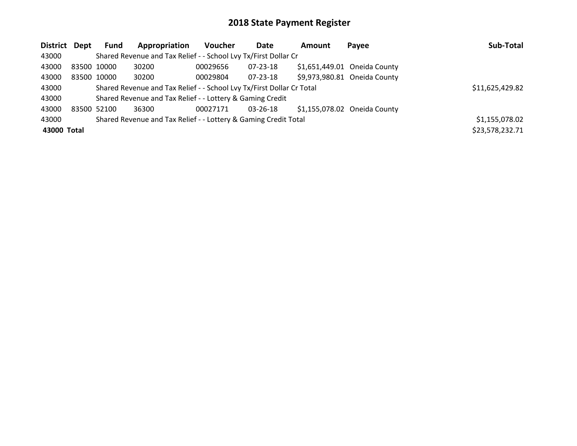| District Dept |             | <b>Fund</b> | Appropriation                                                         | <b>Voucher</b> | Date     | Amount | Payee                        | Sub-Total       |
|---------------|-------------|-------------|-----------------------------------------------------------------------|----------------|----------|--------|------------------------------|-----------------|
| 43000         |             |             | Shared Revenue and Tax Relief - - School Lvy Tx/First Dollar Cr       |                |          |        |                              |                 |
| 43000         | 83500 10000 |             | 30200                                                                 | 00029656       | 07-23-18 |        | \$1,651,449.01 Oneida County |                 |
| 43000         |             | 83500 10000 | 30200                                                                 | 00029804       | 07-23-18 |        | \$9,973,980.81 Oneida County |                 |
| 43000         |             |             | Shared Revenue and Tax Relief - - School Lvy Tx/First Dollar Cr Total |                |          |        |                              | \$11,625,429.82 |
| 43000         |             |             | Shared Revenue and Tax Relief - - Lottery & Gaming Credit             |                |          |        |                              |                 |
| 43000         | 83500 52100 |             | 36300                                                                 | 00027171       | 03-26-18 |        | \$1,155,078.02 Oneida County |                 |
| 43000         |             |             | Shared Revenue and Tax Relief - - Lottery & Gaming Credit Total       |                |          |        |                              | \$1,155,078.02  |
| 43000 Total   |             |             |                                                                       |                |          |        |                              | \$23,578,232.71 |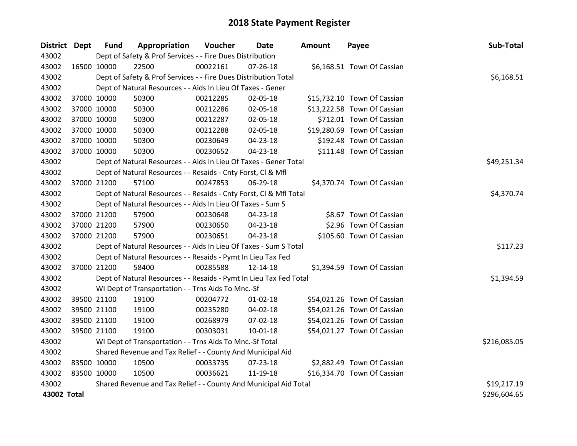| District Dept |             | <b>Fund</b> | Appropriation                                                      | Voucher  | Date           | <b>Amount</b> | Payee                       | Sub-Total    |
|---------------|-------------|-------------|--------------------------------------------------------------------|----------|----------------|---------------|-----------------------------|--------------|
| 43002         |             |             | Dept of Safety & Prof Services - - Fire Dues Distribution          |          |                |               |                             |              |
| 43002         |             | 16500 10000 | 22500                                                              | 00022161 | $07 - 26 - 18$ |               | \$6,168.51 Town Of Cassian  |              |
| 43002         |             |             | Dept of Safety & Prof Services - - Fire Dues Distribution Total    |          |                |               |                             | \$6,168.51   |
| 43002         |             |             | Dept of Natural Resources - - Aids In Lieu Of Taxes - Gener        |          |                |               |                             |              |
| 43002         |             | 37000 10000 | 50300                                                              | 00212285 | 02-05-18       |               | \$15,732.10 Town Of Cassian |              |
| 43002         |             | 37000 10000 | 50300                                                              | 00212286 | 02-05-18       |               | \$13,222.58 Town Of Cassian |              |
| 43002         |             | 37000 10000 | 50300                                                              | 00212287 | 02-05-18       |               | \$712.01 Town Of Cassian    |              |
| 43002         |             | 37000 10000 | 50300                                                              | 00212288 | 02-05-18       |               | \$19,280.69 Town Of Cassian |              |
| 43002         |             | 37000 10000 | 50300                                                              | 00230649 | $04 - 23 - 18$ |               | \$192.48 Town Of Cassian    |              |
| 43002         |             | 37000 10000 | 50300                                                              | 00230652 | 04-23-18       |               | \$111.48 Town Of Cassian    |              |
| 43002         |             |             | Dept of Natural Resources - - Aids In Lieu Of Taxes - Gener Total  |          |                |               |                             | \$49,251.34  |
| 43002         |             |             | Dept of Natural Resources - - Resaids - Cnty Forst, Cl & Mfl       |          |                |               |                             |              |
| 43002         |             | 37000 21200 | 57100                                                              | 00247853 | 06-29-18       |               | \$4,370.74 Town Of Cassian  |              |
| 43002         |             |             | Dept of Natural Resources - - Resaids - Cnty Forst, Cl & Mfl Total |          |                |               |                             | \$4,370.74   |
| 43002         |             |             | Dept of Natural Resources - - Aids In Lieu Of Taxes - Sum S        |          |                |               |                             |              |
| 43002         |             | 37000 21200 | 57900                                                              | 00230648 | 04-23-18       |               | \$8.67 Town Of Cassian      |              |
| 43002         |             | 37000 21200 | 57900                                                              | 00230650 | 04-23-18       |               | \$2.96 Town Of Cassian      |              |
| 43002         |             | 37000 21200 | 57900                                                              | 00230651 | $04 - 23 - 18$ |               | \$105.60 Town Of Cassian    |              |
| 43002         |             |             | Dept of Natural Resources - - Aids In Lieu Of Taxes - Sum S Total  |          |                |               |                             | \$117.23     |
| 43002         |             |             | Dept of Natural Resources - - Resaids - Pymt In Lieu Tax Fed       |          |                |               |                             |              |
| 43002         |             | 37000 21200 | 58400                                                              | 00285588 | 12-14-18       |               | \$1,394.59 Town Of Cassian  |              |
| 43002         |             |             | Dept of Natural Resources - - Resaids - Pymt In Lieu Tax Fed Total |          |                |               |                             | \$1,394.59   |
| 43002         |             |             | WI Dept of Transportation - - Trns Aids To Mnc.-Sf                 |          |                |               |                             |              |
| 43002         |             | 39500 21100 | 19100                                                              | 00204772 | $01 - 02 - 18$ |               | \$54,021.26 Town Of Cassian |              |
| 43002         |             | 39500 21100 | 19100                                                              | 00235280 | 04-02-18       |               | \$54,021.26 Town Of Cassian |              |
| 43002         |             | 39500 21100 | 19100                                                              | 00268979 | 07-02-18       |               | \$54,021.26 Town Of Cassian |              |
| 43002         |             | 39500 21100 | 19100                                                              | 00303031 | $10 - 01 - 18$ |               | \$54,021.27 Town Of Cassian |              |
| 43002         |             |             | WI Dept of Transportation - - Trns Aids To Mnc.-Sf Total           |          |                |               |                             | \$216,085.05 |
| 43002         |             |             | Shared Revenue and Tax Relief - - County And Municipal Aid         |          |                |               |                             |              |
| 43002         | 83500 10000 |             | 10500                                                              | 00033735 | 07-23-18       |               | \$2,882.49 Town Of Cassian  |              |
| 43002         |             | 83500 10000 | 10500                                                              | 00036621 | 11-19-18       |               | \$16,334.70 Town Of Cassian |              |
| 43002         |             |             | Shared Revenue and Tax Relief - - County And Municipal Aid Total   |          |                |               |                             | \$19,217.19  |
| 43002 Total   |             |             |                                                                    |          |                |               |                             | \$296,604.65 |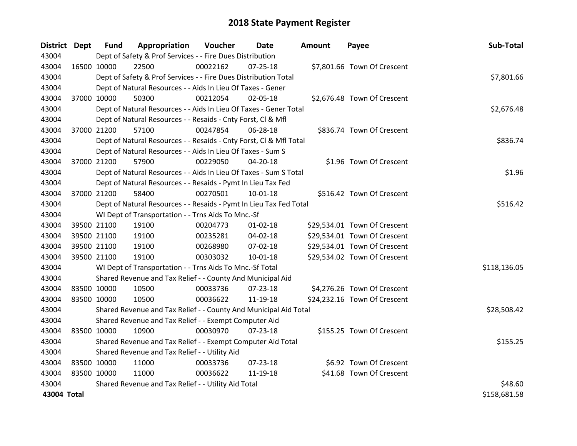| District Dept |             | <b>Fund</b> | Appropriation                                                      | Voucher  | Date           | Amount | Payee                        | Sub-Total    |
|---------------|-------------|-------------|--------------------------------------------------------------------|----------|----------------|--------|------------------------------|--------------|
| 43004         |             |             | Dept of Safety & Prof Services - - Fire Dues Distribution          |          |                |        |                              |              |
| 43004         | 16500 10000 |             | 22500                                                              | 00022162 | $07 - 25 - 18$ |        | \$7,801.66 Town Of Crescent  |              |
| 43004         |             |             | Dept of Safety & Prof Services - - Fire Dues Distribution Total    |          |                |        |                              | \$7,801.66   |
| 43004         |             |             | Dept of Natural Resources - - Aids In Lieu Of Taxes - Gener        |          |                |        |                              |              |
| 43004         |             | 37000 10000 | 50300                                                              | 00212054 | 02-05-18       |        | \$2,676.48 Town Of Crescent  |              |
| 43004         |             |             | Dept of Natural Resources - - Aids In Lieu Of Taxes - Gener Total  |          |                |        |                              | \$2,676.48   |
| 43004         |             |             | Dept of Natural Resources - - Resaids - Cnty Forst, Cl & Mfl       |          |                |        |                              |              |
| 43004         |             | 37000 21200 | 57100                                                              | 00247854 | 06-28-18       |        | \$836.74 Town Of Crescent    |              |
| 43004         |             |             | Dept of Natural Resources - - Resaids - Cnty Forst, Cl & Mfl Total |          |                |        |                              | \$836.74     |
| 43004         |             |             | Dept of Natural Resources - - Aids In Lieu Of Taxes - Sum S        |          |                |        |                              |              |
| 43004         |             | 37000 21200 | 57900                                                              | 00229050 | 04-20-18       |        | \$1.96 Town Of Crescent      |              |
| 43004         |             |             | Dept of Natural Resources - - Aids In Lieu Of Taxes - Sum S Total  |          |                |        |                              | \$1.96       |
| 43004         |             |             | Dept of Natural Resources - - Resaids - Pymt In Lieu Tax Fed       |          |                |        |                              |              |
| 43004         |             | 37000 21200 | 58400                                                              | 00270501 | 10-01-18       |        | \$516.42 Town Of Crescent    |              |
| 43004         |             |             | Dept of Natural Resources - - Resaids - Pymt In Lieu Tax Fed Total | \$516.42 |                |        |                              |              |
| 43004         |             |             | WI Dept of Transportation - - Trns Aids To Mnc.-Sf                 |          |                |        |                              |              |
| 43004         |             | 39500 21100 | 19100                                                              | 00204773 | $01 - 02 - 18$ |        | \$29,534.01 Town Of Crescent |              |
| 43004         | 39500 21100 |             | 19100                                                              | 00235281 | 04-02-18       |        | \$29,534.01 Town Of Crescent |              |
| 43004         | 39500 21100 |             | 19100                                                              | 00268980 | 07-02-18       |        | \$29,534.01 Town Of Crescent |              |
| 43004         |             | 39500 21100 | 19100                                                              | 00303032 | $10 - 01 - 18$ |        | \$29,534.02 Town Of Crescent |              |
| 43004         |             |             | WI Dept of Transportation - - Trns Aids To Mnc.-Sf Total           |          |                |        |                              | \$118,136.05 |
| 43004         |             |             | Shared Revenue and Tax Relief - - County And Municipal Aid         |          |                |        |                              |              |
| 43004         |             | 83500 10000 | 10500                                                              | 00033736 | $07 - 23 - 18$ |        | \$4,276.26 Town Of Crescent  |              |
| 43004         | 83500 10000 |             | 10500                                                              | 00036622 | 11-19-18       |        | \$24,232.16 Town Of Crescent |              |
| 43004         |             |             | Shared Revenue and Tax Relief - - County And Municipal Aid Total   |          |                |        |                              | \$28,508.42  |
| 43004         |             |             | Shared Revenue and Tax Relief - - Exempt Computer Aid              |          |                |        |                              |              |
| 43004         | 83500 10000 |             | 10900                                                              | 00030970 | $07 - 23 - 18$ |        | \$155.25 Town Of Crescent    |              |
| 43004         |             |             | Shared Revenue and Tax Relief - - Exempt Computer Aid Total        |          |                |        |                              | \$155.25     |
| 43004         |             |             | Shared Revenue and Tax Relief - - Utility Aid                      |          |                |        |                              |              |
| 43004         | 83500 10000 |             | 11000                                                              | 00033736 | $07 - 23 - 18$ |        | \$6.92 Town Of Crescent      |              |
| 43004         | 83500 10000 |             | 11000                                                              | 00036622 | 11-19-18       |        | \$41.68 Town Of Crescent     |              |
| 43004         |             |             | Shared Revenue and Tax Relief - - Utility Aid Total                |          |                |        |                              | \$48.60      |
| 43004 Total   |             |             |                                                                    |          |                |        |                              | \$158,681.58 |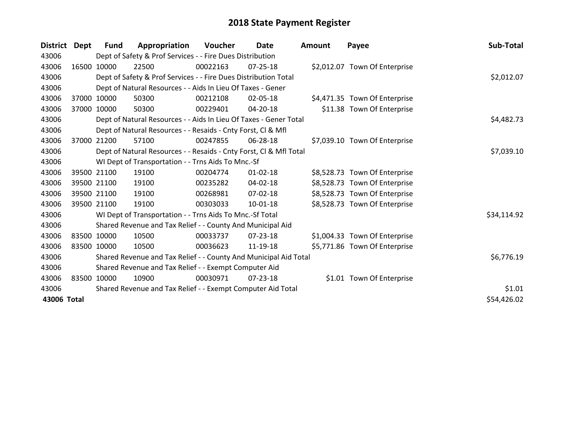| <b>District</b> | Dept  | <b>Fund</b>                                                  | Appropriation                                                      | Voucher  | <b>Date</b>    | <b>Amount</b> | Payee                         | Sub-Total   |
|-----------------|-------|--------------------------------------------------------------|--------------------------------------------------------------------|----------|----------------|---------------|-------------------------------|-------------|
| 43006           |       |                                                              | Dept of Safety & Prof Services - - Fire Dues Distribution          |          |                |               |                               |             |
| 43006           |       | 16500 10000                                                  | 22500                                                              | 00022163 | 07-25-18       |               | \$2,012.07 Town Of Enterprise |             |
| 43006           |       |                                                              | Dept of Safety & Prof Services - - Fire Dues Distribution Total    |          |                |               |                               | \$2,012.07  |
| 43006           |       |                                                              | Dept of Natural Resources - - Aids In Lieu Of Taxes - Gener        |          |                |               |                               |             |
| 43006           | 37000 | 10000                                                        | 50300                                                              | 00212108 | 02-05-18       |               | \$4,471.35 Town Of Enterprise |             |
| 43006           | 37000 | 10000                                                        | 50300                                                              | 00229401 | 04-20-18       |               | \$11.38 Town Of Enterprise    |             |
| 43006           |       |                                                              | Dept of Natural Resources - - Aids In Lieu Of Taxes - Gener Total  |          |                |               |                               | \$4,482.73  |
| 43006           |       | Dept of Natural Resources - - Resaids - Cnty Forst, Cl & Mfl |                                                                    |          |                |               |                               |             |
| 43006           | 37000 | 21200                                                        | 57100                                                              | 00247855 | 06-28-18       |               | \$7,039.10 Town Of Enterprise |             |
| 43006           |       |                                                              | Dept of Natural Resources - - Resaids - Cnty Forst, Cl & Mfl Total |          |                |               |                               | \$7,039.10  |
| 43006           |       |                                                              | WI Dept of Transportation - - Trns Aids To Mnc.-Sf                 |          |                |               |                               |             |
| 43006           |       | 39500 21100                                                  | 19100                                                              | 00204774 | $01 - 02 - 18$ |               | \$8,528.73 Town Of Enterprise |             |
| 43006           |       | 39500 21100                                                  | 19100                                                              | 00235282 | 04-02-18       |               | \$8,528.73 Town Of Enterprise |             |
| 43006           |       | 39500 21100                                                  | 19100                                                              | 00268981 | $07 - 02 - 18$ |               | \$8,528.73 Town Of Enterprise |             |
| 43006           |       | 39500 21100                                                  | 19100                                                              | 00303033 | 10-01-18       |               | \$8,528.73 Town Of Enterprise |             |
| 43006           |       |                                                              | WI Dept of Transportation - - Trns Aids To Mnc.-Sf Total           |          |                |               |                               | \$34,114.92 |
| 43006           |       |                                                              | Shared Revenue and Tax Relief - - County And Municipal Aid         |          |                |               |                               |             |
| 43006           |       | 83500 10000                                                  | 10500                                                              | 00033737 | 07-23-18       |               | \$1,004.33 Town Of Enterprise |             |
| 43006           |       | 83500 10000                                                  | 10500                                                              | 00036623 | 11-19-18       |               | \$5,771.86 Town Of Enterprise |             |
| 43006           |       |                                                              | Shared Revenue and Tax Relief - - County And Municipal Aid Total   |          |                |               |                               | \$6,776.19  |
| 43006           |       |                                                              | Shared Revenue and Tax Relief - - Exempt Computer Aid              |          |                |               |                               |             |
| 43006           |       | 83500 10000                                                  | 10900                                                              | 00030971 | $07 - 23 - 18$ |               | \$1.01 Town Of Enterprise     |             |
| 43006           |       |                                                              | Shared Revenue and Tax Relief - - Exempt Computer Aid Total        |          |                |               |                               | \$1.01      |
| 43006 Total     |       |                                                              |                                                                    |          |                |               |                               | \$54,426.02 |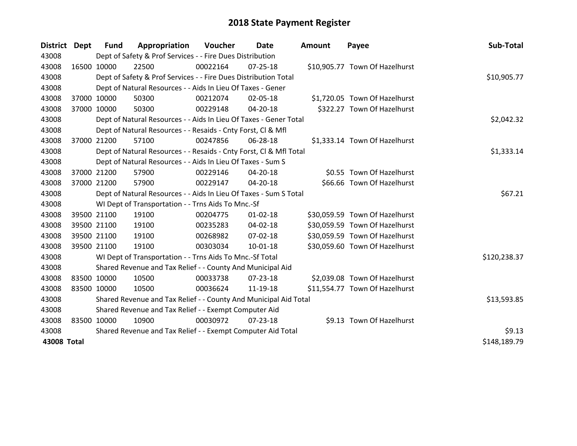| District Dept | <b>Fund</b> | Appropriation                                                      | Voucher  | Date           | <b>Amount</b> | Payee                          | Sub-Total    |
|---------------|-------------|--------------------------------------------------------------------|----------|----------------|---------------|--------------------------------|--------------|
| 43008         |             | Dept of Safety & Prof Services - - Fire Dues Distribution          |          |                |               |                                |              |
| 43008         | 16500 10000 | 22500                                                              | 00022164 | 07-25-18       |               | \$10,905.77 Town Of Hazelhurst |              |
| 43008         |             | Dept of Safety & Prof Services - - Fire Dues Distribution Total    |          |                |               |                                | \$10,905.77  |
| 43008         |             | Dept of Natural Resources - - Aids In Lieu Of Taxes - Gener        |          |                |               |                                |              |
| 43008         | 37000 10000 | 50300                                                              | 00212074 | 02-05-18       |               | \$1,720.05 Town Of Hazelhurst  |              |
| 43008         | 37000 10000 | 50300                                                              | 00229148 | 04-20-18       |               | \$322.27 Town Of Hazelhurst    |              |
| 43008         |             | Dept of Natural Resources - - Aids In Lieu Of Taxes - Gener Total  |          |                |               |                                | \$2,042.32   |
| 43008         |             | Dept of Natural Resources - - Resaids - Cnty Forst, CI & Mfl       |          |                |               |                                |              |
| 43008         | 37000 21200 | 57100                                                              | 00247856 | 06-28-18       |               | \$1,333.14 Town Of Hazelhurst  |              |
| 43008         |             | Dept of Natural Resources - - Resaids - Cnty Forst, Cl & Mfl Total |          |                |               |                                | \$1,333.14   |
| 43008         |             | Dept of Natural Resources - - Aids In Lieu Of Taxes - Sum S        |          |                |               |                                |              |
| 43008         | 37000 21200 | 57900                                                              | 00229146 | 04-20-18       |               | \$0.55 Town Of Hazelhurst      |              |
| 43008         | 37000 21200 | 57900                                                              | 00229147 | 04-20-18       |               | \$66.66 Town Of Hazelhurst     |              |
| 43008         |             | Dept of Natural Resources - - Aids In Lieu Of Taxes - Sum S Total  |          |                |               |                                | \$67.21      |
| 43008         |             | WI Dept of Transportation - - Trns Aids To Mnc.-Sf                 |          |                |               |                                |              |
| 43008         | 39500 21100 | 19100                                                              | 00204775 | $01 - 02 - 18$ |               | \$30,059.59 Town Of Hazelhurst |              |
| 43008         | 39500 21100 | 19100                                                              | 00235283 | 04-02-18       |               | \$30,059.59 Town Of Hazelhurst |              |
| 43008         | 39500 21100 | 19100                                                              | 00268982 | 07-02-18       |               | \$30,059.59 Town Of Hazelhurst |              |
| 43008         | 39500 21100 | 19100                                                              | 00303034 | $10 - 01 - 18$ |               | \$30,059.60 Town Of Hazelhurst |              |
| 43008         |             | WI Dept of Transportation - - Trns Aids To Mnc.-Sf Total           |          |                |               |                                | \$120,238.37 |
| 43008         |             | Shared Revenue and Tax Relief - - County And Municipal Aid         |          |                |               |                                |              |
| 43008         | 83500 10000 | 10500                                                              | 00033738 | $07 - 23 - 18$ |               | \$2,039.08 Town Of Hazelhurst  |              |
| 43008         | 83500 10000 | 10500                                                              | 00036624 | 11-19-18       |               | \$11,554.77 Town Of Hazelhurst |              |
| 43008         |             | Shared Revenue and Tax Relief - - County And Municipal Aid Total   |          |                |               |                                | \$13,593.85  |
| 43008         |             | Shared Revenue and Tax Relief - - Exempt Computer Aid              |          |                |               |                                |              |
| 43008         | 83500 10000 | 10900                                                              | 00030972 | $07 - 23 - 18$ |               | \$9.13 Town Of Hazelhurst      |              |
| 43008         |             | Shared Revenue and Tax Relief - - Exempt Computer Aid Total        |          |                |               |                                | \$9.13       |
| 43008 Total   |             |                                                                    |          |                |               |                                | \$148,189.79 |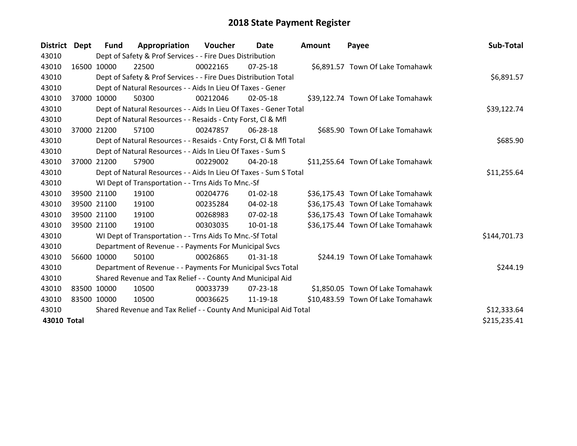| <b>District</b> | Dept        | Fund                                                       | Appropriation                                                      | Voucher  | Date           | <b>Amount</b> | Payee                             | Sub-Total    |
|-----------------|-------------|------------------------------------------------------------|--------------------------------------------------------------------|----------|----------------|---------------|-----------------------------------|--------------|
| 43010           |             |                                                            | Dept of Safety & Prof Services - - Fire Dues Distribution          |          |                |               |                                   |              |
| 43010           |             | 16500 10000                                                | 22500                                                              | 00022165 | $07 - 25 - 18$ |               | \$6,891.57 Town Of Lake Tomahawk  |              |
| 43010           |             |                                                            | Dept of Safety & Prof Services - - Fire Dues Distribution Total    |          |                |               |                                   | \$6,891.57   |
| 43010           |             |                                                            | Dept of Natural Resources - - Aids In Lieu Of Taxes - Gener        |          |                |               |                                   |              |
| 43010           |             | 37000 10000                                                | 50300                                                              | 00212046 | 02-05-18       |               | \$39,122.74 Town Of Lake Tomahawk |              |
| 43010           |             |                                                            | Dept of Natural Resources - - Aids In Lieu Of Taxes - Gener Total  |          | \$39,122.74    |               |                                   |              |
| 43010           |             |                                                            | Dept of Natural Resources - - Resaids - Cnty Forst, CI & Mfl       |          |                |               |                                   |              |
| 43010           | 37000       | 21200                                                      | 57100                                                              | 00247857 | 06-28-18       |               | \$685.90 Town Of Lake Tomahawk    |              |
| 43010           |             |                                                            | Dept of Natural Resources - - Resaids - Cnty Forst, CI & Mfl Total |          | \$685.90       |               |                                   |              |
| 43010           |             |                                                            | Dept of Natural Resources - - Aids In Lieu Of Taxes - Sum S        |          |                |               |                                   |              |
| 43010           |             | 37000 21200                                                | 57900                                                              | 00229002 | 04-20-18       |               | \$11,255.64 Town Of Lake Tomahawk |              |
| 43010           |             |                                                            | Dept of Natural Resources - - Aids In Lieu Of Taxes - Sum S Total  |          |                |               |                                   | \$11,255.64  |
| 43010           |             |                                                            | WI Dept of Transportation - - Trns Aids To Mnc.-Sf                 |          |                |               |                                   |              |
| 43010           |             | 39500 21100                                                | 19100                                                              | 00204776 | $01 - 02 - 18$ |               | \$36,175.43 Town Of Lake Tomahawk |              |
| 43010           |             | 39500 21100                                                | 19100                                                              | 00235284 | $04 - 02 - 18$ |               | \$36,175.43 Town Of Lake Tomahawk |              |
| 43010           |             | 39500 21100                                                | 19100                                                              | 00268983 | 07-02-18       |               | \$36,175.43 Town Of Lake Tomahawk |              |
| 43010           |             | 39500 21100                                                | 19100                                                              | 00303035 | 10-01-18       |               | \$36,175.44 Town Of Lake Tomahawk |              |
| 43010           |             |                                                            | WI Dept of Transportation - - Trns Aids To Mnc.-Sf Total           |          |                |               |                                   | \$144,701.73 |
| 43010           |             |                                                            | Department of Revenue - - Payments For Municipal Svcs              |          |                |               |                                   |              |
| 43010           |             | 56600 10000                                                | 50100                                                              | 00026865 | $01 - 31 - 18$ |               | \$244.19 Town Of Lake Tomahawk    |              |
| 43010           |             |                                                            | Department of Revenue - - Payments For Municipal Svcs Total        |          |                |               |                                   | \$244.19     |
| 43010           |             | Shared Revenue and Tax Relief - - County And Municipal Aid |                                                                    |          |                |               |                                   |              |
| 43010           | 83500 10000 |                                                            | 10500                                                              | 00033739 | 07-23-18       |               | \$1,850.05 Town Of Lake Tomahawk  |              |
| 43010           | 83500 10000 |                                                            | 10500                                                              | 00036625 | 11-19-18       |               | \$10,483.59 Town Of Lake Tomahawk |              |
| 43010           |             |                                                            | Shared Revenue and Tax Relief - - County And Municipal Aid Total   |          |                |               |                                   | \$12,333.64  |
| 43010 Total     |             |                                                            |                                                                    |          |                |               |                                   | \$215,235.41 |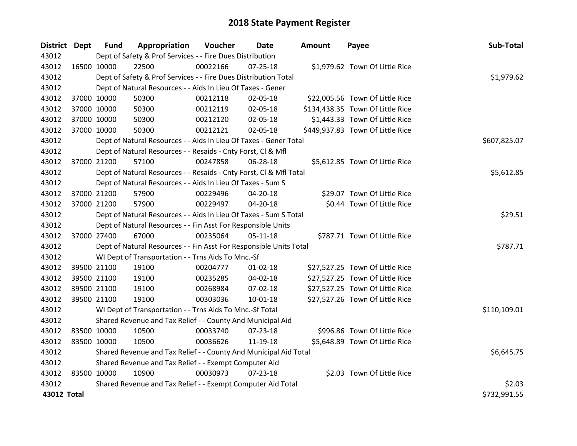| District Dept |             | <b>Fund</b> | Appropriation                                                      | <b>Voucher</b> | Date           | <b>Amount</b> | Payee                            | Sub-Total    |
|---------------|-------------|-------------|--------------------------------------------------------------------|----------------|----------------|---------------|----------------------------------|--------------|
| 43012         |             |             | Dept of Safety & Prof Services - - Fire Dues Distribution          |                |                |               |                                  |              |
| 43012         |             | 16500 10000 | 22500                                                              | 00022166       | $07 - 25 - 18$ |               | \$1,979.62 Town Of Little Rice   |              |
| 43012         |             |             | Dept of Safety & Prof Services - - Fire Dues Distribution Total    |                |                |               |                                  | \$1,979.62   |
| 43012         |             |             | Dept of Natural Resources - - Aids In Lieu Of Taxes - Gener        |                |                |               |                                  |              |
| 43012         |             | 37000 10000 | 50300                                                              | 00212118       | 02-05-18       |               | \$22,005.56 Town Of Little Rice  |              |
| 43012         |             | 37000 10000 | 50300                                                              | 00212119       | 02-05-18       |               | \$134,438.35 Town Of Little Rice |              |
| 43012         |             | 37000 10000 | 50300                                                              | 00212120       | 02-05-18       |               | \$1,443.33 Town Of Little Rice   |              |
| 43012         |             | 37000 10000 | 50300                                                              | 00212121       | 02-05-18       |               | \$449,937.83 Town Of Little Rice |              |
| 43012         |             |             | Dept of Natural Resources - - Aids In Lieu Of Taxes - Gener Total  |                | \$607,825.07   |               |                                  |              |
| 43012         |             |             | Dept of Natural Resources - - Resaids - Cnty Forst, Cl & Mfl       |                |                |               |                                  |              |
| 43012         |             | 37000 21200 | 57100                                                              | 00247858       | 06-28-18       |               | \$5,612.85 Town Of Little Rice   |              |
| 43012         |             |             | Dept of Natural Resources - - Resaids - Cnty Forst, Cl & Mfl Total |                |                |               |                                  | \$5,612.85   |
| 43012         |             |             | Dept of Natural Resources - - Aids In Lieu Of Taxes - Sum S        |                |                |               |                                  |              |
| 43012         |             | 37000 21200 | 57900                                                              | 00229496       | 04-20-18       |               | \$29.07 Town Of Little Rice      |              |
| 43012         |             | 37000 21200 | 57900                                                              | 00229497       | 04-20-18       |               | \$0.44 Town Of Little Rice       |              |
| 43012         |             |             | Dept of Natural Resources - - Aids In Lieu Of Taxes - Sum S Total  |                | \$29.51        |               |                                  |              |
| 43012         |             |             | Dept of Natural Resources - - Fin Asst For Responsible Units       |                |                |               |                                  |              |
| 43012         |             | 37000 27400 | 67000                                                              | 00235064       | $05-11-18$     |               | \$787.71 Town Of Little Rice     |              |
| 43012         |             |             | Dept of Natural Resources - - Fin Asst For Responsible Units Total |                |                |               |                                  | \$787.71     |
| 43012         |             |             | WI Dept of Transportation - - Trns Aids To Mnc.-Sf                 |                |                |               |                                  |              |
| 43012         |             | 39500 21100 | 19100                                                              | 00204777       | $01 - 02 - 18$ |               | \$27,527.25 Town Of Little Rice  |              |
| 43012         |             | 39500 21100 | 19100                                                              | 00235285       | 04-02-18       |               | \$27,527.25 Town Of Little Rice  |              |
| 43012         |             | 39500 21100 | 19100                                                              | 00268984       | 07-02-18       |               | \$27,527.25 Town Of Little Rice  |              |
| 43012         |             | 39500 21100 | 19100                                                              | 00303036       | $10 - 01 - 18$ |               | \$27,527.26 Town Of Little Rice  |              |
| 43012         |             |             | WI Dept of Transportation - - Trns Aids To Mnc.-Sf Total           |                |                |               |                                  | \$110,109.01 |
| 43012         |             |             | Shared Revenue and Tax Relief - - County And Municipal Aid         |                |                |               |                                  |              |
| 43012         |             | 83500 10000 | 10500                                                              | 00033740       | 07-23-18       |               | \$996.86 Town Of Little Rice     |              |
| 43012         |             | 83500 10000 | 10500                                                              | 00036626       | 11-19-18       |               | \$5,648.89 Town Of Little Rice   |              |
| 43012         |             |             | Shared Revenue and Tax Relief - - County And Municipal Aid Total   |                |                |               |                                  | \$6,645.75   |
| 43012         |             |             | Shared Revenue and Tax Relief - - Exempt Computer Aid              |                |                |               |                                  |              |
| 43012         | 83500 10000 |             | 10900                                                              | 00030973       | $07 - 23 - 18$ |               | \$2.03 Town Of Little Rice       |              |
| 43012         |             |             | Shared Revenue and Tax Relief - - Exempt Computer Aid Total        |                |                |               |                                  | \$2.03       |
| 43012 Total   |             |             |                                                                    |                |                |               |                                  | \$732,991.55 |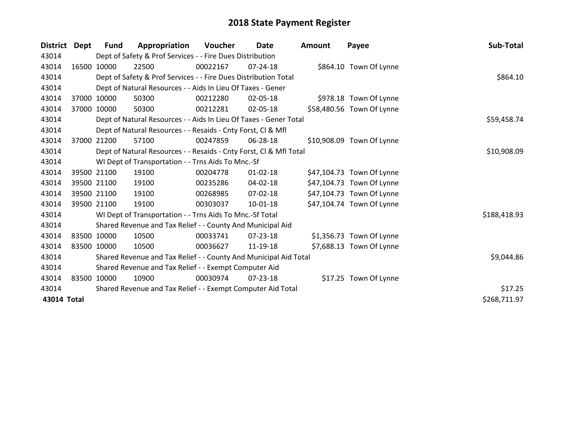| <b>District</b> | Dept  | <b>Fund</b>                                                  | Appropriation                                                      | Voucher  | Date           | <b>Amount</b> | Payee                     | Sub-Total    |
|-----------------|-------|--------------------------------------------------------------|--------------------------------------------------------------------|----------|----------------|---------------|---------------------------|--------------|
| 43014           |       |                                                              | Dept of Safety & Prof Services - - Fire Dues Distribution          |          |                |               |                           |              |
| 43014           |       | 16500 10000                                                  | 22500                                                              | 00022167 | 07-24-18       |               | \$864.10 Town Of Lynne    |              |
| 43014           |       |                                                              | Dept of Safety & Prof Services - - Fire Dues Distribution Total    |          |                |               |                           | \$864.10     |
| 43014           |       |                                                              | Dept of Natural Resources - - Aids In Lieu Of Taxes - Gener        |          |                |               |                           |              |
| 43014           | 37000 | 10000                                                        | 50300                                                              | 00212280 | 02-05-18       |               | \$978.18 Town Of Lynne    |              |
| 43014           |       | 37000 10000                                                  | 50300                                                              | 00212281 | 02-05-18       |               | \$58,480.56 Town Of Lynne |              |
| 43014           |       |                                                              | Dept of Natural Resources - - Aids In Lieu Of Taxes - Gener Total  |          |                |               |                           | \$59,458.74  |
| 43014           |       | Dept of Natural Resources - - Resaids - Cnty Forst, Cl & Mfl |                                                                    |          |                |               |                           |              |
| 43014           | 37000 | 21200                                                        | 57100                                                              | 00247859 | 06-28-18       |               | \$10,908.09 Town Of Lynne |              |
| 43014           |       |                                                              | Dept of Natural Resources - - Resaids - Cnty Forst, Cl & Mfl Total |          |                |               |                           | \$10,908.09  |
| 43014           |       |                                                              | WI Dept of Transportation - - Trns Aids To Mnc.-Sf                 |          |                |               |                           |              |
| 43014           |       | 39500 21100                                                  | 19100                                                              | 00204778 | $01 - 02 - 18$ |               | \$47,104.73 Town Of Lynne |              |
| 43014           |       | 39500 21100                                                  | 19100                                                              | 00235286 | 04-02-18       |               | \$47,104.73 Town Of Lynne |              |
| 43014           |       | 39500 21100                                                  | 19100                                                              | 00268985 | $07 - 02 - 18$ |               | \$47,104.73 Town Of Lynne |              |
| 43014           |       | 39500 21100                                                  | 19100                                                              | 00303037 | 10-01-18       |               | \$47,104.74 Town Of Lynne |              |
| 43014           |       |                                                              | WI Dept of Transportation - - Trns Aids To Mnc.-Sf Total           |          |                |               |                           | \$188,418.93 |
| 43014           |       |                                                              | Shared Revenue and Tax Relief - - County And Municipal Aid         |          |                |               |                           |              |
| 43014           |       | 83500 10000                                                  | 10500                                                              | 00033741 | 07-23-18       |               | \$1,356.73 Town Of Lynne  |              |
| 43014           |       | 83500 10000                                                  | 10500                                                              | 00036627 | 11-19-18       |               | \$7,688.13 Town Of Lynne  |              |
| 43014           |       |                                                              | Shared Revenue and Tax Relief - - County And Municipal Aid Total   |          |                |               |                           | \$9,044.86   |
| 43014           |       |                                                              | Shared Revenue and Tax Relief - - Exempt Computer Aid              |          |                |               |                           |              |
| 43014           |       | 83500 10000                                                  | 10900                                                              | 00030974 | 07-23-18       |               | \$17.25 Town Of Lynne     |              |
| 43014           |       |                                                              | Shared Revenue and Tax Relief - - Exempt Computer Aid Total        |          |                |               |                           | \$17.25      |
| 43014 Total     |       |                                                              |                                                                    |          |                |               |                           | \$268,711.97 |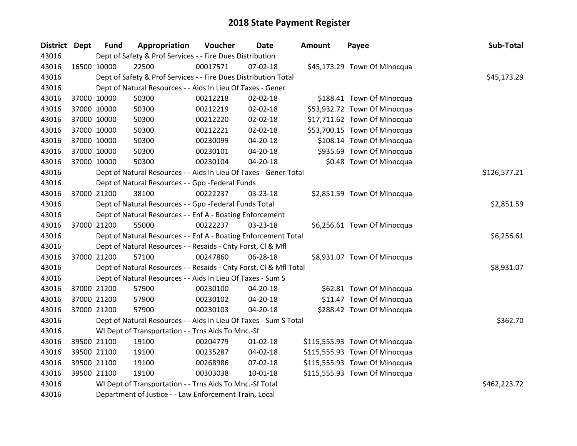| <b>District Dept</b> | <b>Fund</b> | Appropriation                                                      | Voucher    | <b>Date</b>    | Amount | Payee                         | Sub-Total    |  |  |
|----------------------|-------------|--------------------------------------------------------------------|------------|----------------|--------|-------------------------------|--------------|--|--|
| 43016                |             | Dept of Safety & Prof Services - - Fire Dues Distribution          |            |                |        |                               |              |  |  |
| 43016                | 16500 10000 | 22500                                                              | 00017571   | 07-02-18       |        | \$45,173.29 Town Of Minocqua  |              |  |  |
| 43016                |             | Dept of Safety & Prof Services - - Fire Dues Distribution Total    |            |                |        |                               | \$45,173.29  |  |  |
| 43016                |             | Dept of Natural Resources - - Aids In Lieu Of Taxes - Gener        |            |                |        |                               |              |  |  |
| 43016                | 37000 10000 | 50300                                                              | 00212218   | 02-02-18       |        | \$188.41 Town Of Minocqua     |              |  |  |
| 43016                | 37000 10000 | 50300                                                              | 00212219   | 02-02-18       |        | \$53,932.72 Town Of Minocqua  |              |  |  |
| 43016                | 37000 10000 | 50300                                                              | 00212220   | 02-02-18       |        | \$17,711.62 Town Of Minocqua  |              |  |  |
| 43016                | 37000 10000 | 50300                                                              | 00212221   | $02 - 02 - 18$ |        | \$53,700.15 Town Of Minocqua  |              |  |  |
| 43016                | 37000 10000 | 50300                                                              | 00230099   | 04-20-18       |        | \$108.14 Town Of Minocqua     |              |  |  |
| 43016                | 37000 10000 | 50300                                                              | 00230101   | 04-20-18       |        | \$935.69 Town Of Minocqua     |              |  |  |
| 43016                | 37000 10000 | 50300                                                              | 00230104   | $04 - 20 - 18$ |        | \$0.48 Town Of Minocqua       |              |  |  |
| 43016                |             | Dept of Natural Resources - - Aids In Lieu Of Taxes - Gener Total  |            |                |        |                               | \$126,577.21 |  |  |
| 43016                |             | Dept of Natural Resources - - Gpo -Federal Funds                   |            |                |        |                               |              |  |  |
| 43016                | 37000 21200 | 38100                                                              | 00222237   | 03-23-18       |        | \$2,851.59 Town Of Minocqua   |              |  |  |
| 43016                |             | Dept of Natural Resources - - Gpo -Federal Funds Total             | \$2,851.59 |                |        |                               |              |  |  |
| 43016                |             | Dept of Natural Resources - - Enf A - Boating Enforcement          |            |                |        |                               |              |  |  |
| 43016                | 37000 21200 | 55000                                                              | 00222237   | 03-23-18       |        | \$6,256.61 Town Of Minocqua   |              |  |  |
| 43016                |             | Dept of Natural Resources - - Enf A - Boating Enforcement Total    |            |                |        |                               | \$6,256.61   |  |  |
| 43016                |             | Dept of Natural Resources - - Resaids - Cnty Forst, Cl & Mfl       |            |                |        |                               |              |  |  |
| 43016                | 37000 21200 | 57100                                                              | 00247860   | 06-28-18       |        | \$8,931.07 Town Of Minocqua   |              |  |  |
| 43016                |             | Dept of Natural Resources - - Resaids - Cnty Forst, Cl & Mfl Total |            |                |        |                               | \$8,931.07   |  |  |
| 43016                |             | Dept of Natural Resources - - Aids In Lieu Of Taxes - Sum S        |            |                |        |                               |              |  |  |
| 43016                | 37000 21200 | 57900                                                              | 00230100   | 04-20-18       |        | \$62.81 Town Of Minocqua      |              |  |  |
| 43016                | 37000 21200 | 57900                                                              | 00230102   | $04 - 20 - 18$ |        | \$11.47 Town Of Minocqua      |              |  |  |
| 43016                | 37000 21200 | 57900                                                              | 00230103   | $04 - 20 - 18$ |        | \$288.42 Town Of Minocqua     |              |  |  |
| 43016                |             | Dept of Natural Resources - - Aids In Lieu Of Taxes - Sum S Total  |            |                |        |                               | \$362.70     |  |  |
| 43016                |             | WI Dept of Transportation - - Trns Aids To Mnc.-Sf                 |            |                |        |                               |              |  |  |
| 43016                | 39500 21100 | 19100                                                              | 00204779   | $01 - 02 - 18$ |        | \$115,555.93 Town Of Minocqua |              |  |  |
| 43016                | 39500 21100 | 19100                                                              | 00235287   | 04-02-18       |        | \$115,555.93 Town Of Minocqua |              |  |  |
| 43016                | 39500 21100 | 19100                                                              | 00268986   | 07-02-18       |        | \$115,555.93 Town Of Minocqua |              |  |  |
| 43016                | 39500 21100 | 19100                                                              | 00303038   | 10-01-18       |        | \$115,555.93 Town Of Minocqua |              |  |  |
| 43016                |             | WI Dept of Transportation - - Trns Aids To Mnc.-Sf Total           |            |                |        |                               | \$462,223.72 |  |  |
| 43016                |             | Department of Justice - - Law Enforcement Train, Local             |            |                |        |                               |              |  |  |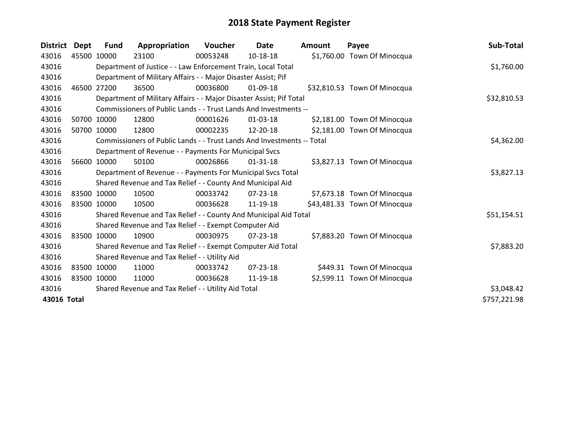| <b>District</b> | Dept        | Fund        | Appropriation                                                          | Voucher    | <b>Date</b>    | <b>Amount</b> | Payee                        | Sub-Total    |
|-----------------|-------------|-------------|------------------------------------------------------------------------|------------|----------------|---------------|------------------------------|--------------|
| 43016           | 45500 10000 |             | 23100                                                                  | 00053248   | 10-18-18       |               | \$1,760.00 Town Of Minocqua  |              |
| 43016           |             |             | Department of Justice - - Law Enforcement Train, Local Total           |            |                |               |                              | \$1,760.00   |
| 43016           |             |             | Department of Military Affairs - - Major Disaster Assist; Pif          |            |                |               |                              |              |
| 43016           | 46500       | 27200       | 36500                                                                  | 00036800   | 01-09-18       |               | \$32,810.53 Town Of Minocqua |              |
| 43016           |             |             | Department of Military Affairs - - Major Disaster Assist; Pif Total    |            |                |               |                              | \$32,810.53  |
| 43016           |             |             | Commissioners of Public Lands - - Trust Lands And Investments --       |            |                |               |                              |              |
| 43016           |             | 50700 10000 | 12800                                                                  | 00001626   | 01-03-18       |               | \$2,181.00 Town Of Minocqua  |              |
| 43016           |             | 50700 10000 | 12800                                                                  | 00002235   | 12-20-18       |               | \$2,181.00 Town Of Minocqua  |              |
| 43016           |             |             | Commissioners of Public Lands - - Trust Lands And Investments -- Total |            | \$4,362.00     |               |                              |              |
| 43016           |             |             | Department of Revenue - - Payments For Municipal Svcs                  |            |                |               |                              |              |
| 43016           |             | 56600 10000 | 50100                                                                  | 00026866   | $01 - 31 - 18$ |               | \$3,827.13 Town Of Minocqua  |              |
| 43016           |             |             | Department of Revenue - - Payments For Municipal Svcs Total            | \$3,827.13 |                |               |                              |              |
| 43016           |             |             | Shared Revenue and Tax Relief - - County And Municipal Aid             |            |                |               |                              |              |
| 43016           |             | 83500 10000 | 10500                                                                  | 00033742   | 07-23-18       |               | \$7,673.18 Town Of Minocqua  |              |
| 43016           |             | 83500 10000 | 10500                                                                  | 00036628   | 11-19-18       |               | \$43,481.33 Town Of Minocqua |              |
| 43016           |             |             | Shared Revenue and Tax Relief - - County And Municipal Aid Total       |            |                |               |                              | \$51,154.51  |
| 43016           |             |             | Shared Revenue and Tax Relief - - Exempt Computer Aid                  |            |                |               |                              |              |
| 43016           |             | 83500 10000 | 10900                                                                  | 00030975   | $07 - 23 - 18$ |               | \$7,883.20 Town Of Minocqua  |              |
| 43016           |             |             | Shared Revenue and Tax Relief - - Exempt Computer Aid Total            |            |                |               |                              | \$7,883.20   |
| 43016           |             |             | Shared Revenue and Tax Relief - - Utility Aid                          |            |                |               |                              |              |
| 43016           |             | 83500 10000 | 11000                                                                  | 00033742   | $07 - 23 - 18$ |               | \$449.31 Town Of Minocqua    |              |
| 43016           | 83500 10000 |             | 11000                                                                  | 00036628   | 11-19-18       |               | \$2,599.11 Town Of Minocqua  |              |
| 43016           |             |             | Shared Revenue and Tax Relief - - Utility Aid Total                    |            |                |               |                              | \$3,048.42   |
| 43016 Total     |             |             |                                                                        |            |                |               |                              | \$757,221.98 |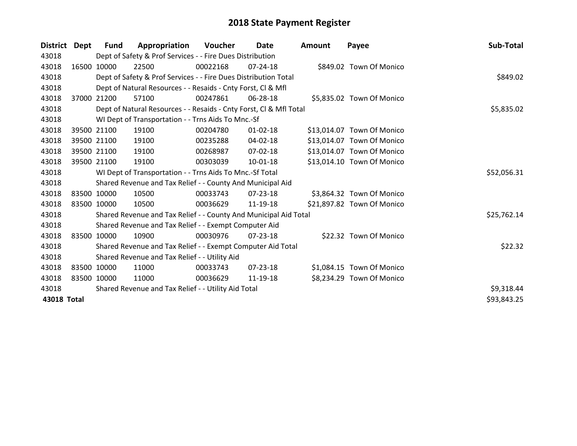| <b>District</b> | Dept  | <b>Fund</b> | Appropriation                                                      | Voucher  | <b>Date</b>    | Amount | Payee                      | Sub-Total   |
|-----------------|-------|-------------|--------------------------------------------------------------------|----------|----------------|--------|----------------------------|-------------|
| 43018           |       |             | Dept of Safety & Prof Services - - Fire Dues Distribution          |          |                |        |                            |             |
| 43018           |       | 16500 10000 | 22500                                                              | 00022168 | $07 - 24 - 18$ |        | \$849.02 Town Of Monico    |             |
| 43018           |       |             | Dept of Safety & Prof Services - - Fire Dues Distribution Total    |          |                |        |                            | \$849.02    |
| 43018           |       |             | Dept of Natural Resources - - Resaids - Cnty Forst, CI & Mfl       |          |                |        |                            |             |
| 43018           | 37000 | 21200       | 57100                                                              | 00247861 | 06-28-18       |        | \$5,835.02 Town Of Monico  |             |
| 43018           |       |             | Dept of Natural Resources - - Resaids - Cnty Forst, Cl & Mfl Total |          |                |        |                            | \$5,835.02  |
| 43018           |       |             | WI Dept of Transportation - - Trns Aids To Mnc.-Sf                 |          |                |        |                            |             |
| 43018           |       | 39500 21100 | 19100                                                              | 00204780 | $01 - 02 - 18$ |        | \$13,014.07 Town Of Monico |             |
| 43018           |       | 39500 21100 | 19100                                                              | 00235288 | 04-02-18       |        | \$13,014.07 Town Of Monico |             |
| 43018           |       | 39500 21100 | 19100                                                              | 00268987 | $07 - 02 - 18$ |        | \$13,014.07 Town Of Monico |             |
| 43018           |       | 39500 21100 | 19100                                                              | 00303039 | 10-01-18       |        | \$13,014.10 Town Of Monico |             |
| 43018           |       |             | WI Dept of Transportation - - Trns Aids To Mnc.-Sf Total           |          |                |        |                            | \$52,056.31 |
| 43018           |       |             | Shared Revenue and Tax Relief - - County And Municipal Aid         |          |                |        |                            |             |
| 43018           |       | 83500 10000 | 10500                                                              | 00033743 | 07-23-18       |        | \$3,864.32 Town Of Monico  |             |
| 43018           |       | 83500 10000 | 10500                                                              | 00036629 | 11-19-18       |        | \$21,897.82 Town Of Monico |             |
| 43018           |       |             | Shared Revenue and Tax Relief - - County And Municipal Aid Total   |          |                |        |                            | \$25,762.14 |
| 43018           |       |             | Shared Revenue and Tax Relief - - Exempt Computer Aid              |          |                |        |                            |             |
| 43018           |       | 83500 10000 | 10900                                                              | 00030976 | $07 - 23 - 18$ |        | \$22.32 Town Of Monico     |             |
| 43018           |       |             | Shared Revenue and Tax Relief - - Exempt Computer Aid Total        |          |                |        |                            | \$22.32     |
| 43018           |       |             | Shared Revenue and Tax Relief - - Utility Aid                      |          |                |        |                            |             |
| 43018           |       | 83500 10000 | 11000                                                              | 00033743 | $07 - 23 - 18$ |        | \$1,084.15 Town Of Monico  |             |
| 43018           |       | 83500 10000 | 11000                                                              | 00036629 | 11-19-18       |        | \$8,234.29 Town Of Monico  |             |
| 43018           |       |             | Shared Revenue and Tax Relief - - Utility Aid Total                |          |                |        |                            | \$9,318.44  |
| 43018 Total     |       |             |                                                                    |          |                |        |                            | \$93,843.25 |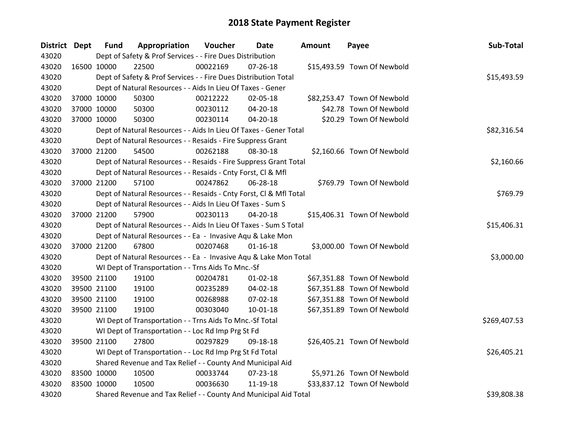| District Dept |             | <b>Fund</b> | Appropriation                                                      | Voucher  | Date           | Amount | Payee                       | Sub-Total    |
|---------------|-------------|-------------|--------------------------------------------------------------------|----------|----------------|--------|-----------------------------|--------------|
| 43020         |             |             | Dept of Safety & Prof Services - - Fire Dues Distribution          |          |                |        |                             |              |
| 43020         |             | 16500 10000 | 22500                                                              | 00022169 | $07 - 26 - 18$ |        | \$15,493.59 Town Of Newbold |              |
| 43020         |             |             | Dept of Safety & Prof Services - - Fire Dues Distribution Total    |          |                |        |                             | \$15,493.59  |
| 43020         |             |             | Dept of Natural Resources - - Aids In Lieu Of Taxes - Gener        |          |                |        |                             |              |
| 43020         |             | 37000 10000 | 50300                                                              | 00212222 | 02-05-18       |        | \$82,253.47 Town Of Newbold |              |
| 43020         |             | 37000 10000 | 50300                                                              | 00230112 | 04-20-18       |        | \$42.78 Town Of Newbold     |              |
| 43020         |             | 37000 10000 | 50300                                                              | 00230114 | 04-20-18       |        | \$20.29 Town Of Newbold     |              |
| 43020         |             |             | Dept of Natural Resources - - Aids In Lieu Of Taxes - Gener Total  |          |                |        |                             | \$82,316.54  |
| 43020         |             |             | Dept of Natural Resources - - Resaids - Fire Suppress Grant        |          |                |        |                             |              |
| 43020         |             | 37000 21200 | 54500                                                              | 00262188 | 08-30-18       |        | \$2,160.66 Town Of Newbold  |              |
| 43020         |             |             | Dept of Natural Resources - - Resaids - Fire Suppress Grant Total  |          |                |        |                             | \$2,160.66   |
| 43020         |             |             | Dept of Natural Resources - - Resaids - Cnty Forst, Cl & Mfl       |          |                |        |                             |              |
| 43020         |             | 37000 21200 | 57100                                                              | 00247862 | 06-28-18       |        | \$769.79 Town Of Newbold    |              |
| 43020         |             |             | Dept of Natural Resources - - Resaids - Cnty Forst, Cl & Mfl Total |          |                |        |                             | \$769.79     |
| 43020         |             |             | Dept of Natural Resources - - Aids In Lieu Of Taxes - Sum S        |          |                |        |                             |              |
| 43020         |             | 37000 21200 | 57900                                                              | 00230113 | $04 - 20 - 18$ |        | \$15,406.31 Town Of Newbold |              |
| 43020         |             |             | Dept of Natural Resources - - Aids In Lieu Of Taxes - Sum S Total  |          |                |        |                             | \$15,406.31  |
| 43020         |             |             | Dept of Natural Resources - - Ea - Invasive Aqu & Lake Mon         |          |                |        |                             |              |
| 43020         |             | 37000 21200 | 67800                                                              | 00207468 | $01 - 16 - 18$ |        | \$3,000.00 Town Of Newbold  |              |
| 43020         |             |             | Dept of Natural Resources - - Ea - Invasive Aqu & Lake Mon Total   |          |                |        |                             | \$3,000.00   |
| 43020         |             |             | WI Dept of Transportation - - Trns Aids To Mnc.-Sf                 |          |                |        |                             |              |
| 43020         |             | 39500 21100 | 19100                                                              | 00204781 | $01 - 02 - 18$ |        | \$67,351.88 Town Of Newbold |              |
| 43020         |             | 39500 21100 | 19100                                                              | 00235289 | 04-02-18       |        | \$67,351.88 Town Of Newbold |              |
| 43020         |             | 39500 21100 | 19100                                                              | 00268988 | 07-02-18       |        | \$67,351.88 Town Of Newbold |              |
| 43020         |             | 39500 21100 | 19100                                                              | 00303040 | $10 - 01 - 18$ |        | \$67,351.89 Town Of Newbold |              |
| 43020         |             |             | WI Dept of Transportation - - Trns Aids To Mnc.-Sf Total           |          |                |        |                             | \$269,407.53 |
| 43020         |             |             | WI Dept of Transportation - - Loc Rd Imp Prg St Fd                 |          |                |        |                             |              |
| 43020         |             | 39500 21100 | 27800                                                              | 00297829 | 09-18-18       |        | \$26,405.21 Town Of Newbold |              |
| 43020         |             |             | WI Dept of Transportation - - Loc Rd Imp Prg St Fd Total           |          |                |        |                             | \$26,405.21  |
| 43020         |             |             | Shared Revenue and Tax Relief - - County And Municipal Aid         |          |                |        |                             |              |
| 43020         | 83500 10000 |             | 10500                                                              | 00033744 | 07-23-18       |        | \$5,971.26 Town Of Newbold  |              |
| 43020         | 83500 10000 |             | 10500                                                              | 00036630 | 11-19-18       |        | \$33,837.12 Town Of Newbold |              |
| 43020         |             |             | Shared Revenue and Tax Relief - - County And Municipal Aid Total   |          |                |        |                             | \$39,808.38  |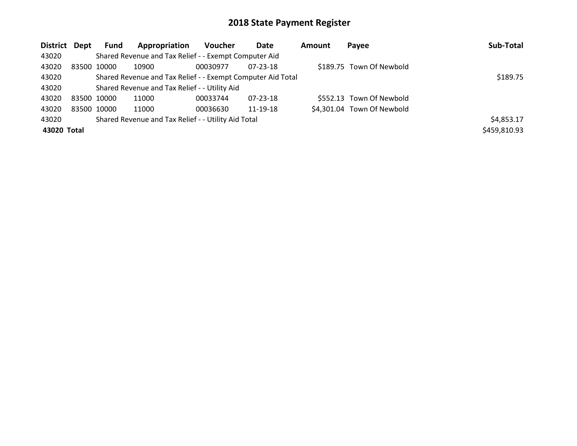| District Dept |                                               | Fund        | Appropriation                                               | <b>Voucher</b> | Date     | Amount | Payee                      | Sub-Total    |
|---------------|-----------------------------------------------|-------------|-------------------------------------------------------------|----------------|----------|--------|----------------------------|--------------|
| 43020         |                                               |             | Shared Revenue and Tax Relief - - Exempt Computer Aid       |                |          |        |                            |              |
| 43020         |                                               | 83500 10000 | 10900                                                       | 00030977       | 07-23-18 |        | \$189.75 Town Of Newbold   |              |
| 43020         |                                               |             | Shared Revenue and Tax Relief - - Exempt Computer Aid Total | \$189.75       |          |        |                            |              |
| 43020         | Shared Revenue and Tax Relief - - Utility Aid |             |                                                             |                |          |        |                            |              |
| 43020         | 83500 10000                                   |             | 11000                                                       | 00033744       | 07-23-18 |        | \$552.13 Town Of Newbold   |              |
| 43020         |                                               | 83500 10000 | 11000                                                       | 00036630       | 11-19-18 |        | \$4,301.04 Town Of Newbold |              |
| 43020         |                                               |             | Shared Revenue and Tax Relief - - Utility Aid Total         |                |          |        |                            | \$4,853.17   |
| 43020 Total   |                                               |             |                                                             |                |          |        |                            | \$459,810.93 |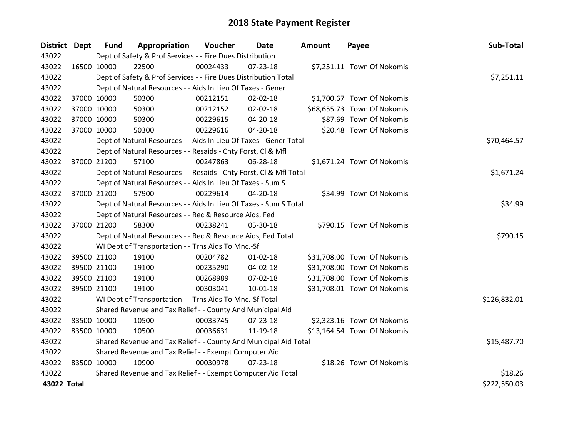| District Dept |             | <b>Fund</b> | Appropriation                                                      | Voucher  | <b>Date</b>    | <b>Amount</b> | Payee                       | Sub-Total    |
|---------------|-------------|-------------|--------------------------------------------------------------------|----------|----------------|---------------|-----------------------------|--------------|
| 43022         |             |             | Dept of Safety & Prof Services - - Fire Dues Distribution          |          |                |               |                             |              |
| 43022         |             | 16500 10000 | 22500                                                              | 00024433 | $07 - 23 - 18$ |               | \$7,251.11 Town Of Nokomis  |              |
| 43022         |             |             | Dept of Safety & Prof Services - - Fire Dues Distribution Total    |          |                |               |                             | \$7,251.11   |
| 43022         |             |             | Dept of Natural Resources - - Aids In Lieu Of Taxes - Gener        |          |                |               |                             |              |
| 43022         | 37000 10000 |             | 50300                                                              | 00212151 | $02 - 02 - 18$ |               | \$1,700.67 Town Of Nokomis  |              |
| 43022         |             | 37000 10000 | 50300                                                              | 00212152 | 02-02-18       |               | \$68,655.73 Town Of Nokomis |              |
| 43022         |             | 37000 10000 | 50300                                                              | 00229615 | 04-20-18       |               | \$87.69 Town Of Nokomis     |              |
| 43022         |             | 37000 10000 | 50300                                                              | 00229616 | 04-20-18       |               | \$20.48 Town Of Nokomis     |              |
| 43022         |             |             | Dept of Natural Resources - - Aids In Lieu Of Taxes - Gener Total  |          |                |               |                             | \$70,464.57  |
| 43022         |             |             | Dept of Natural Resources - - Resaids - Cnty Forst, CI & Mfl       |          |                |               |                             |              |
| 43022         | 37000 21200 |             | 57100                                                              | 00247863 | 06-28-18       |               | \$1,671.24 Town Of Nokomis  |              |
| 43022         |             |             | Dept of Natural Resources - - Resaids - Cnty Forst, Cl & Mfl Total |          |                |               |                             | \$1,671.24   |
| 43022         |             |             | Dept of Natural Resources - - Aids In Lieu Of Taxes - Sum S        |          |                |               |                             |              |
| 43022         | 37000 21200 |             | 57900                                                              | 00229614 | $04 - 20 - 18$ |               | \$34.99 Town Of Nokomis     |              |
| 43022         |             |             | Dept of Natural Resources - - Aids In Lieu Of Taxes - Sum S Total  |          | \$34.99        |               |                             |              |
| 43022         |             |             | Dept of Natural Resources - - Rec & Resource Aids, Fed             |          |                |               |                             |              |
| 43022         |             | 37000 21200 | 58300                                                              | 00238241 | 05-30-18       |               | \$790.15 Town Of Nokomis    |              |
| 43022         |             |             | Dept of Natural Resources - - Rec & Resource Aids, Fed Total       |          |                |               |                             | \$790.15     |
| 43022         |             |             | WI Dept of Transportation - - Trns Aids To Mnc.-Sf                 |          |                |               |                             |              |
| 43022         |             | 39500 21100 | 19100                                                              | 00204782 | $01 - 02 - 18$ |               | \$31,708.00 Town Of Nokomis |              |
| 43022         |             | 39500 21100 | 19100                                                              | 00235290 | $04 - 02 - 18$ |               | \$31,708.00 Town Of Nokomis |              |
| 43022         |             | 39500 21100 | 19100                                                              | 00268989 | $07 - 02 - 18$ |               | \$31,708.00 Town Of Nokomis |              |
| 43022         |             | 39500 21100 | 19100                                                              | 00303041 | 10-01-18       |               | \$31,708.01 Town Of Nokomis |              |
| 43022         |             |             | WI Dept of Transportation - - Trns Aids To Mnc.-Sf Total           |          |                |               |                             | \$126,832.01 |
| 43022         |             |             | Shared Revenue and Tax Relief - - County And Municipal Aid         |          |                |               |                             |              |
| 43022         | 83500 10000 |             | 10500                                                              | 00033745 | 07-23-18       |               | \$2,323.16 Town Of Nokomis  |              |
| 43022         | 83500 10000 |             | 10500                                                              | 00036631 | 11-19-18       |               | \$13,164.54 Town Of Nokomis |              |
| 43022         |             |             | Shared Revenue and Tax Relief - - County And Municipal Aid Total   |          |                |               |                             | \$15,487.70  |
| 43022         |             |             | Shared Revenue and Tax Relief - - Exempt Computer Aid              |          |                |               |                             |              |
| 43022         | 83500 10000 |             | 10900                                                              | 00030978 | $07 - 23 - 18$ |               | \$18.26 Town Of Nokomis     |              |
| 43022         |             |             | Shared Revenue and Tax Relief - - Exempt Computer Aid Total        |          |                |               |                             | \$18.26      |
| 43022 Total   |             |             |                                                                    |          |                |               |                             | \$222,550.03 |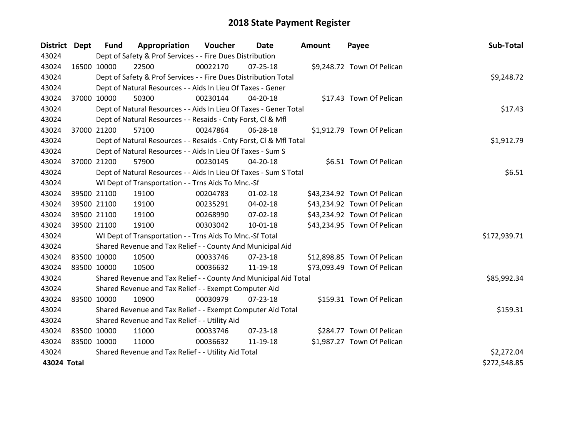| District Dept |             | <b>Fund</b> | Appropriation                                                      | Voucher  | Date           | <b>Amount</b> | Payee                       | Sub-Total    |
|---------------|-------------|-------------|--------------------------------------------------------------------|----------|----------------|---------------|-----------------------------|--------------|
| 43024         |             |             | Dept of Safety & Prof Services - - Fire Dues Distribution          |          |                |               |                             |              |
| 43024         | 16500 10000 |             | 22500                                                              | 00022170 | $07 - 25 - 18$ |               | \$9,248.72 Town Of Pelican  |              |
| 43024         |             |             | Dept of Safety & Prof Services - - Fire Dues Distribution Total    |          |                |               |                             | \$9,248.72   |
| 43024         |             |             | Dept of Natural Resources - - Aids In Lieu Of Taxes - Gener        |          |                |               |                             |              |
| 43024         | 37000 10000 |             | 50300                                                              | 00230144 | 04-20-18       |               | \$17.43 Town Of Pelican     |              |
| 43024         |             |             | Dept of Natural Resources - - Aids In Lieu Of Taxes - Gener Total  |          |                |               |                             | \$17.43      |
| 43024         |             |             | Dept of Natural Resources - - Resaids - Cnty Forst, CI & Mfl       |          |                |               |                             |              |
| 43024         |             | 37000 21200 | 57100                                                              | 00247864 | 06-28-18       |               | \$1,912.79 Town Of Pelican  |              |
| 43024         |             |             | Dept of Natural Resources - - Resaids - Cnty Forst, CI & Mfl Total |          | \$1,912.79     |               |                             |              |
| 43024         |             |             | Dept of Natural Resources - - Aids In Lieu Of Taxes - Sum S        |          |                |               |                             |              |
| 43024         |             | 37000 21200 | 57900                                                              | 00230145 | 04-20-18       |               | \$6.51 Town Of Pelican      |              |
| 43024         |             |             | Dept of Natural Resources - - Aids In Lieu Of Taxes - Sum S Total  |          |                |               |                             | \$6.51       |
| 43024         |             |             | WI Dept of Transportation - - Trns Aids To Mnc.-Sf                 |          |                |               |                             |              |
| 43024         |             | 39500 21100 | 19100                                                              | 00204783 | $01 - 02 - 18$ |               | \$43,234.92 Town Of Pelican |              |
| 43024         |             | 39500 21100 | 19100                                                              | 00235291 | 04-02-18       |               | \$43,234.92 Town Of Pelican |              |
| 43024         |             | 39500 21100 | 19100                                                              | 00268990 | 07-02-18       |               | \$43,234.92 Town Of Pelican |              |
| 43024         |             | 39500 21100 | 19100                                                              | 00303042 | $10 - 01 - 18$ |               | \$43,234.95 Town Of Pelican |              |
| 43024         |             |             | WI Dept of Transportation - - Trns Aids To Mnc.-Sf Total           |          |                |               |                             | \$172,939.71 |
| 43024         |             |             | Shared Revenue and Tax Relief - - County And Municipal Aid         |          |                |               |                             |              |
| 43024         |             | 83500 10000 | 10500                                                              | 00033746 | $07 - 23 - 18$ |               | \$12,898.85 Town Of Pelican |              |
| 43024         | 83500 10000 |             | 10500                                                              | 00036632 | 11-19-18       |               | \$73,093.49 Town Of Pelican |              |
| 43024         |             |             | Shared Revenue and Tax Relief - - County And Municipal Aid Total   |          |                |               |                             | \$85,992.34  |
| 43024         |             |             | Shared Revenue and Tax Relief - - Exempt Computer Aid              |          |                |               |                             |              |
| 43024         | 83500 10000 |             | 10900                                                              | 00030979 | $07 - 23 - 18$ |               | \$159.31 Town Of Pelican    |              |
| 43024         |             |             | Shared Revenue and Tax Relief - - Exempt Computer Aid Total        |          |                |               |                             | \$159.31     |
| 43024         |             |             | Shared Revenue and Tax Relief - - Utility Aid                      |          |                |               |                             |              |
| 43024         | 83500 10000 |             | 11000                                                              | 00033746 | 07-23-18       |               | \$284.77 Town Of Pelican    |              |
| 43024         | 83500 10000 |             | 11000                                                              | 00036632 | 11-19-18       |               | \$1,987.27 Town Of Pelican  |              |
| 43024         |             |             | Shared Revenue and Tax Relief - - Utility Aid Total                |          |                |               |                             | \$2,272.04   |
| 43024 Total   |             |             |                                                                    |          |                |               |                             | \$272,548.85 |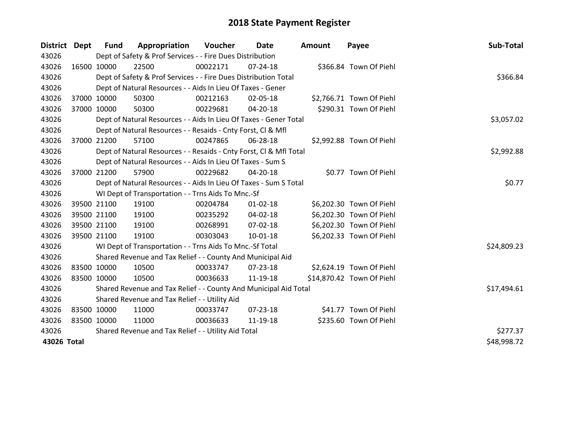| District Dept |             | Fund        | Appropriation                                                      | Voucher     | Date           | Amount | Payee                     | Sub-Total   |
|---------------|-------------|-------------|--------------------------------------------------------------------|-------------|----------------|--------|---------------------------|-------------|
| 43026         |             |             | Dept of Safety & Prof Services - - Fire Dues Distribution          |             |                |        |                           |             |
| 43026         | 16500 10000 |             | 22500                                                              | 00022171    | $07 - 24 - 18$ |        | \$366.84 Town Of Piehl    |             |
| 43026         |             |             | Dept of Safety & Prof Services - - Fire Dues Distribution Total    |             |                |        |                           | \$366.84    |
| 43026         |             |             | Dept of Natural Resources - - Aids In Lieu Of Taxes - Gener        |             |                |        |                           |             |
| 43026         |             | 37000 10000 | 50300                                                              | 00212163    | 02-05-18       |        | \$2,766.71 Town Of Piehl  |             |
| 43026         |             | 37000 10000 | 50300                                                              | 00229681    | $04 - 20 - 18$ |        | \$290.31 Town Of Piehl    |             |
| 43026         |             |             | Dept of Natural Resources - - Aids In Lieu Of Taxes - Gener Total  |             |                |        |                           | \$3,057.02  |
| 43026         |             |             | Dept of Natural Resources - - Resaids - Cnty Forst, CI & Mfl       |             |                |        |                           |             |
| 43026         |             | 37000 21200 | 57100                                                              | 00247865    | 06-28-18       |        | \$2,992.88 Town Of Piehl  |             |
| 43026         |             |             | Dept of Natural Resources - - Resaids - Cnty Forst, CI & Mfl Total | \$2,992.88  |                |        |                           |             |
| 43026         |             |             | Dept of Natural Resources - - Aids In Lieu Of Taxes - Sum S        |             |                |        |                           |             |
| 43026         |             | 37000 21200 | 57900                                                              | 00229682    | 04-20-18       |        | \$0.77 Town Of Piehl      |             |
| 43026         |             |             | Dept of Natural Resources - - Aids In Lieu Of Taxes - Sum S Total  | \$0.77      |                |        |                           |             |
| 43026         |             |             | WI Dept of Transportation - - Trns Aids To Mnc.-Sf                 |             |                |        |                           |             |
| 43026         |             | 39500 21100 | 19100                                                              | 00204784    | $01 - 02 - 18$ |        | \$6,202.30 Town Of Piehl  |             |
| 43026         |             | 39500 21100 | 19100                                                              | 00235292    | $04 - 02 - 18$ |        | \$6,202.30 Town Of Piehl  |             |
| 43026         |             | 39500 21100 | 19100                                                              | 00268991    | 07-02-18       |        | \$6,202.30 Town Of Piehl  |             |
| 43026         |             | 39500 21100 | 19100                                                              | 00303043    | 10-01-18       |        | \$6,202.33 Town Of Piehl  |             |
| 43026         |             |             | WI Dept of Transportation - - Trns Aids To Mnc.-Sf Total           |             |                |        |                           | \$24,809.23 |
| 43026         |             |             | Shared Revenue and Tax Relief - - County And Municipal Aid         |             |                |        |                           |             |
| 43026         |             | 83500 10000 | 10500                                                              | 00033747    | 07-23-18       |        | \$2,624.19 Town Of Piehl  |             |
| 43026         |             | 83500 10000 | 10500                                                              | 00036633    | 11-19-18       |        | \$14,870.42 Town Of Piehl |             |
| 43026         |             |             | Shared Revenue and Tax Relief - - County And Municipal Aid Total   | \$17,494.61 |                |        |                           |             |
| 43026         |             |             | Shared Revenue and Tax Relief - - Utility Aid                      |             |                |        |                           |             |
| 43026         |             | 83500 10000 | 11000                                                              | 00033747    | 07-23-18       |        | \$41.77 Town Of Piehl     |             |
| 43026         |             | 83500 10000 | 11000                                                              | 00036633    | 11-19-18       |        | \$235.60 Town Of Piehl    |             |
| 43026         |             |             | Shared Revenue and Tax Relief - - Utility Aid Total                |             |                |        |                           | \$277.37    |
| 43026 Total   |             |             |                                                                    |             |                |        |                           | \$48,998.72 |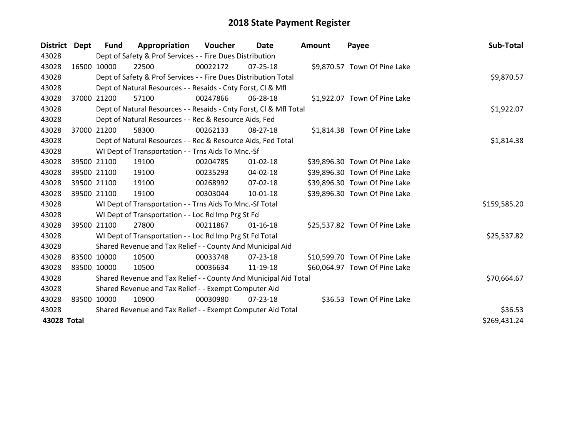| <b>District</b> | Dept        | Fund        | Appropriation                                                      | <b>Voucher</b> | Date           | <b>Amount</b> | Payee                         | Sub-Total    |
|-----------------|-------------|-------------|--------------------------------------------------------------------|----------------|----------------|---------------|-------------------------------|--------------|
| 43028           |             |             | Dept of Safety & Prof Services - - Fire Dues Distribution          |                |                |               |                               |              |
| 43028           |             | 16500 10000 | 22500                                                              | 00022172       | 07-25-18       |               | \$9,870.57 Town Of Pine Lake  |              |
| 43028           |             |             | Dept of Safety & Prof Services - - Fire Dues Distribution Total    |                |                |               |                               | \$9,870.57   |
| 43028           |             |             | Dept of Natural Resources - - Resaids - Cnty Forst, CI & Mfl       |                |                |               |                               |              |
| 43028           | 37000       | 21200       | 57100                                                              | 00247866       | 06-28-18       |               | \$1,922.07 Town Of Pine Lake  |              |
| 43028           |             |             | Dept of Natural Resources - - Resaids - Cnty Forst, CI & Mfl Total |                |                |               |                               | \$1,922.07   |
| 43028           |             |             | Dept of Natural Resources - - Rec & Resource Aids, Fed             |                |                |               |                               |              |
| 43028           |             | 37000 21200 | 58300                                                              | 00262133       | $08 - 27 - 18$ |               | \$1,814.38 Town Of Pine Lake  |              |
| 43028           |             |             | Dept of Natural Resources - - Rec & Resource Aids, Fed Total       |                | \$1,814.38     |               |                               |              |
| 43028           |             |             | WI Dept of Transportation - - Trns Aids To Mnc.-Sf                 |                |                |               |                               |              |
| 43028           |             | 39500 21100 | 19100                                                              | 00204785       | $01 - 02 - 18$ |               | \$39,896.30 Town Of Pine Lake |              |
| 43028           |             | 39500 21100 | 19100                                                              | 00235293       | $04 - 02 - 18$ |               | \$39,896.30 Town Of Pine Lake |              |
| 43028           |             | 39500 21100 | 19100                                                              | 00268992       | 07-02-18       |               | \$39,896.30 Town Of Pine Lake |              |
| 43028           |             | 39500 21100 | 19100                                                              | 00303044       | $10 - 01 - 18$ |               | \$39,896.30 Town Of Pine Lake |              |
| 43028           |             |             | WI Dept of Transportation - - Trns Aids To Mnc.-Sf Total           |                |                |               |                               | \$159,585.20 |
| 43028           |             |             | WI Dept of Transportation - - Loc Rd Imp Prg St Fd                 |                |                |               |                               |              |
| 43028           |             | 39500 21100 | 27800                                                              | 00211867       | $01 - 16 - 18$ |               | \$25,537.82 Town Of Pine Lake |              |
| 43028           |             |             | WI Dept of Transportation - - Loc Rd Imp Prg St Fd Total           |                |                |               |                               | \$25,537.82  |
| 43028           |             |             | Shared Revenue and Tax Relief - - County And Municipal Aid         |                |                |               |                               |              |
| 43028           | 83500 10000 |             | 10500                                                              | 00033748       | 07-23-18       |               | \$10,599.70 Town Of Pine Lake |              |
| 43028           |             | 83500 10000 | 10500                                                              | 00036634       | 11-19-18       |               | \$60,064.97 Town Of Pine Lake |              |
| 43028           |             |             | Shared Revenue and Tax Relief - - County And Municipal Aid Total   |                | \$70,664.67    |               |                               |              |
| 43028           |             |             | Shared Revenue and Tax Relief - - Exempt Computer Aid              |                |                |               |                               |              |
| 43028           |             | 83500 10000 | 10900                                                              | 00030980       | 07-23-18       |               | \$36.53 Town Of Pine Lake     |              |
| 43028           |             |             | Shared Revenue and Tax Relief - - Exempt Computer Aid Total        |                |                |               |                               | \$36.53      |
| 43028 Total     |             |             |                                                                    |                |                |               |                               | \$269,431.24 |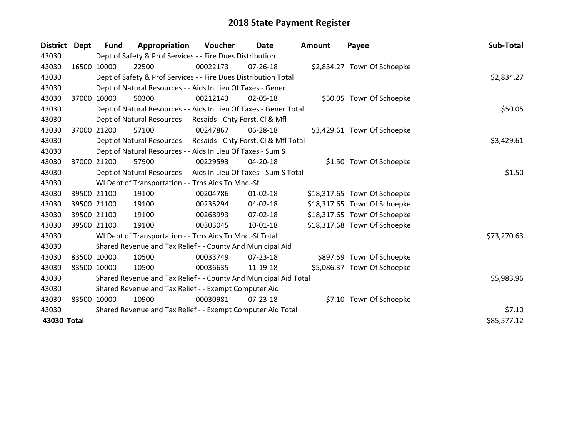| <b>District</b> | Dept        | Fund        | Appropriation                                                      | Voucher    | Date           | <b>Amount</b> | Payee                        | Sub-Total   |
|-----------------|-------------|-------------|--------------------------------------------------------------------|------------|----------------|---------------|------------------------------|-------------|
| 43030           |             |             | Dept of Safety & Prof Services - - Fire Dues Distribution          |            |                |               |                              |             |
| 43030           |             | 16500 10000 | 22500                                                              | 00022173   | 07-26-18       |               | \$2,834.27 Town Of Schoepke  |             |
| 43030           |             |             | Dept of Safety & Prof Services - - Fire Dues Distribution Total    |            |                |               |                              | \$2,834.27  |
| 43030           |             |             | Dept of Natural Resources - - Aids In Lieu Of Taxes - Gener        |            |                |               |                              |             |
| 43030           | 37000       | 10000       | 50300                                                              | 00212143   | 02-05-18       |               | \$50.05 Town Of Schoepke     |             |
| 43030           |             |             | Dept of Natural Resources - - Aids In Lieu Of Taxes - Gener Total  |            | \$50.05        |               |                              |             |
| 43030           |             |             | Dept of Natural Resources - - Resaids - Cnty Forst, CI & Mfl       |            |                |               |                              |             |
| 43030           | 37000       | 21200       | 57100                                                              | 00247867   | 06-28-18       |               | \$3,429.61 Town Of Schoepke  |             |
| 43030           |             |             | Dept of Natural Resources - - Resaids - Cnty Forst, Cl & Mfl Total |            | \$3,429.61     |               |                              |             |
| 43030           |             |             | Dept of Natural Resources - - Aids In Lieu Of Taxes - Sum S        |            |                |               |                              |             |
| 43030           |             | 37000 21200 | 57900                                                              | 00229593   | 04-20-18       |               | \$1.50 Town Of Schoepke      |             |
| 43030           |             |             | Dept of Natural Resources - - Aids In Lieu Of Taxes - Sum S Total  |            | \$1.50         |               |                              |             |
| 43030           |             |             | WI Dept of Transportation - - Trns Aids To Mnc.-Sf                 |            |                |               |                              |             |
| 43030           |             | 39500 21100 | 19100                                                              | 00204786   | $01 - 02 - 18$ |               | \$18,317.65 Town Of Schoepke |             |
| 43030           |             | 39500 21100 | 19100                                                              | 00235294   | 04-02-18       |               | \$18,317.65 Town Of Schoepke |             |
| 43030           |             | 39500 21100 | 19100                                                              | 00268993   | 07-02-18       |               | \$18,317.65 Town Of Schoepke |             |
| 43030           |             | 39500 21100 | 19100                                                              | 00303045   | $10 - 01 - 18$ |               | \$18,317.68 Town Of Schoepke |             |
| 43030           |             |             | WI Dept of Transportation - - Trns Aids To Mnc.-Sf Total           |            |                |               |                              | \$73,270.63 |
| 43030           |             |             | Shared Revenue and Tax Relief - - County And Municipal Aid         |            |                |               |                              |             |
| 43030           |             | 83500 10000 | 10500                                                              | 00033749   | 07-23-18       |               | \$897.59 Town Of Schoepke    |             |
| 43030           | 83500 10000 |             | 10500                                                              | 00036635   | 11-19-18       |               | \$5,086.37 Town Of Schoepke  |             |
| 43030           |             |             | Shared Revenue and Tax Relief - - County And Municipal Aid Total   | \$5,983.96 |                |               |                              |             |
| 43030           |             |             | Shared Revenue and Tax Relief - - Exempt Computer Aid              |            |                |               |                              |             |
| 43030           |             | 83500 10000 | 10900                                                              | 00030981   | 07-23-18       |               | \$7.10 Town Of Schoepke      |             |
| 43030           |             |             | Shared Revenue and Tax Relief - - Exempt Computer Aid Total        |            |                |               |                              | \$7.10      |
| 43030 Total     |             |             |                                                                    |            |                |               |                              | \$85,577.12 |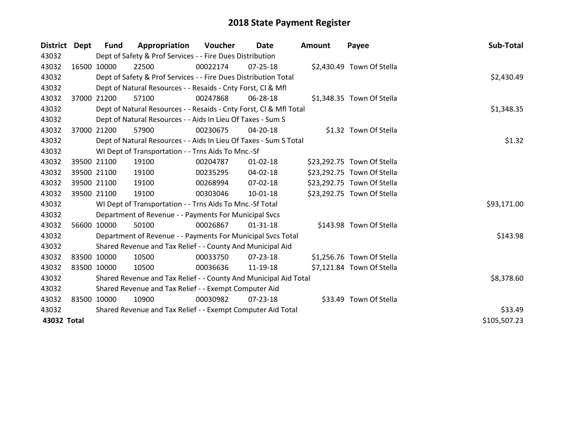| District Dept |             | Fund        | Appropriation                                                      | Voucher    | <b>Date</b>    | <b>Amount</b> | Payee                      | Sub-Total    |
|---------------|-------------|-------------|--------------------------------------------------------------------|------------|----------------|---------------|----------------------------|--------------|
| 43032         |             |             | Dept of Safety & Prof Services - - Fire Dues Distribution          |            |                |               |                            |              |
| 43032         |             | 16500 10000 | 22500                                                              | 00022174   | 07-25-18       |               | \$2,430.49 Town Of Stella  |              |
| 43032         |             |             | Dept of Safety & Prof Services - - Fire Dues Distribution Total    |            |                |               |                            | \$2,430.49   |
| 43032         |             |             | Dept of Natural Resources - - Resaids - Cnty Forst, CI & Mfl       |            |                |               |                            |              |
| 43032         |             | 37000 21200 | 57100                                                              | 00247868   | 06-28-18       |               | \$1,348.35 Town Of Stella  |              |
| 43032         |             |             | Dept of Natural Resources - - Resaids - Cnty Forst, CI & Mfl Total |            |                |               |                            | \$1,348.35   |
| 43032         |             |             | Dept of Natural Resources - - Aids In Lieu Of Taxes - Sum S        |            |                |               |                            |              |
| 43032         | 37000       | 21200       | 57900                                                              | 00230675   | 04-20-18       |               | \$1.32 Town Of Stella      |              |
| 43032         |             |             | Dept of Natural Resources - - Aids In Lieu Of Taxes - Sum S Total  | \$1.32     |                |               |                            |              |
| 43032         |             |             | WI Dept of Transportation - - Trns Aids To Mnc.-Sf                 |            |                |               |                            |              |
| 43032         |             | 39500 21100 | 19100                                                              | 00204787   | $01 - 02 - 18$ |               | \$23,292.75 Town Of Stella |              |
| 43032         |             | 39500 21100 | 19100                                                              | 00235295   | 04-02-18       |               | \$23,292.75 Town Of Stella |              |
| 43032         |             | 39500 21100 | 19100                                                              | 00268994   | $07 - 02 - 18$ |               | \$23,292.75 Town Of Stella |              |
| 43032         |             | 39500 21100 | 19100                                                              | 00303046   | 10-01-18       |               | \$23,292.75 Town Of Stella |              |
| 43032         |             |             | WI Dept of Transportation - - Trns Aids To Mnc.-Sf Total           |            |                |               |                            | \$93,171.00  |
| 43032         |             |             | Department of Revenue - - Payments For Municipal Svcs              |            |                |               |                            |              |
| 43032         |             | 56600 10000 | 50100                                                              | 00026867   | $01 - 31 - 18$ |               | \$143.98 Town Of Stella    |              |
| 43032         |             |             | Department of Revenue - - Payments For Municipal Svcs Total        |            |                |               |                            | \$143.98     |
| 43032         |             |             | Shared Revenue and Tax Relief - - County And Municipal Aid         |            |                |               |                            |              |
| 43032         | 83500 10000 |             | 10500                                                              | 00033750   | 07-23-18       |               | \$1,256.76 Town Of Stella  |              |
| 43032         |             | 83500 10000 | 10500                                                              | 00036636   | 11-19-18       |               | \$7,121.84 Town Of Stella  |              |
| 43032         |             |             | Shared Revenue and Tax Relief - - County And Municipal Aid Total   | \$8,378.60 |                |               |                            |              |
| 43032         |             |             | Shared Revenue and Tax Relief - - Exempt Computer Aid              |            |                |               |                            |              |
| 43032         |             | 83500 10000 | 10900                                                              | 00030982   | 07-23-18       |               | \$33.49 Town Of Stella     |              |
| 43032         |             |             | Shared Revenue and Tax Relief - - Exempt Computer Aid Total        |            |                |               |                            | \$33.49      |
| 43032 Total   |             |             |                                                                    |            |                |               |                            | \$105,507.23 |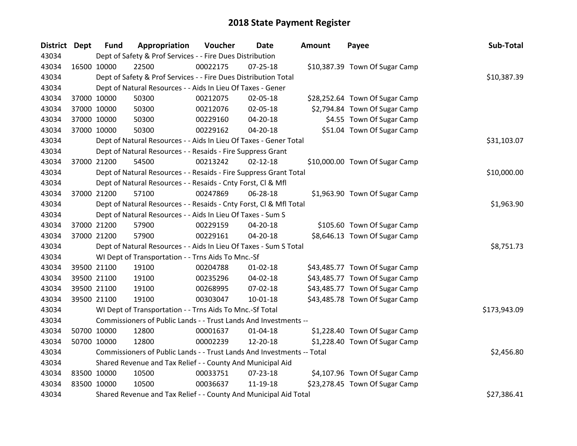| District Dept |             | <b>Fund</b>                                                | Appropriation                                                          | Voucher    | <b>Date</b>    | Amount | Payee                          | Sub-Total    |
|---------------|-------------|------------------------------------------------------------|------------------------------------------------------------------------|------------|----------------|--------|--------------------------------|--------------|
| 43034         |             |                                                            | Dept of Safety & Prof Services - - Fire Dues Distribution              |            |                |        |                                |              |
| 43034         | 16500 10000 |                                                            | 22500                                                                  | 00022175   | $07 - 25 - 18$ |        | \$10,387.39 Town Of Sugar Camp |              |
| 43034         |             |                                                            | Dept of Safety & Prof Services - - Fire Dues Distribution Total        |            |                |        |                                | \$10,387.39  |
| 43034         |             |                                                            | Dept of Natural Resources - - Aids In Lieu Of Taxes - Gener            |            |                |        |                                |              |
| 43034         |             | 37000 10000                                                | 50300                                                                  | 00212075   | 02-05-18       |        | \$28,252.64 Town Of Sugar Camp |              |
| 43034         |             | 37000 10000                                                | 50300                                                                  | 00212076   | 02-05-18       |        | \$2,794.84 Town Of Sugar Camp  |              |
| 43034         |             | 37000 10000                                                | 50300                                                                  | 00229160   | 04-20-18       |        | \$4.55 Town Of Sugar Camp      |              |
| 43034         |             | 37000 10000                                                | 50300                                                                  | 00229162   | 04-20-18       |        | \$51.04 Town Of Sugar Camp     |              |
| 43034         |             |                                                            | Dept of Natural Resources - - Aids In Lieu Of Taxes - Gener Total      |            |                |        |                                | \$31,103.07  |
| 43034         |             |                                                            | Dept of Natural Resources - - Resaids - Fire Suppress Grant            |            |                |        |                                |              |
| 43034         | 37000 21200 |                                                            | 54500                                                                  | 00213242   | $02 - 12 - 18$ |        | \$10,000.00 Town Of Sugar Camp |              |
| 43034         |             |                                                            | Dept of Natural Resources - - Resaids - Fire Suppress Grant Total      |            |                |        |                                | \$10,000.00  |
| 43034         |             |                                                            | Dept of Natural Resources - - Resaids - Cnty Forst, Cl & Mfl           |            |                |        |                                |              |
| 43034         | 37000 21200 |                                                            | 57100                                                                  | 00247869   | 06-28-18       |        | \$1,963.90 Town Of Sugar Camp  |              |
| 43034         |             |                                                            | Dept of Natural Resources - - Resaids - Cnty Forst, Cl & Mfl Total     | \$1,963.90 |                |        |                                |              |
| 43034         |             |                                                            | Dept of Natural Resources - - Aids In Lieu Of Taxes - Sum S            |            |                |        |                                |              |
| 43034         |             | 37000 21200                                                | 57900                                                                  | 00229159   | 04-20-18       |        | \$105.60 Town Of Sugar Camp    |              |
| 43034         |             | 37000 21200                                                | 57900                                                                  | 00229161   | 04-20-18       |        | \$8,646.13 Town Of Sugar Camp  |              |
| 43034         |             |                                                            | Dept of Natural Resources - - Aids In Lieu Of Taxes - Sum S Total      |            |                |        |                                | \$8,751.73   |
| 43034         |             |                                                            | WI Dept of Transportation - - Trns Aids To Mnc.-Sf                     |            |                |        |                                |              |
| 43034         |             | 39500 21100                                                | 19100                                                                  | 00204788   | $01 - 02 - 18$ |        | \$43,485.77 Town Of Sugar Camp |              |
| 43034         |             | 39500 21100                                                | 19100                                                                  | 00235296   | 04-02-18       |        | \$43,485.77 Town Of Sugar Camp |              |
| 43034         |             | 39500 21100                                                | 19100                                                                  | 00268995   | 07-02-18       |        | \$43,485.77 Town Of Sugar Camp |              |
| 43034         |             | 39500 21100                                                | 19100                                                                  | 00303047   | $10-01-18$     |        | \$43,485.78 Town Of Sugar Camp |              |
| 43034         |             |                                                            | WI Dept of Transportation - - Trns Aids To Mnc.-Sf Total               |            |                |        |                                | \$173,943.09 |
| 43034         |             |                                                            | Commissioners of Public Lands - - Trust Lands And Investments --       |            |                |        |                                |              |
| 43034         |             | 50700 10000                                                | 12800                                                                  | 00001637   | $01 - 04 - 18$ |        | \$1,228.40 Town Of Sugar Camp  |              |
| 43034         |             | 50700 10000                                                | 12800                                                                  | 00002239   | 12-20-18       |        | \$1,228.40 Town Of Sugar Camp  |              |
| 43034         |             |                                                            | Commissioners of Public Lands - - Trust Lands And Investments -- Total |            |                |        |                                | \$2,456.80   |
| 43034         |             | Shared Revenue and Tax Relief - - County And Municipal Aid |                                                                        |            |                |        |                                |              |
| 43034         | 83500 10000 |                                                            | 10500                                                                  | 00033751   | $07 - 23 - 18$ |        | \$4,107.96 Town Of Sugar Camp  |              |
| 43034         | 83500 10000 |                                                            | 10500                                                                  | 00036637   | 11-19-18       |        | \$23,278.45 Town Of Sugar Camp |              |
| 43034         |             |                                                            | Shared Revenue and Tax Relief - - County And Municipal Aid Total       |            |                |        |                                | \$27,386.41  |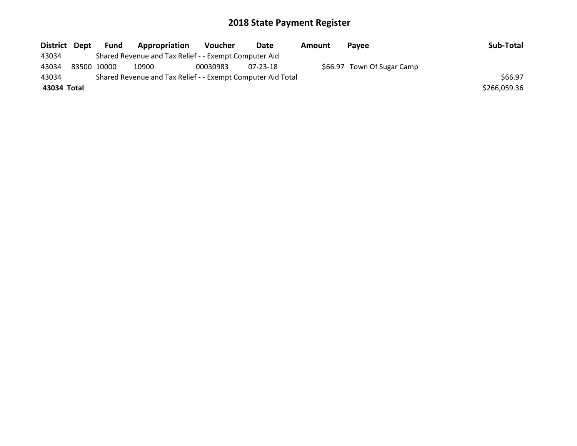| District Dept |             | Fund | Appropriation                                               | <b>Voucher</b> | Date     | Amount | <b>Pavee</b>               | Sub-Total    |
|---------------|-------------|------|-------------------------------------------------------------|----------------|----------|--------|----------------------------|--------------|
| 43034         |             |      | Shared Revenue and Tax Relief - - Exempt Computer Aid       |                |          |        |                            |              |
| 43034         | 83500 10000 |      | 10900                                                       | 00030983       | 07-23-18 |        | \$66.97 Town Of Sugar Camp |              |
| 43034         |             |      | Shared Revenue and Tax Relief - - Exempt Computer Aid Total |                |          |        |                            | \$66.97      |
| 43034 Total   |             |      |                                                             |                |          |        |                            | \$266,059.36 |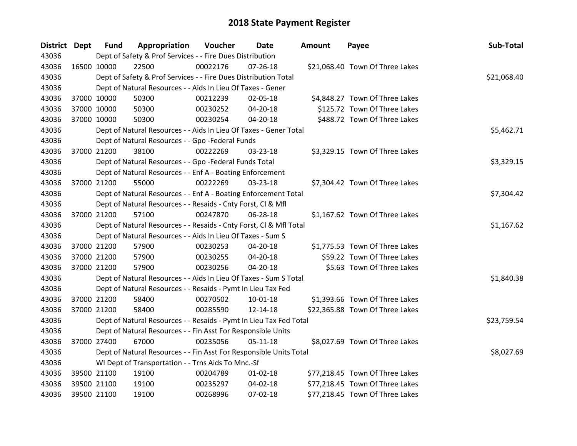| District Dept |             | <b>Fund</b> | Appropriation                                                      | Voucher  | Date           | <b>Amount</b> | Payee                           | Sub-Total   |
|---------------|-------------|-------------|--------------------------------------------------------------------|----------|----------------|---------------|---------------------------------|-------------|
| 43036         |             |             | Dept of Safety & Prof Services - - Fire Dues Distribution          |          |                |               |                                 |             |
| 43036         | 16500 10000 |             | 22500                                                              | 00022176 | $07 - 26 - 18$ |               | \$21,068.40 Town Of Three Lakes |             |
| 43036         |             |             | Dept of Safety & Prof Services - - Fire Dues Distribution Total    |          |                |               |                                 | \$21,068.40 |
| 43036         |             |             | Dept of Natural Resources - - Aids In Lieu Of Taxes - Gener        |          |                |               |                                 |             |
| 43036         | 37000 10000 |             | 50300                                                              | 00212239 | 02-05-18       |               | \$4,848.27 Town Of Three Lakes  |             |
| 43036         | 37000 10000 |             | 50300                                                              | 00230252 | 04-20-18       |               | \$125.72 Town Of Three Lakes    |             |
| 43036         | 37000 10000 |             | 50300                                                              | 00230254 | $04 - 20 - 18$ |               | \$488.72 Town Of Three Lakes    |             |
| 43036         |             |             | Dept of Natural Resources - - Aids In Lieu Of Taxes - Gener Total  |          |                |               |                                 | \$5,462.71  |
| 43036         |             |             | Dept of Natural Resources - - Gpo -Federal Funds                   |          |                |               |                                 |             |
| 43036         | 37000 21200 |             | 38100                                                              | 00222269 | 03-23-18       |               | \$3,329.15 Town Of Three Lakes  |             |
| 43036         |             |             | Dept of Natural Resources - - Gpo -Federal Funds Total             |          |                |               |                                 | \$3,329.15  |
| 43036         |             |             | Dept of Natural Resources - - Enf A - Boating Enforcement          |          |                |               |                                 |             |
| 43036         | 37000 21200 |             | 55000                                                              | 00222269 | 03-23-18       |               | \$7,304.42 Town Of Three Lakes  |             |
| 43036         |             |             | Dept of Natural Resources - - Enf A - Boating Enforcement Total    |          |                |               |                                 | \$7,304.42  |
| 43036         |             |             | Dept of Natural Resources - - Resaids - Cnty Forst, CI & Mfl       |          |                |               |                                 |             |
| 43036         | 37000 21200 |             | 57100                                                              | 00247870 | 06-28-18       |               | \$1,167.62 Town Of Three Lakes  |             |
| 43036         |             |             | Dept of Natural Resources - - Resaids - Cnty Forst, CI & Mfl Total |          |                |               |                                 | \$1,167.62  |
| 43036         |             |             | Dept of Natural Resources - - Aids In Lieu Of Taxes - Sum S        |          |                |               |                                 |             |
| 43036         | 37000 21200 |             | 57900                                                              | 00230253 | $04 - 20 - 18$ |               | \$1,775.53 Town Of Three Lakes  |             |
| 43036         | 37000 21200 |             | 57900                                                              | 00230255 | 04-20-18       |               | \$59.22 Town Of Three Lakes     |             |
| 43036         | 37000 21200 |             | 57900                                                              | 00230256 | 04-20-18       |               | \$5.63 Town Of Three Lakes      |             |
| 43036         |             |             | Dept of Natural Resources - - Aids In Lieu Of Taxes - Sum S Total  |          |                |               |                                 | \$1,840.38  |
| 43036         |             |             | Dept of Natural Resources - - Resaids - Pymt In Lieu Tax Fed       |          |                |               |                                 |             |
| 43036         | 37000 21200 |             | 58400                                                              | 00270502 | 10-01-18       |               | \$1,393.66 Town Of Three Lakes  |             |
| 43036         | 37000 21200 |             | 58400                                                              | 00285590 | 12-14-18       |               | \$22,365.88 Town Of Three Lakes |             |
| 43036         |             |             | Dept of Natural Resources - - Resaids - Pymt In Lieu Tax Fed Total |          |                |               |                                 | \$23,759.54 |
| 43036         |             |             | Dept of Natural Resources - - Fin Asst For Responsible Units       |          |                |               |                                 |             |
| 43036         | 37000 27400 |             | 67000                                                              | 00235056 | $05 - 11 - 18$ |               | \$8,027.69 Town Of Three Lakes  |             |
| 43036         |             |             | Dept of Natural Resources - - Fin Asst For Responsible Units Total |          |                |               |                                 | \$8,027.69  |
| 43036         |             |             | WI Dept of Transportation - - Trns Aids To Mnc.-Sf                 |          |                |               |                                 |             |
| 43036         | 39500 21100 |             | 19100                                                              | 00204789 | $01 - 02 - 18$ |               | \$77,218.45 Town Of Three Lakes |             |
| 43036         | 39500 21100 |             | 19100                                                              | 00235297 | 04-02-18       |               | \$77,218.45 Town Of Three Lakes |             |
| 43036         | 39500 21100 |             | 19100                                                              | 00268996 | $07 - 02 - 18$ |               | \$77,218.45 Town Of Three Lakes |             |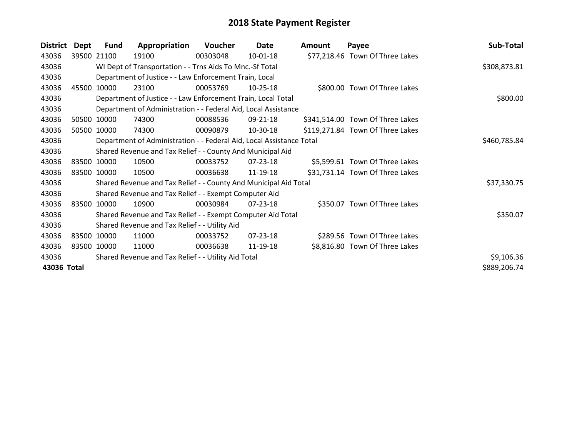| <b>District</b> | Dept  | Fund        | Appropriation                                                        | Voucher  | Date           | Amount | Payee                            | Sub-Total    |
|-----------------|-------|-------------|----------------------------------------------------------------------|----------|----------------|--------|----------------------------------|--------------|
| 43036           |       | 39500 21100 | 19100                                                                | 00303048 | $10-01-18$     |        | \$77,218.46 Town Of Three Lakes  |              |
| 43036           |       |             | WI Dept of Transportation - - Trns Aids To Mnc.-Sf Total             |          |                |        |                                  | \$308,873.81 |
| 43036           |       |             | Department of Justice - - Law Enforcement Train, Local               |          |                |        |                                  |              |
| 43036           | 45500 | 10000       | 23100                                                                | 00053769 | $10 - 25 - 18$ |        | \$800.00 Town Of Three Lakes     |              |
| 43036           |       |             | Department of Justice - - Law Enforcement Train, Local Total         |          |                |        |                                  | \$800.00     |
| 43036           |       |             | Department of Administration - - Federal Aid, Local Assistance       |          |                |        |                                  |              |
| 43036           |       | 50500 10000 | 74300                                                                | 00088536 | 09-21-18       |        | \$341,514.00 Town Of Three Lakes |              |
| 43036           |       | 50500 10000 | 74300                                                                | 00090879 | 10-30-18       |        | \$119,271.84 Town Of Three Lakes |              |
| 43036           |       |             | Department of Administration - - Federal Aid, Local Assistance Total |          |                |        |                                  | \$460,785.84 |
| 43036           |       |             | Shared Revenue and Tax Relief - - County And Municipal Aid           |          |                |        |                                  |              |
| 43036           |       | 83500 10000 | 10500                                                                | 00033752 | 07-23-18       |        | \$5,599.61 Town Of Three Lakes   |              |
| 43036           |       | 83500 10000 | 10500                                                                | 00036638 | 11-19-18       |        | \$31,731.14 Town Of Three Lakes  |              |
| 43036           |       |             | Shared Revenue and Tax Relief - - County And Municipal Aid Total     |          |                |        |                                  | \$37,330.75  |
| 43036           |       |             | Shared Revenue and Tax Relief - - Exempt Computer Aid                |          |                |        |                                  |              |
| 43036           |       | 83500 10000 | 10900                                                                | 00030984 | $07 - 23 - 18$ |        | \$350.07 Town Of Three Lakes     |              |
| 43036           |       |             | Shared Revenue and Tax Relief - - Exempt Computer Aid Total          |          |                |        |                                  | \$350.07     |
| 43036           |       |             | Shared Revenue and Tax Relief - - Utility Aid                        |          |                |        |                                  |              |
| 43036           |       | 83500 10000 | 11000                                                                | 00033752 | 07-23-18       |        | \$289.56 Town Of Three Lakes     |              |
| 43036           |       | 83500 10000 | 11000                                                                | 00036638 | 11-19-18       |        | \$8,816.80 Town Of Three Lakes   |              |
| 43036           |       |             | Shared Revenue and Tax Relief - - Utility Aid Total                  |          |                |        |                                  | \$9,106.36   |
| 43036 Total     |       |             |                                                                      |          |                |        |                                  | \$889,206.74 |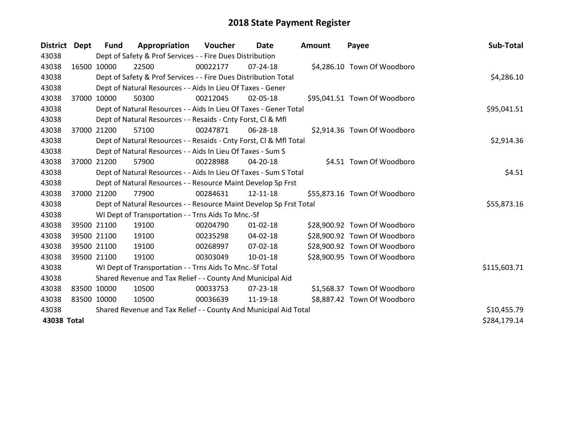| District Dept |       | <b>Fund</b> | Appropriation                                                      | Voucher  | Date           | <b>Amount</b> | Payee                        | Sub-Total    |
|---------------|-------|-------------|--------------------------------------------------------------------|----------|----------------|---------------|------------------------------|--------------|
| 43038         |       |             | Dept of Safety & Prof Services - - Fire Dues Distribution          |          |                |               |                              |              |
| 43038         |       | 16500 10000 | 22500                                                              | 00022177 | $07 - 24 - 18$ |               | \$4,286.10 Town Of Woodboro  |              |
| 43038         |       |             | Dept of Safety & Prof Services - - Fire Dues Distribution Total    |          |                |               |                              | \$4,286.10   |
| 43038         |       |             | Dept of Natural Resources - - Aids In Lieu Of Taxes - Gener        |          |                |               |                              |              |
| 43038         |       | 37000 10000 | 50300                                                              | 00212045 | 02-05-18       |               | \$95,041.51 Town Of Woodboro |              |
| 43038         |       |             | Dept of Natural Resources - - Aids In Lieu Of Taxes - Gener Total  |          |                |               |                              | \$95,041.51  |
| 43038         |       |             | Dept of Natural Resources - - Resaids - Cnty Forst, CI & Mfl       |          |                |               |                              |              |
| 43038         | 37000 | 21200       | 57100                                                              | 00247871 | 06-28-18       |               | \$2,914.36 Town Of Woodboro  |              |
| 43038         |       |             | Dept of Natural Resources - - Resaids - Cnty Forst, CI & Mfl Total |          |                |               |                              | \$2,914.36   |
| 43038         |       |             | Dept of Natural Resources - - Aids In Lieu Of Taxes - Sum S        |          |                |               |                              |              |
| 43038         |       | 37000 21200 | 57900                                                              | 00228988 | 04-20-18       |               | \$4.51 Town Of Woodboro      |              |
| 43038         |       |             | Dept of Natural Resources - - Aids In Lieu Of Taxes - Sum S Total  |          |                |               |                              | \$4.51       |
| 43038         |       |             | Dept of Natural Resources - - Resource Maint Develop Sp Frst       |          |                |               |                              |              |
| 43038         |       | 37000 21200 | 77900                                                              | 00284631 | 12-11-18       |               | \$55,873.16 Town Of Woodboro |              |
| 43038         |       |             | Dept of Natural Resources - - Resource Maint Develop Sp Frst Total |          |                |               |                              | \$55,873.16  |
| 43038         |       |             | WI Dept of Transportation - - Trns Aids To Mnc.-Sf                 |          |                |               |                              |              |
| 43038         |       | 39500 21100 | 19100                                                              | 00204790 | $01 - 02 - 18$ |               | \$28,900.92 Town Of Woodboro |              |
| 43038         |       | 39500 21100 | 19100                                                              | 00235298 | 04-02-18       |               | \$28,900.92 Town Of Woodboro |              |
| 43038         |       | 39500 21100 | 19100                                                              | 00268997 | $07 - 02 - 18$ |               | \$28,900.92 Town Of Woodboro |              |
| 43038         |       | 39500 21100 | 19100                                                              | 00303049 | 10-01-18       |               | \$28,900.95 Town Of Woodboro |              |
| 43038         |       |             | WI Dept of Transportation - - Trns Aids To Mnc.-Sf Total           |          |                |               |                              | \$115,603.71 |
| 43038         |       |             | Shared Revenue and Tax Relief - - County And Municipal Aid         |          |                |               |                              |              |
| 43038         |       | 83500 10000 | 10500                                                              | 00033753 | 07-23-18       |               | \$1,568.37 Town Of Woodboro  |              |
| 43038         |       | 83500 10000 | 10500                                                              | 00036639 | 11-19-18       |               | \$8,887.42 Town Of Woodboro  |              |
| 43038         |       |             | Shared Revenue and Tax Relief - - County And Municipal Aid Total   |          |                |               |                              | \$10,455.79  |
| 43038 Total   |       |             |                                                                    |          |                |               |                              | \$284,179.14 |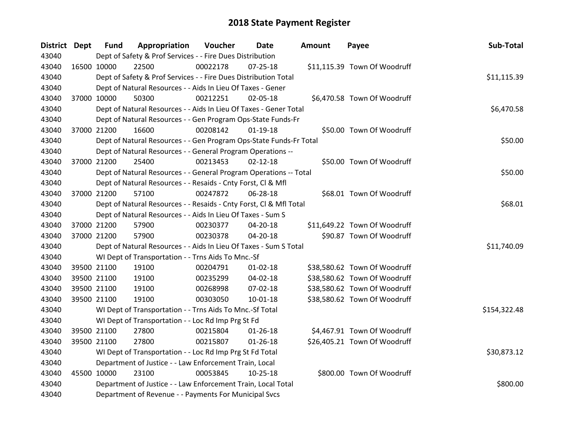| <b>District Dept</b> |             | <b>Fund</b> | Appropriation                                                      | Voucher  | Date           | <b>Amount</b> | Payee                        | Sub-Total    |  |  |  |
|----------------------|-------------|-------------|--------------------------------------------------------------------|----------|----------------|---------------|------------------------------|--------------|--|--|--|
| 43040                |             |             | Dept of Safety & Prof Services - - Fire Dues Distribution          |          |                |               |                              |              |  |  |  |
| 43040                | 16500 10000 |             | 22500                                                              | 00022178 | 07-25-18       |               | \$11,115.39 Town Of Woodruff |              |  |  |  |
| 43040                |             |             | Dept of Safety & Prof Services - - Fire Dues Distribution Total    |          |                |               |                              | \$11,115.39  |  |  |  |
| 43040                |             |             | Dept of Natural Resources - - Aids In Lieu Of Taxes - Gener        |          |                |               |                              |              |  |  |  |
| 43040                | 37000 10000 |             | 50300                                                              | 00212251 | 02-05-18       |               | \$6,470.58 Town Of Woodruff  |              |  |  |  |
| 43040                |             |             | Dept of Natural Resources - - Aids In Lieu Of Taxes - Gener Total  |          |                |               |                              | \$6,470.58   |  |  |  |
| 43040                |             |             | Dept of Natural Resources - - Gen Program Ops-State Funds-Fr       |          |                |               |                              |              |  |  |  |
| 43040                | 37000 21200 |             | 16600                                                              | 00208142 | $01-19-18$     |               | \$50.00 Town Of Woodruff     |              |  |  |  |
| 43040                |             |             | Dept of Natural Resources - - Gen Program Ops-State Funds-Fr Total |          |                |               |                              | \$50.00      |  |  |  |
| 43040                |             |             | Dept of Natural Resources - - General Program Operations --        |          |                |               |                              |              |  |  |  |
| 43040                | 37000 21200 |             | 25400                                                              | 00213453 | $02 - 12 - 18$ |               | \$50.00 Town Of Woodruff     |              |  |  |  |
| 43040                |             |             | Dept of Natural Resources - - General Program Operations -- Total  |          |                |               |                              | \$50.00      |  |  |  |
| 43040                |             |             | Dept of Natural Resources - - Resaids - Cnty Forst, Cl & Mfl       |          |                |               |                              |              |  |  |  |
| 43040                | 37000 21200 |             | 57100                                                              | 00247872 | 06-28-18       |               | \$68.01 Town Of Woodruff     |              |  |  |  |
| 43040                |             |             | Dept of Natural Resources - - Resaids - Cnty Forst, Cl & Mfl Total |          |                |               |                              | \$68.01      |  |  |  |
| 43040                |             |             | Dept of Natural Resources - - Aids In Lieu Of Taxes - Sum S        |          |                |               |                              |              |  |  |  |
| 43040                | 37000 21200 |             | 57900                                                              | 00230377 | 04-20-18       |               | \$11,649.22 Town Of Woodruff |              |  |  |  |
| 43040                | 37000 21200 |             | 57900                                                              | 00230378 | $04 - 20 - 18$ |               | \$90.87 Town Of Woodruff     |              |  |  |  |
| 43040                |             |             | Dept of Natural Resources - - Aids In Lieu Of Taxes - Sum S Total  |          |                |               |                              | \$11,740.09  |  |  |  |
| 43040                |             |             | WI Dept of Transportation - - Trns Aids To Mnc.-Sf                 |          |                |               |                              |              |  |  |  |
| 43040                | 39500 21100 |             | 19100                                                              | 00204791 | $01 - 02 - 18$ |               | \$38,580.62 Town Of Woodruff |              |  |  |  |
| 43040                | 39500 21100 |             | 19100                                                              | 00235299 | 04-02-18       |               | \$38,580.62 Town Of Woodruff |              |  |  |  |
| 43040                | 39500 21100 |             | 19100                                                              | 00268998 | 07-02-18       |               | \$38,580.62 Town Of Woodruff |              |  |  |  |
| 43040                | 39500 21100 |             | 19100                                                              | 00303050 | $10 - 01 - 18$ |               | \$38,580.62 Town Of Woodruff |              |  |  |  |
| 43040                |             |             | WI Dept of Transportation - - Trns Aids To Mnc.-Sf Total           |          |                |               |                              | \$154,322.48 |  |  |  |
| 43040                |             |             | WI Dept of Transportation - - Loc Rd Imp Prg St Fd                 |          |                |               |                              |              |  |  |  |
| 43040                | 39500 21100 |             | 27800                                                              | 00215804 | $01 - 26 - 18$ |               | \$4,467.91 Town Of Woodruff  |              |  |  |  |
| 43040                | 39500 21100 |             | 27800                                                              | 00215807 | $01 - 26 - 18$ |               | \$26,405.21 Town Of Woodruff |              |  |  |  |
| 43040                |             |             | WI Dept of Transportation - - Loc Rd Imp Prg St Fd Total           |          |                |               |                              | \$30,873.12  |  |  |  |
| 43040                |             |             | Department of Justice - - Law Enforcement Train, Local             |          |                |               |                              |              |  |  |  |
| 43040                | 45500 10000 |             | 23100                                                              | 00053845 | $10-25-18$     |               | \$800.00 Town Of Woodruff    |              |  |  |  |
| 43040                |             |             | Department of Justice - - Law Enforcement Train, Local Total       |          |                |               |                              | \$800.00     |  |  |  |
| 43040                |             |             | Department of Revenue - - Payments For Municipal Svcs              |          |                |               |                              |              |  |  |  |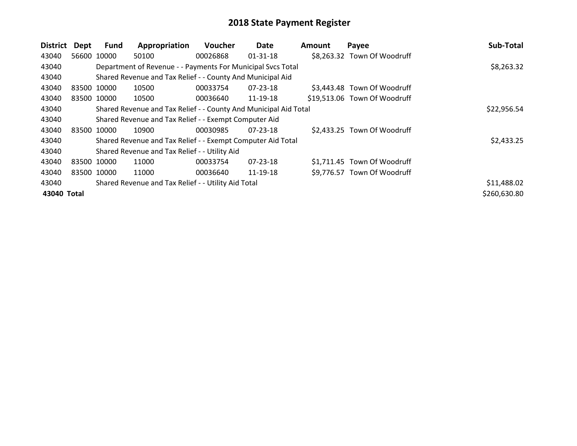| District    | Dept | Fund        | Appropriation                                                    | Voucher  | Date           | Amount | Payee                        | Sub-Total    |
|-------------|------|-------------|------------------------------------------------------------------|----------|----------------|--------|------------------------------|--------------|
| 43040       |      | 56600 10000 | 50100                                                            | 00026868 | $01 - 31 - 18$ |        | \$8,263.32 Town Of Woodruff  |              |
| 43040       |      |             | Department of Revenue - - Payments For Municipal Svcs Total      |          |                |        |                              | \$8,263.32   |
| 43040       |      |             | Shared Revenue and Tax Relief - - County And Municipal Aid       |          |                |        |                              |              |
| 43040       |      | 83500 10000 | 10500                                                            | 00033754 | $07 - 23 - 18$ |        | \$3,443.48 Town Of Woodruff  |              |
| 43040       |      | 83500 10000 | 10500                                                            | 00036640 | 11-19-18       |        | \$19,513.06 Town Of Woodruff |              |
| 43040       |      |             | Shared Revenue and Tax Relief - - County And Municipal Aid Total |          |                |        |                              | \$22,956.54  |
| 43040       |      |             | Shared Revenue and Tax Relief - - Exempt Computer Aid            |          |                |        |                              |              |
| 43040       |      | 83500 10000 | 10900                                                            | 00030985 | $07 - 23 - 18$ |        | \$2,433.25 Town Of Woodruff  |              |
| 43040       |      |             | Shared Revenue and Tax Relief - - Exempt Computer Aid Total      |          |                |        |                              | \$2,433.25   |
| 43040       |      |             | Shared Revenue and Tax Relief - - Utility Aid                    |          |                |        |                              |              |
| 43040       |      | 83500 10000 | 11000                                                            | 00033754 | 07-23-18       |        | \$1,711.45 Town Of Woodruff  |              |
| 43040       |      | 83500 10000 | 11000                                                            | 00036640 | 11-19-18       |        | \$9,776.57 Town Of Woodruff  |              |
| 43040       |      |             | Shared Revenue and Tax Relief - - Utility Aid Total              |          |                |        |                              | \$11,488.02  |
| 43040 Total |      |             |                                                                  |          |                |        |                              | \$260,630.80 |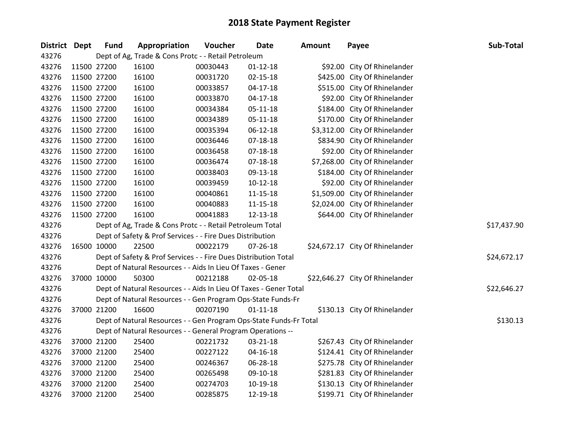| District Dept | <b>Fund</b> | Appropriation                                                      | Voucher  | <b>Date</b>    | <b>Amount</b> | Payee                           | Sub-Total   |
|---------------|-------------|--------------------------------------------------------------------|----------|----------------|---------------|---------------------------------|-------------|
| 43276         |             | Dept of Ag, Trade & Cons Protc - - Retail Petroleum                |          |                |               |                                 |             |
| 43276         | 11500 27200 | 16100                                                              | 00030443 | $01 - 12 - 18$ |               | \$92.00 City Of Rhinelander     |             |
| 43276         | 11500 27200 | 16100                                                              | 00031720 | $02 - 15 - 18$ |               | \$425.00 City Of Rhinelander    |             |
| 43276         | 11500 27200 | 16100                                                              | 00033857 | $04-17-18$     |               | \$515.00 City Of Rhinelander    |             |
| 43276         | 11500 27200 | 16100                                                              | 00033870 | 04-17-18       |               | \$92.00 City Of Rhinelander     |             |
| 43276         | 11500 27200 | 16100                                                              | 00034384 | $05 - 11 - 18$ |               | \$184.00 City Of Rhinelander    |             |
| 43276         | 11500 27200 | 16100                                                              | 00034389 | $05 - 11 - 18$ |               | \$170.00 City Of Rhinelander    |             |
| 43276         | 11500 27200 | 16100                                                              | 00035394 | 06-12-18       |               | \$3,312.00 City Of Rhinelander  |             |
| 43276         | 11500 27200 | 16100                                                              | 00036446 | $07 - 18 - 18$ |               | \$834.90 City Of Rhinelander    |             |
| 43276         | 11500 27200 | 16100                                                              | 00036458 | $07 - 18 - 18$ |               | \$92.00 City Of Rhinelander     |             |
| 43276         | 11500 27200 | 16100                                                              | 00036474 | 07-18-18       |               | \$7,268.00 City Of Rhinelander  |             |
| 43276         | 11500 27200 | 16100                                                              | 00038403 | 09-13-18       |               | \$184.00 City Of Rhinelander    |             |
| 43276         | 11500 27200 | 16100                                                              | 00039459 | $10-12-18$     |               | \$92.00 City Of Rhinelander     |             |
| 43276         | 11500 27200 | 16100                                                              | 00040861 | $11 - 15 - 18$ |               | \$1,509.00 City Of Rhinelander  |             |
| 43276         | 11500 27200 | 16100                                                              | 00040883 | $11 - 15 - 18$ |               | \$2,024.00 City Of Rhinelander  |             |
| 43276         | 11500 27200 | 16100                                                              | 00041883 | 12-13-18       |               | \$644.00 City Of Rhinelander    |             |
| 43276         |             | Dept of Ag, Trade & Cons Protc - - Retail Petroleum Total          |          |                |               |                                 | \$17,437.90 |
| 43276         |             | Dept of Safety & Prof Services - - Fire Dues Distribution          |          |                |               |                                 |             |
| 43276         | 16500 10000 | 22500                                                              | 00022179 | 07-26-18       |               | \$24,672.17 City Of Rhinelander |             |
| 43276         |             | Dept of Safety & Prof Services - - Fire Dues Distribution Total    |          |                |               |                                 | \$24,672.17 |
| 43276         |             | Dept of Natural Resources - - Aids In Lieu Of Taxes - Gener        |          |                |               |                                 |             |
| 43276         | 37000 10000 | 50300                                                              | 00212188 | 02-05-18       |               | \$22,646.27 City Of Rhinelander |             |
| 43276         |             | Dept of Natural Resources - - Aids In Lieu Of Taxes - Gener Total  |          |                |               |                                 | \$22,646.27 |
| 43276         |             | Dept of Natural Resources - - Gen Program Ops-State Funds-Fr       |          |                |               |                                 |             |
| 43276         | 37000 21200 | 16600                                                              | 00207190 | $01-11-18$     |               | \$130.13 City Of Rhinelander    |             |
| 43276         |             | Dept of Natural Resources - - Gen Program Ops-State Funds-Fr Total |          |                |               |                                 | \$130.13    |
| 43276         |             | Dept of Natural Resources - - General Program Operations --        |          |                |               |                                 |             |
| 43276         | 37000 21200 | 25400                                                              | 00221732 | 03-21-18       |               | \$267.43 City Of Rhinelander    |             |
| 43276         | 37000 21200 | 25400                                                              | 00227122 | 04-16-18       |               | \$124.41 City Of Rhinelander    |             |
| 43276         | 37000 21200 | 25400                                                              | 00246367 | 06-28-18       |               | \$275.78 City Of Rhinelander    |             |
| 43276         | 37000 21200 | 25400                                                              | 00265498 | 09-10-18       |               | \$281.83 City Of Rhinelander    |             |
| 43276         | 37000 21200 | 25400                                                              | 00274703 | 10-19-18       |               | \$130.13 City Of Rhinelander    |             |
| 43276         | 37000 21200 | 25400                                                              | 00285875 | 12-19-18       |               | \$199.71 City Of Rhinelander    |             |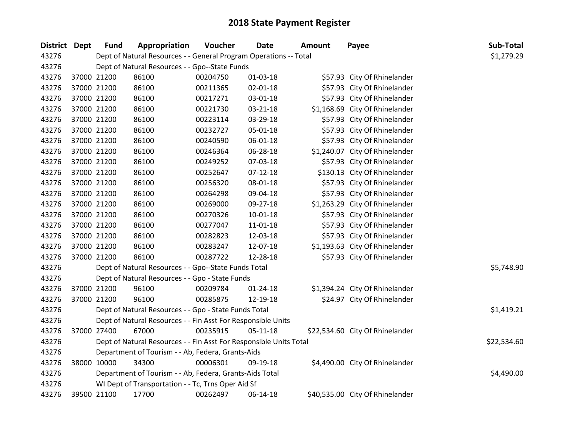| District Dept | <b>Fund</b> | Appropriation                                                      | Voucher  | <b>Date</b>    | <b>Amount</b> | Payee                           | Sub-Total   |
|---------------|-------------|--------------------------------------------------------------------|----------|----------------|---------------|---------------------------------|-------------|
| 43276         |             | Dept of Natural Resources - - General Program Operations -- Total  |          |                |               |                                 | \$1,279.29  |
| 43276         |             | Dept of Natural Resources - - Gpo--State Funds                     |          |                |               |                                 |             |
| 43276         | 37000 21200 | 86100                                                              | 00204750 | $01-03-18$     |               | \$57.93 City Of Rhinelander     |             |
| 43276         | 37000 21200 | 86100                                                              | 00211365 | 02-01-18       |               | \$57.93 City Of Rhinelander     |             |
| 43276         | 37000 21200 | 86100                                                              | 00217271 | 03-01-18       |               | \$57.93 City Of Rhinelander     |             |
| 43276         | 37000 21200 | 86100                                                              | 00221730 | 03-21-18       |               | \$1,168.69 City Of Rhinelander  |             |
| 43276         | 37000 21200 | 86100                                                              | 00223114 | 03-29-18       |               | \$57.93 City Of Rhinelander     |             |
| 43276         | 37000 21200 | 86100                                                              | 00232727 | 05-01-18       |               | \$57.93 City Of Rhinelander     |             |
| 43276         | 37000 21200 | 86100                                                              | 00240590 | 06-01-18       |               | \$57.93 City Of Rhinelander     |             |
| 43276         | 37000 21200 | 86100                                                              | 00246364 | 06-28-18       |               | \$1,240.07 City Of Rhinelander  |             |
| 43276         | 37000 21200 | 86100                                                              | 00249252 | 07-03-18       |               | \$57.93 City Of Rhinelander     |             |
| 43276         | 37000 21200 | 86100                                                              | 00252647 | $07 - 12 - 18$ |               | \$130.13 City Of Rhinelander    |             |
| 43276         | 37000 21200 | 86100                                                              | 00256320 | 08-01-18       |               | \$57.93 City Of Rhinelander     |             |
| 43276         | 37000 21200 | 86100                                                              | 00264298 | 09-04-18       |               | \$57.93 City Of Rhinelander     |             |
| 43276         | 37000 21200 | 86100                                                              | 00269000 | 09-27-18       |               | \$1,263.29 City Of Rhinelander  |             |
| 43276         | 37000 21200 | 86100                                                              | 00270326 | $10 - 01 - 18$ |               | \$57.93 City Of Rhinelander     |             |
| 43276         | 37000 21200 | 86100                                                              | 00277047 | $11 - 01 - 18$ |               | \$57.93 City Of Rhinelander     |             |
| 43276         | 37000 21200 | 86100                                                              | 00282823 | 12-03-18       |               | \$57.93 City Of Rhinelander     |             |
| 43276         | 37000 21200 | 86100                                                              | 00283247 | 12-07-18       |               | \$1,193.63 City Of Rhinelander  |             |
| 43276         | 37000 21200 | 86100                                                              | 00287722 | 12-28-18       |               | \$57.93 City Of Rhinelander     |             |
| 43276         |             | Dept of Natural Resources - - Gpo--State Funds Total               |          |                |               |                                 | \$5,748.90  |
| 43276         |             | Dept of Natural Resources - - Gpo - State Funds                    |          |                |               |                                 |             |
| 43276         | 37000 21200 | 96100                                                              | 00209784 | $01 - 24 - 18$ |               | \$1,394.24 City Of Rhinelander  |             |
| 43276         | 37000 21200 | 96100                                                              | 00285875 | 12-19-18       |               | \$24.97 City Of Rhinelander     |             |
| 43276         |             | Dept of Natural Resources - - Gpo - State Funds Total              |          |                |               |                                 | \$1,419.21  |
| 43276         |             | Dept of Natural Resources - - Fin Asst For Responsible Units       |          |                |               |                                 |             |
| 43276         | 37000 27400 | 67000                                                              | 00235915 | $05 - 11 - 18$ |               | \$22,534.60 City Of Rhinelander |             |
| 43276         |             | Dept of Natural Resources - - Fin Asst For Responsible Units Total |          |                |               |                                 | \$22,534.60 |
| 43276         |             | Department of Tourism - - Ab, Federa, Grants-Aids                  |          |                |               |                                 |             |
| 43276         | 38000 10000 | 34300                                                              | 00006301 | 09-19-18       |               | \$4,490.00 City Of Rhinelander  |             |
| 43276         |             | Department of Tourism - - Ab, Federa, Grants-Aids Total            |          |                |               |                                 | \$4,490.00  |
| 43276         |             | WI Dept of Transportation - - Tc, Trns Oper Aid Sf                 |          |                |               |                                 |             |
| 43276         | 39500 21100 | 17700                                                              | 00262497 | 06-14-18       |               | \$40,535.00 City Of Rhinelander |             |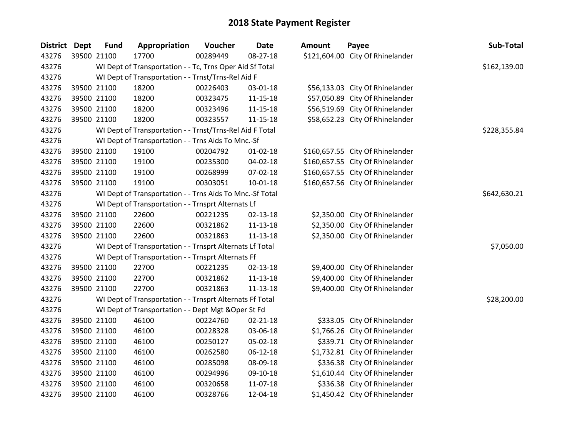| District Dept | <b>Fund</b> | Appropriation                                            | Voucher  | <b>Date</b>    | <b>Amount</b> | Payee                            | Sub-Total    |
|---------------|-------------|----------------------------------------------------------|----------|----------------|---------------|----------------------------------|--------------|
| 43276         | 39500 21100 | 17700                                                    | 00289449 | 08-27-18       |               | \$121,604.00 City Of Rhinelander |              |
| 43276         |             | WI Dept of Transportation - - Tc, Trns Oper Aid Sf Total |          |                |               |                                  | \$162,139.00 |
| 43276         |             | WI Dept of Transportation - - Trnst/Trns-Rel Aid F       |          |                |               |                                  |              |
| 43276         | 39500 21100 | 18200                                                    | 00226403 | 03-01-18       |               | \$56,133.03 City Of Rhinelander  |              |
| 43276         | 39500 21100 | 18200                                                    | 00323475 | $11 - 15 - 18$ |               | \$57,050.89 City Of Rhinelander  |              |
| 43276         | 39500 21100 | 18200                                                    | 00323496 | $11 - 15 - 18$ |               | \$56,519.69 City Of Rhinelander  |              |
| 43276         | 39500 21100 | 18200                                                    | 00323557 | $11 - 15 - 18$ |               | \$58,652.23 City Of Rhinelander  |              |
| 43276         |             | WI Dept of Transportation - - Trnst/Trns-Rel Aid F Total |          |                |               |                                  | \$228,355.84 |
| 43276         |             | WI Dept of Transportation - - Trns Aids To Mnc.-Sf       |          |                |               |                                  |              |
| 43276         | 39500 21100 | 19100                                                    | 00204792 | $01 - 02 - 18$ |               | \$160,657.55 City Of Rhinelander |              |
| 43276         | 39500 21100 | 19100                                                    | 00235300 | 04-02-18       |               | \$160,657.55 City Of Rhinelander |              |
| 43276         | 39500 21100 | 19100                                                    | 00268999 | 07-02-18       |               | \$160,657.55 City Of Rhinelander |              |
| 43276         | 39500 21100 | 19100                                                    | 00303051 | $10 - 01 - 18$ |               | \$160,657.56 City Of Rhinelander |              |
| 43276         |             | WI Dept of Transportation - - Trns Aids To Mnc.-Sf Total |          |                |               |                                  | \$642,630.21 |
| 43276         |             | WI Dept of Transportation - - Trnsprt Alternats Lf       |          |                |               |                                  |              |
| 43276         | 39500 21100 | 22600                                                    | 00221235 | 02-13-18       |               | \$2,350.00 City Of Rhinelander   |              |
| 43276         | 39500 21100 | 22600                                                    | 00321862 | $11 - 13 - 18$ |               | \$2,350.00 City Of Rhinelander   |              |
| 43276         | 39500 21100 | 22600                                                    | 00321863 | $11 - 13 - 18$ |               | \$2,350.00 City Of Rhinelander   |              |
| 43276         |             | WI Dept of Transportation - - Trnsprt Alternats Lf Total |          |                |               |                                  | \$7,050.00   |
| 43276         |             | WI Dept of Transportation - - Trnsprt Alternats Ff       |          |                |               |                                  |              |
| 43276         | 39500 21100 | 22700                                                    | 00221235 | $02 - 13 - 18$ |               | \$9,400.00 City Of Rhinelander   |              |
| 43276         | 39500 21100 | 22700                                                    | 00321862 | $11 - 13 - 18$ |               | \$9,400.00 City Of Rhinelander   |              |
| 43276         | 39500 21100 | 22700                                                    | 00321863 | $11 - 13 - 18$ |               | \$9,400.00 City Of Rhinelander   |              |
| 43276         |             | WI Dept of Transportation - - Trnsprt Alternats Ff Total |          |                |               |                                  | \$28,200.00  |
| 43276         |             | WI Dept of Transportation - - Dept Mgt & Oper St Fd      |          |                |               |                                  |              |
| 43276         | 39500 21100 | 46100                                                    | 00224760 | $02 - 21 - 18$ |               | \$333.05 City Of Rhinelander     |              |
| 43276         | 39500 21100 | 46100                                                    | 00228328 | 03-06-18       |               | \$1,766.26 City Of Rhinelander   |              |
| 43276         | 39500 21100 | 46100                                                    | 00250127 | 05-02-18       |               | \$339.71 City Of Rhinelander     |              |
| 43276         | 39500 21100 | 46100                                                    | 00262580 | $06 - 12 - 18$ |               | \$1,732.81 City Of Rhinelander   |              |
| 43276         | 39500 21100 | 46100                                                    | 00285098 | 08-09-18       |               | \$336.38 City Of Rhinelander     |              |
| 43276         | 39500 21100 | 46100                                                    | 00294996 | 09-10-18       |               | \$1,610.44 City Of Rhinelander   |              |
| 43276         | 39500 21100 | 46100                                                    | 00320658 | 11-07-18       |               | \$336.38 City Of Rhinelander     |              |
| 43276         | 39500 21100 | 46100                                                    | 00328766 | 12-04-18       |               | \$1,450.42 City Of Rhinelander   |              |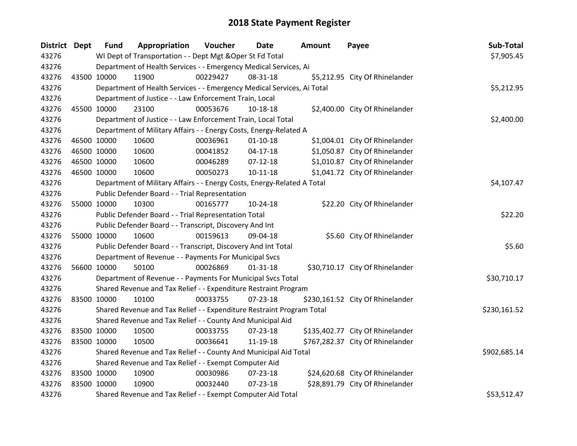| District Dept | <b>Fund</b>                                           | Appropriation                                                           | Voucher  | Date           | <b>Amount</b> | Payee                            | Sub-Total    |
|---------------|-------------------------------------------------------|-------------------------------------------------------------------------|----------|----------------|---------------|----------------------------------|--------------|
| 43276         |                                                       | WI Dept of Transportation - - Dept Mgt & Oper St Fd Total               |          |                |               |                                  | \$7,905.45   |
| 43276         |                                                       | Department of Health Services - - Emergency Medical Services, Ai        |          |                |               |                                  |              |
| 43276         | 43500 10000                                           | 11900                                                                   | 00229427 | 08-31-18       |               | \$5,212.95 City Of Rhinelander   |              |
| 43276         |                                                       | Department of Health Services - - Emergency Medical Services, Ai Total  |          |                |               |                                  | \$5,212.95   |
| 43276         |                                                       | Department of Justice - - Law Enforcement Train, Local                  |          |                |               |                                  |              |
| 43276         | 45500 10000                                           | 23100                                                                   | 00053676 | 10-18-18       |               | \$2,400.00 City Of Rhinelander   |              |
| 43276         |                                                       | Department of Justice - - Law Enforcement Train, Local Total            |          |                |               |                                  | \$2,400.00   |
| 43276         |                                                       | Department of Military Affairs - - Energy Costs, Energy-Related A       |          |                |               |                                  |              |
| 43276         | 46500 10000                                           | 10600                                                                   | 00036961 | $01 - 10 - 18$ |               | \$1,004.01 City Of Rhinelander   |              |
| 43276         | 46500 10000                                           | 10600                                                                   | 00041852 | $04 - 17 - 18$ |               | \$1,050.87 City Of Rhinelander   |              |
| 43276         | 46500 10000                                           | 10600                                                                   | 00046289 | $07-12-18$     |               | \$1,010.87 City Of Rhinelander   |              |
| 43276         | 46500 10000                                           | 10600                                                                   | 00050273 | $10 - 11 - 18$ |               | \$1,041.72 City Of Rhinelander   |              |
| 43276         |                                                       | Department of Military Affairs - - Energy Costs, Energy-Related A Total |          |                |               |                                  | \$4,107.47   |
| 43276         |                                                       | Public Defender Board - - Trial Representation                          |          |                |               |                                  |              |
| 43276         | 55000 10000                                           | 10300                                                                   | 00165777 | 10-24-18       |               | \$22.20 City Of Rhinelander      |              |
| 43276         |                                                       | Public Defender Board - - Trial Representation Total                    |          |                |               |                                  | \$22.20      |
| 43276         |                                                       | Public Defender Board - - Transcript, Discovery And Int                 |          |                |               |                                  |              |
| 43276         | 55000 10000                                           | 10600                                                                   | 00159613 | 09-04-18       |               | \$5.60 City Of Rhinelander       |              |
| 43276         |                                                       | Public Defender Board - - Transcript, Discovery And Int Total           |          |                |               |                                  | \$5.60       |
| 43276         |                                                       | Department of Revenue - - Payments For Municipal Svcs                   |          |                |               |                                  |              |
| 43276         | 56600 10000                                           | 50100                                                                   | 00026869 | $01 - 31 - 18$ |               | \$30,710.17 City Of Rhinelander  |              |
| 43276         |                                                       | Department of Revenue - - Payments For Municipal Svcs Total             |          |                |               |                                  | \$30,710.17  |
| 43276         |                                                       | Shared Revenue and Tax Relief - - Expenditure Restraint Program         |          |                |               |                                  |              |
| 43276         | 83500 10000                                           | 10100                                                                   | 00033755 | $07 - 23 - 18$ |               | \$230,161.52 City Of Rhinelander |              |
| 43276         |                                                       | Shared Revenue and Tax Relief - - Expenditure Restraint Program Total   |          |                |               |                                  | \$230,161.52 |
| 43276         |                                                       | Shared Revenue and Tax Relief - - County And Municipal Aid              |          |                |               |                                  |              |
| 43276         | 83500 10000                                           | 10500                                                                   | 00033755 | 07-23-18       |               | \$135,402.77 City Of Rhinelander |              |
| 43276         | 83500 10000                                           | 10500                                                                   | 00036641 | 11-19-18       |               | \$767,282.37 City Of Rhinelander |              |
| 43276         |                                                       | Shared Revenue and Tax Relief - - County And Municipal Aid Total        |          |                |               |                                  | \$902,685.14 |
| 43276         | Shared Revenue and Tax Relief - - Exempt Computer Aid |                                                                         |          |                |               |                                  |              |
| 43276         | 83500 10000                                           | 10900                                                                   | 00030986 | 07-23-18       |               | \$24,620.68 City Of Rhinelander  |              |
| 43276         | 83500 10000                                           | 10900                                                                   | 00032440 | 07-23-18       |               | \$28,891.79 City Of Rhinelander  |              |
| 43276         |                                                       | Shared Revenue and Tax Relief - - Exempt Computer Aid Total             |          |                |               |                                  | \$53,512.47  |